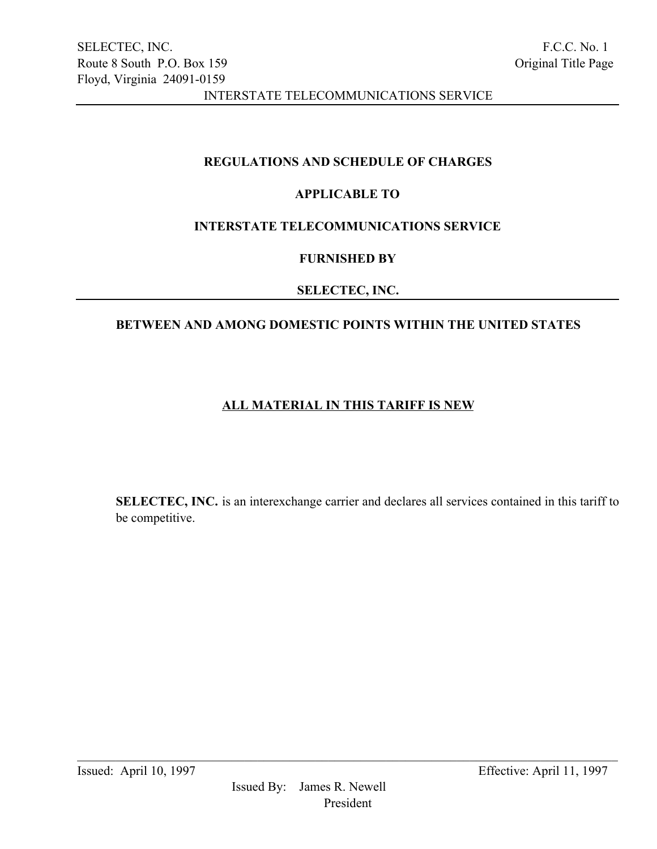# REGULATIONS AND SCHEDULE OF CHARGES

# APPLICABLE TO

# INTERSTATE TELECOMMUNICATIONS SERVICE

### FURNISHED BY

### SELECTEC, INC.

# BETWEEN AND AMONG DOMESTIC POINTS WITHIN THE UNITED STATES

# ALL MATERIAL IN THIS TARIFF IS NEW

SELECTEC, INC. is an interexchange carrier and declares all services contained in this tariff to be competitive.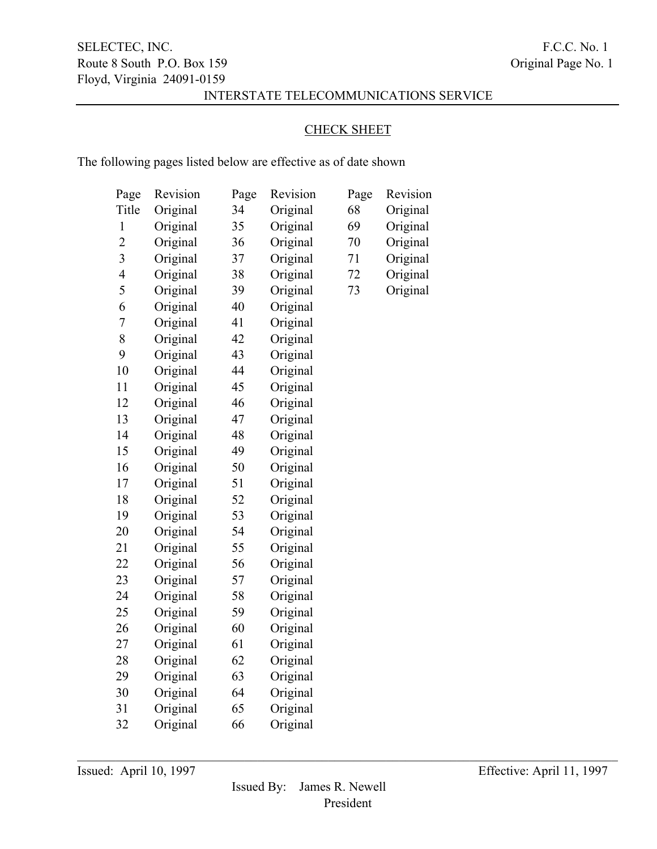### CHECK SHEET

The following pages listed below are effective as of date shown

| Page                     | Revision | Page | Revision | Page | Revision |
|--------------------------|----------|------|----------|------|----------|
| Title                    | Original | 34   | Original | 68   | Original |
| $\mathbf{1}$             | Original | 35   | Original | 69   | Original |
| $\overline{c}$           | Original | 36   | Original | 70   | Original |
| $\overline{\mathbf{3}}$  | Original | 37   | Original | 71   | Original |
| $\overline{\mathcal{A}}$ | Original | 38   | Original | 72   | Original |
| 5                        | Original | 39   | Original | 73   | Original |
| 6                        | Original | 40   | Original |      |          |
| $\overline{7}$           | Original | 41   | Original |      |          |
| 8                        | Original | 42   | Original |      |          |
| 9                        | Original | 43   | Original |      |          |
| 10                       | Original | 44   | Original |      |          |
| 11                       | Original | 45   | Original |      |          |
| 12                       | Original | 46   | Original |      |          |
| 13                       | Original | 47   | Original |      |          |
| 14                       | Original | 48   | Original |      |          |
| 15                       | Original | 49   | Original |      |          |
| 16                       | Original | 50   | Original |      |          |
| 17                       | Original | 51   | Original |      |          |
| 18                       | Original | 52   | Original |      |          |
| 19                       | Original | 53   | Original |      |          |
| 20                       | Original | 54   | Original |      |          |
| 21                       | Original | 55   | Original |      |          |
| 22                       | Original | 56   | Original |      |          |
| 23                       | Original | 57   | Original |      |          |
| 24                       | Original | 58   | Original |      |          |
| 25                       | Original | 59   | Original |      |          |
| 26                       | Original | 60   | Original |      |          |
| 27                       | Original | 61   | Original |      |          |
| 28                       | Original | 62   | Original |      |          |
| 29                       | Original | 63   | Original |      |          |
| 30                       | Original | 64   | Original |      |          |
| 31                       | Original | 65   | Original |      |          |
| 32                       | Original | 66   | Original |      |          |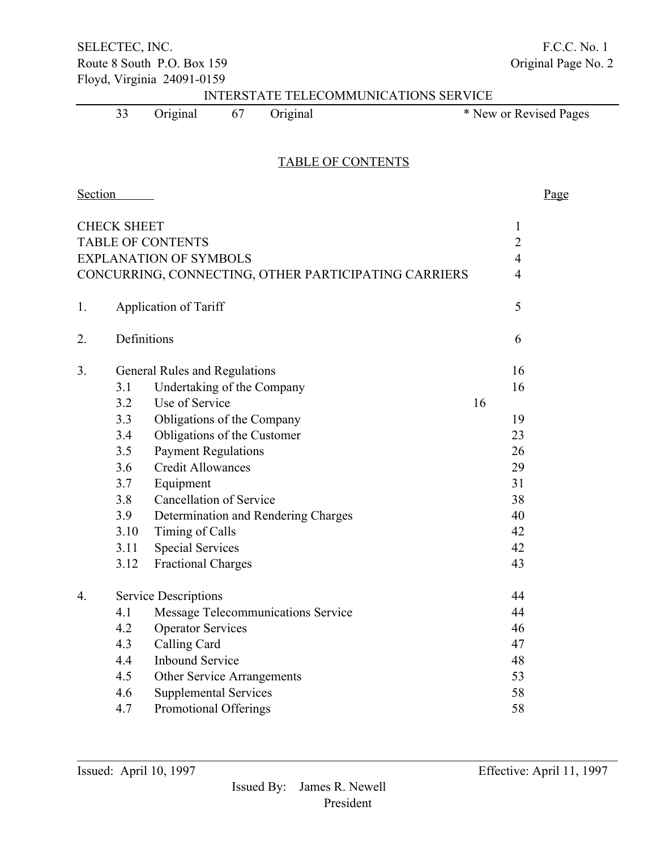SELECTEC, INC. F.C.C. No. 1 Route 8 South P.O. Box 159 Contact Contact Contact Contact Contact Contact Contact Contact Contact Contact Contact Contact Contact Contact Contact Contact Contact Contact Contact Contact Contact Contact Contact Contact Con Floyd, Virginia 24091-0159 INTERSTATE TELECOMMUNICATIONS SERVICE 33 Original 67 Original \* New or Revised Pages TABLE OF CONTENTS Section Page CHECK SHEET 1 TABLE OF CONTENTS 2 EXPLANATION OF SYMBOLS 4 CONCURRING, CONNECTING, OTHER PARTICIPATING CARRIERS 4 1. Application of Tariff 5 2. Definitions 6 3. General Rules and Regulations 16 3.1 Undertaking of the Company 16 3.2 Use of Service 16 3.3 Obligations of the Company 19 3.4 Obligations of the Customer 23 3.5 Payment Regulations 26 3.6 Credit Allowances 29 3.7 Equipment 31 3.8 Cancellation of Service 38 3.9 Determination and Rendering Charges 40 3.10 Timing of Calls 42 3.11 Special Services 42 3.12 Fractional Charges 43 4. Service Descriptions 44 4.1 Message Telecommunications Service 44 4.2 Operator Services 46 4.3 Calling Card 47 4.4 Inbound Service 48 4.5 Other Service Arrangements 53 4.6 Supplemental Services 58 4.7 Promotional Offerings 58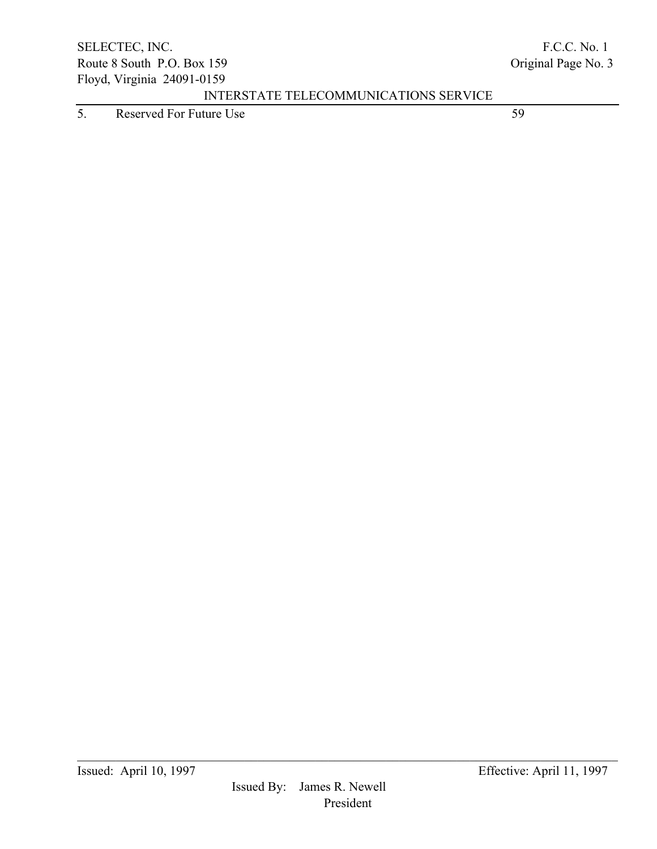5. Reserved For Future Use 59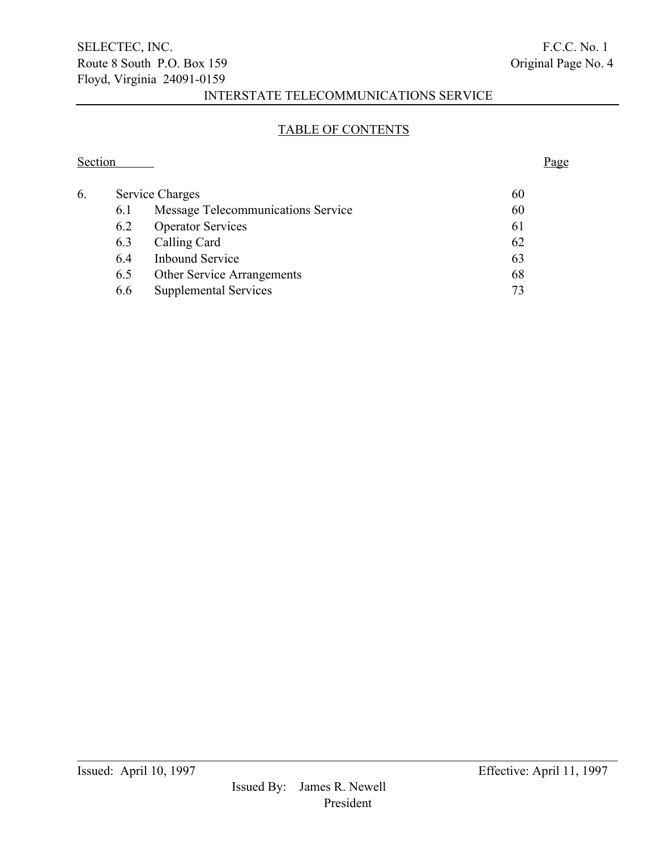### TABLE OF CONTENTS

Section Page

# 6. Service Charges 60 6.1 Message Telecommunications Service 60 6.2 Operator Services 61 6.3 Calling Card 62 6.4 Inbound Service 63 6.5 Other Service Arrangements 68 6.6 Supplemental Services 73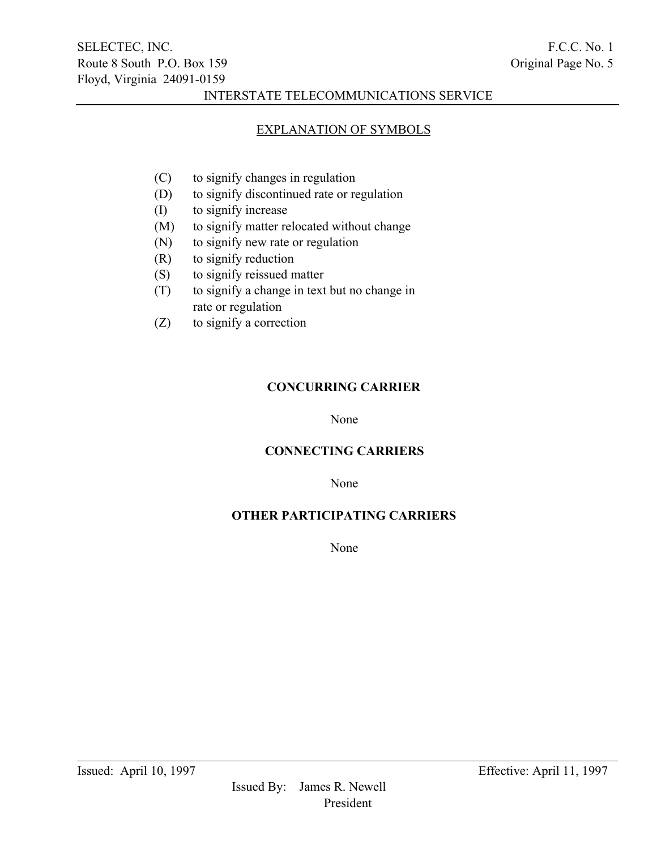### EXPLANATION OF SYMBOLS

- (C) to signify changes in regulation
- (D) to signify discontinued rate or regulation
- (I) to signify increase
- (M) to signify matter relocated without change
- (N) to signify new rate or regulation
- (R) to signify reduction
- (S) to signify reissued matter
- (T) to signify a change in text but no change in rate or regulation
- (Z) to signify a correction

### CONCURRING CARRIER

None

### CONNECTING CARRIERS

None

## OTHER PARTICIPATING CARRIERS

None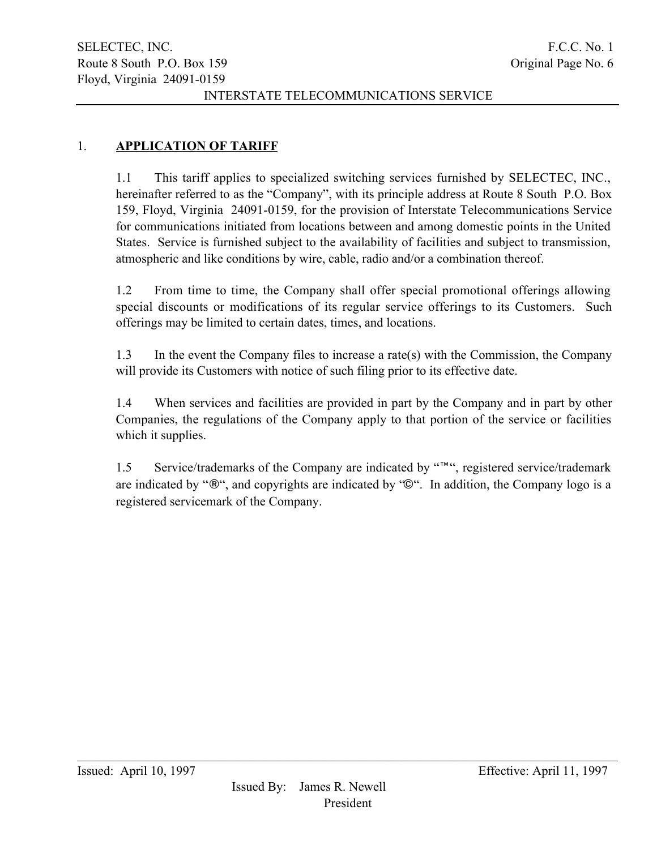# 1. **APPLICATION OF TARIFF**

1.1 This tariff applies to specialized switching services furnished by SELECTEC, INC., hereinafter referred to as the "Company", with its principle address at Route 8 South P.O. Box 159, Floyd, Virginia 24091-0159, for the provision of Interstate Telecommunications Service for communications initiated from locations between and among domestic points in the United States. Service is furnished subject to the availability of facilities and subject to transmission, atmospheric and like conditions by wire, cable, radio and/or a combination thereof.

1.2 From time to time, the Company shall offer special promotional offerings allowing special discounts or modifications of its regular service offerings to its Customers. Such offerings may be limited to certain dates, times, and locations.

1.3 In the event the Company files to increase a rate(s) with the Commission, the Company will provide its Customers with notice of such filing prior to its effective date.

1.4 When services and facilities are provided in part by the Company and in part by other Companies, the regulations of the Company apply to that portion of the service or facilities which it supplies.

1.5 Service/trademarks of the Company are indicated by "™", registered service/trademark are indicated by "®", and copyrights are indicated by "©". In addition, the Company logo is a registered servicemark of the Company.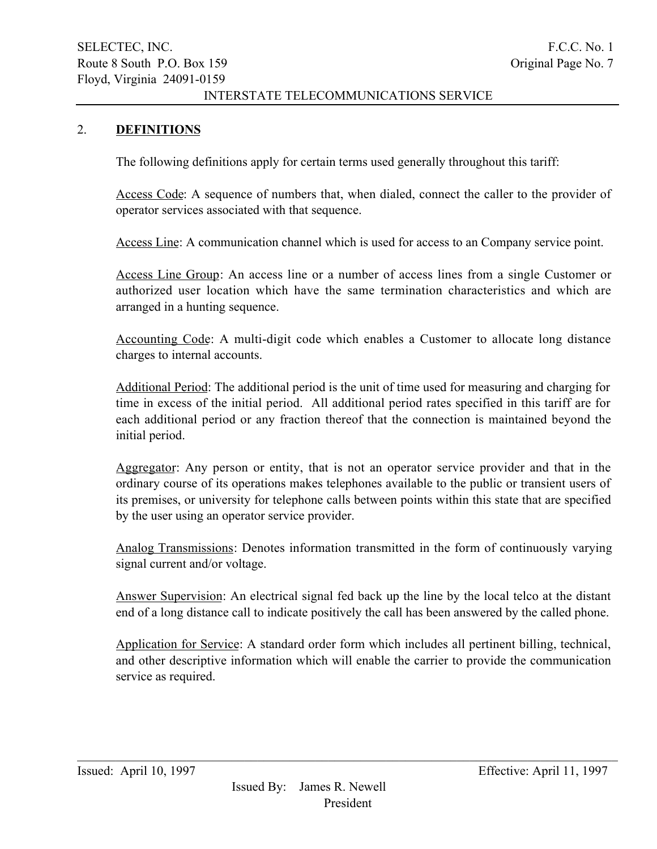### 2. DEFINITIONS

The following definitions apply for certain terms used generally throughout this tariff:

Access Code: A sequence of numbers that, when dialed, connect the caller to the provider of operator services associated with that sequence.

Access Line: A communication channel which is used for access to an Company service point.

Access Line Group: An access line or a number of access lines from a single Customer or authorized user location which have the same termination characteristics and which are arranged in a hunting sequence.

Accounting Code: A multi-digit code which enables a Customer to allocate long distance charges to internal accounts.

Additional Period: The additional period is the unit of time used for measuring and charging for time in excess of the initial period. All additional period rates specified in this tariff are for each additional period or any fraction thereof that the connection is maintained beyond the initial period.

Aggregator: Any person or entity, that is not an operator service provider and that in the ordinary course of its operations makes telephones available to the public or transient users of its premises, or university for telephone calls between points within this state that are specified by the user using an operator service provider.

Analog Transmissions: Denotes information transmitted in the form of continuously varying signal current and/or voltage.

Answer Supervision: An electrical signal fed back up the line by the local telco at the distant end of a long distance call to indicate positively the call has been answered by the called phone.

Application for Service: A standard order form which includes all pertinent billing, technical, and other descriptive information which will enable the carrier to provide the communication service as required.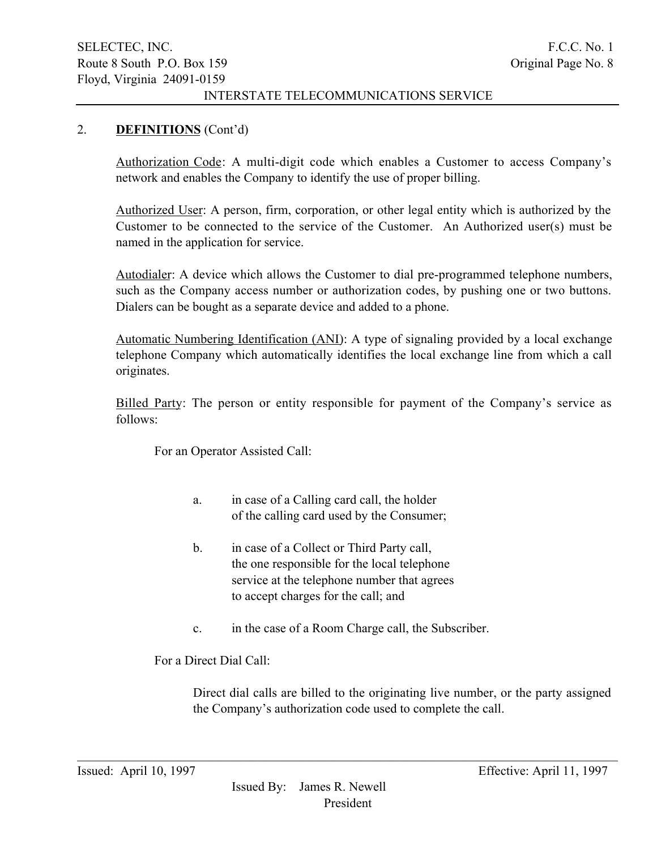### 2. DEFINITIONS (Cont'd)

Authorization Code: A multi-digit code which enables a Customer to access Company's network and enables the Company to identify the use of proper billing.

Authorized User: A person, firm, corporation, or other legal entity which is authorized by the Customer to be connected to the service of the Customer. An Authorized user(s) must be named in the application for service.

Autodialer: A device which allows the Customer to dial pre-programmed telephone numbers, such as the Company access number or authorization codes, by pushing one or two buttons. Dialers can be bought as a separate device and added to a phone.

Automatic Numbering Identification (ANI): A type of signaling provided by a local exchange telephone Company which automatically identifies the local exchange line from which a call originates.

Billed Party: The person or entity responsible for payment of the Company's service as follows:

For an Operator Assisted Call:

- a. in case of a Calling card call, the holder of the calling card used by the Consumer;
- b. in case of a Collect or Third Party call, the one responsible for the local telephone service at the telephone number that agrees to accept charges for the call; and
- c. in the case of a Room Charge call, the Subscriber.

 $\mathcal{L}_\mathcal{L} = \{ \mathcal{L}_\mathcal{L} = \{ \mathcal{L}_\mathcal{L} = \{ \mathcal{L}_\mathcal{L} = \{ \mathcal{L}_\mathcal{L} = \{ \mathcal{L}_\mathcal{L} = \{ \mathcal{L}_\mathcal{L} = \{ \mathcal{L}_\mathcal{L} = \{ \mathcal{L}_\mathcal{L} = \{ \mathcal{L}_\mathcal{L} = \{ \mathcal{L}_\mathcal{L} = \{ \mathcal{L}_\mathcal{L} = \{ \mathcal{L}_\mathcal{L} = \{ \mathcal{L}_\mathcal{L} = \{ \mathcal{L}_\mathcal{$ 

For a Direct Dial Call:

Direct dial calls are billed to the originating live number, or the party assigned the Company's authorization code used to complete the call.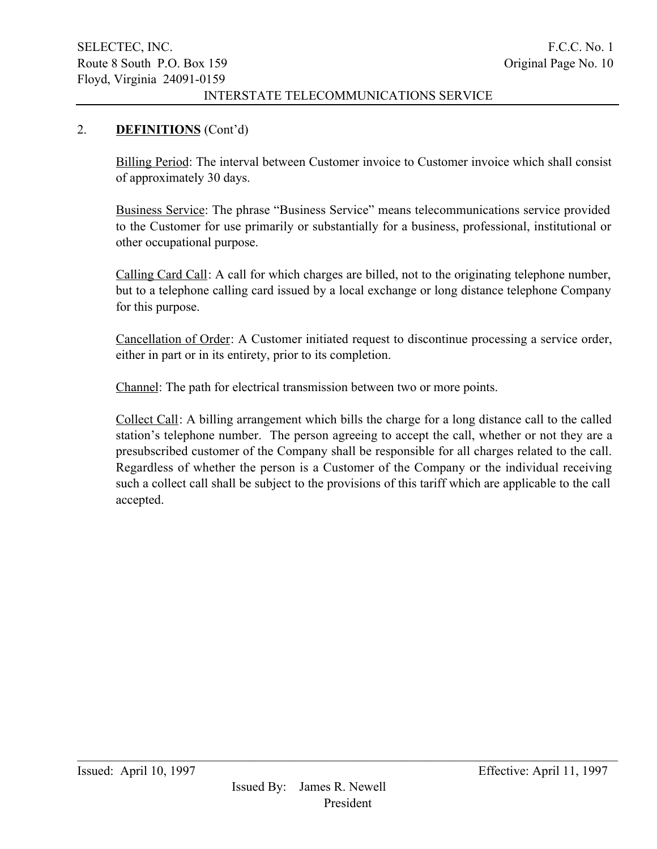### 2. DEFINITIONS (Cont'd)

Billing Period: The interval between Customer invoice to Customer invoice which shall consist of approximately 30 days.

Business Service: The phrase "Business Service" means telecommunications service provided to the Customer for use primarily or substantially for a business, professional, institutional or other occupational purpose.

Calling Card Call: A call for which charges are billed, not to the originating telephone number, but to a telephone calling card issued by a local exchange or long distance telephone Company for this purpose.

Cancellation of Order: A Customer initiated request to discontinue processing a service order, either in part or in its entirety, prior to its completion.

Channel: The path for electrical transmission between two or more points.

Collect Call: A billing arrangement which bills the charge for a long distance call to the called station's telephone number. The person agreeing to accept the call, whether or not they are a presubscribed customer of the Company shall be responsible for all charges related to the call. Regardless of whether the person is a Customer of the Company or the individual receiving such a collect call shall be subject to the provisions of this tariff which are applicable to the call accepted.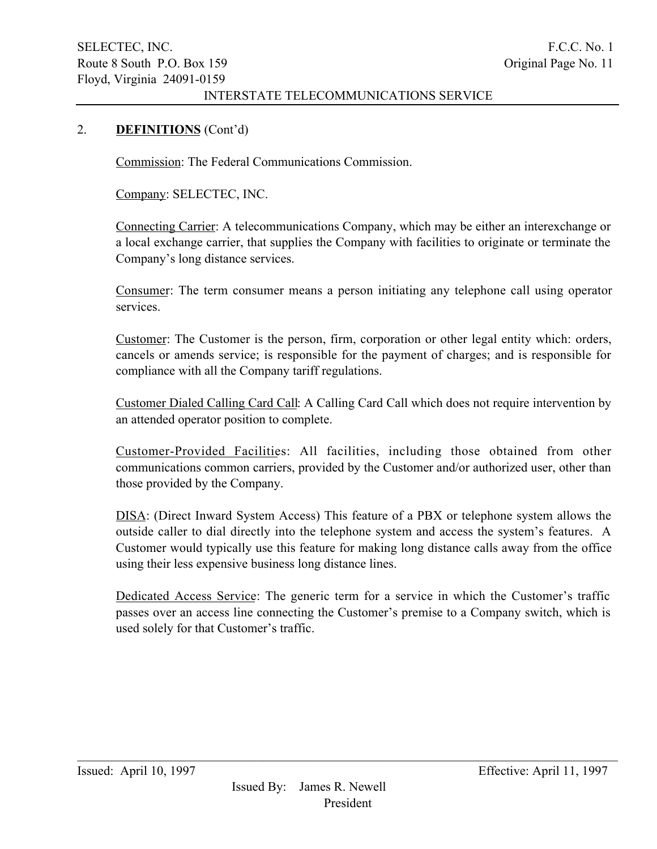### 2. DEFINITIONS (Cont'd)

Commission: The Federal Communications Commission.

Company: SELECTEC, INC.

Connecting Carrier: A telecommunications Company, which may be either an interexchange or a local exchange carrier, that supplies the Company with facilities to originate or terminate the Company's long distance services.

Consumer: The term consumer means a person initiating any telephone call using operator services.

Customer: The Customer is the person, firm, corporation or other legal entity which: orders, cancels or amends service; is responsible for the payment of charges; and is responsible for compliance with all the Company tariff regulations.

Customer Dialed Calling Card Call: A Calling Card Call which does not require intervention by an attended operator position to complete.

Customer-Provided Facilities: All facilities, including those obtained from other communications common carriers, provided by the Customer and/or authorized user, other than those provided by the Company.

DISA: (Direct Inward System Access) This feature of a PBX or telephone system allows the outside caller to dial directly into the telephone system and access the system's features. A Customer would typically use this feature for making long distance calls away from the office using their less expensive business long distance lines.

Dedicated Access Service: The generic term for a service in which the Customer's traffic passes over an access line connecting the Customer's premise to a Company switch, which is used solely for that Customer's traffic.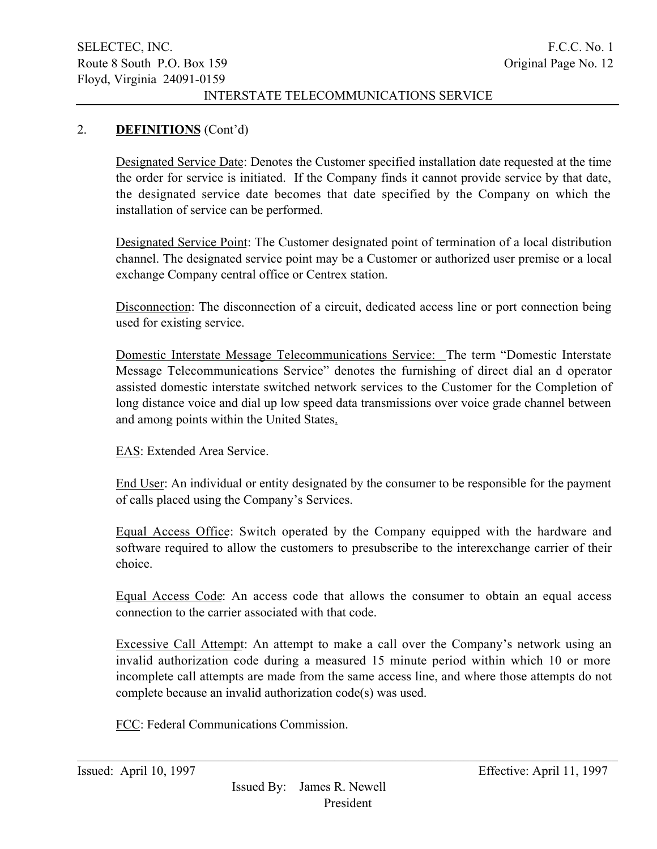### 2. DEFINITIONS (Cont'd)

Designated Service Date: Denotes the Customer specified installation date requested at the time the order for service is initiated. If the Company finds it cannot provide service by that date, the designated service date becomes that date specified by the Company on which the installation of service can be performed.

Designated Service Point: The Customer designated point of termination of a local distribution channel. The designated service point may be a Customer or authorized user premise or a local exchange Company central office or Centrex station.

Disconnection: The disconnection of a circuit, dedicated access line or port connection being used for existing service.

Domestic Interstate Message Telecommunications Service: The term "Domestic Interstate Message Telecommunications Service" denotes the furnishing of direct dial an d operator assisted domestic interstate switched network services to the Customer for the Completion of long distance voice and dial up low speed data transmissions over voice grade channel between and among points within the United States.

EAS: Extended Area Service.

End User: An individual or entity designated by the consumer to be responsible for the payment of calls placed using the Company's Services.

Equal Access Office: Switch operated by the Company equipped with the hardware and software required to allow the customers to presubscribe to the interexchange carrier of their choice.

Equal Access Code: An access code that allows the consumer to obtain an equal access connection to the carrier associated with that code.

Excessive Call Attempt: An attempt to make a call over the Company's network using an invalid authorization code during a measured 15 minute period within which 10 or more incomplete call attempts are made from the same access line, and where those attempts do not complete because an invalid authorization code(s) was used.

 $\mathcal{L}_\mathcal{L} = \{ \mathcal{L}_\mathcal{L} = \{ \mathcal{L}_\mathcal{L} = \{ \mathcal{L}_\mathcal{L} = \{ \mathcal{L}_\mathcal{L} = \{ \mathcal{L}_\mathcal{L} = \{ \mathcal{L}_\mathcal{L} = \{ \mathcal{L}_\mathcal{L} = \{ \mathcal{L}_\mathcal{L} = \{ \mathcal{L}_\mathcal{L} = \{ \mathcal{L}_\mathcal{L} = \{ \mathcal{L}_\mathcal{L} = \{ \mathcal{L}_\mathcal{L} = \{ \mathcal{L}_\mathcal{L} = \{ \mathcal{L}_\mathcal{$ 

FCC: Federal Communications Commission.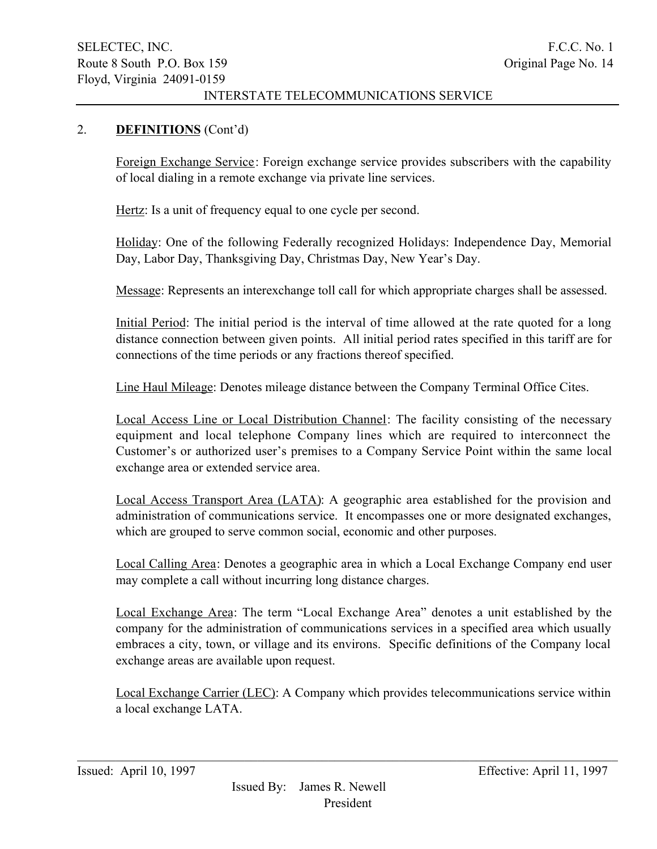### 2. DEFINITIONS (Cont'd)

Foreign Exchange Service: Foreign exchange service provides subscribers with the capability of local dialing in a remote exchange via private line services.

Hertz: Is a unit of frequency equal to one cycle per second.

Holiday: One of the following Federally recognized Holidays: Independence Day, Memorial Day, Labor Day, Thanksgiving Day, Christmas Day, New Year's Day.

Message: Represents an interexchange toll call for which appropriate charges shall be assessed.

Initial Period: The initial period is the interval of time allowed at the rate quoted for a long distance connection between given points. All initial period rates specified in this tariff are for connections of the time periods or any fractions thereof specified.

Line Haul Mileage: Denotes mileage distance between the Company Terminal Office Cites.

Local Access Line or Local Distribution Channel: The facility consisting of the necessary equipment and local telephone Company lines which are required to interconnect the Customer's or authorized user's premises to a Company Service Point within the same local exchange area or extended service area.

Local Access Transport Area (LATA): A geographic area established for the provision and administration of communications service. It encompasses one or more designated exchanges, which are grouped to serve common social, economic and other purposes.

Local Calling Area: Denotes a geographic area in which a Local Exchange Company end user may complete a call without incurring long distance charges.

Local Exchange Area: The term "Local Exchange Area" denotes a unit established by the company for the administration of communications services in a specified area which usually embraces a city, town, or village and its environs. Specific definitions of the Company local exchange areas are available upon request.

Local Exchange Carrier (LEC): A Company which provides telecommunications service within a local exchange LATA.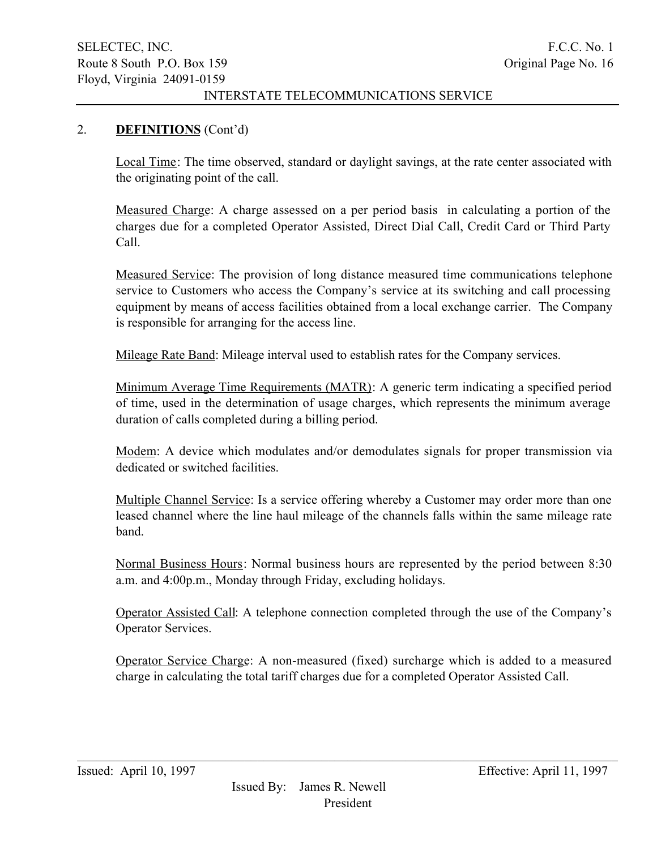### 2. DEFINITIONS (Cont'd)

Local Time: The time observed, standard or daylight savings, at the rate center associated with the originating point of the call.

Measured Charge: A charge assessed on a per period basis in calculating a portion of the charges due for a completed Operator Assisted, Direct Dial Call, Credit Card or Third Party Call.

Measured Service: The provision of long distance measured time communications telephone service to Customers who access the Company's service at its switching and call processing equipment by means of access facilities obtained from a local exchange carrier. The Company is responsible for arranging for the access line.

Mileage Rate Band: Mileage interval used to establish rates for the Company services.

Minimum Average Time Requirements (MATR): A generic term indicating a specified period of time, used in the determination of usage charges, which represents the minimum average duration of calls completed during a billing period.

Modem: A device which modulates and/or demodulates signals for proper transmission via dedicated or switched facilities.

Multiple Channel Service: Is a service offering whereby a Customer may order more than one leased channel where the line haul mileage of the channels falls within the same mileage rate band.

Normal Business Hours: Normal business hours are represented by the period between 8:30 a.m. and 4:00p.m., Monday through Friday, excluding holidays.

Operator Assisted Call: A telephone connection completed through the use of the Company's Operator Services.

Operator Service Charge: A non-measured (fixed) surcharge which is added to a measured charge in calculating the total tariff charges due for a completed Operator Assisted Call.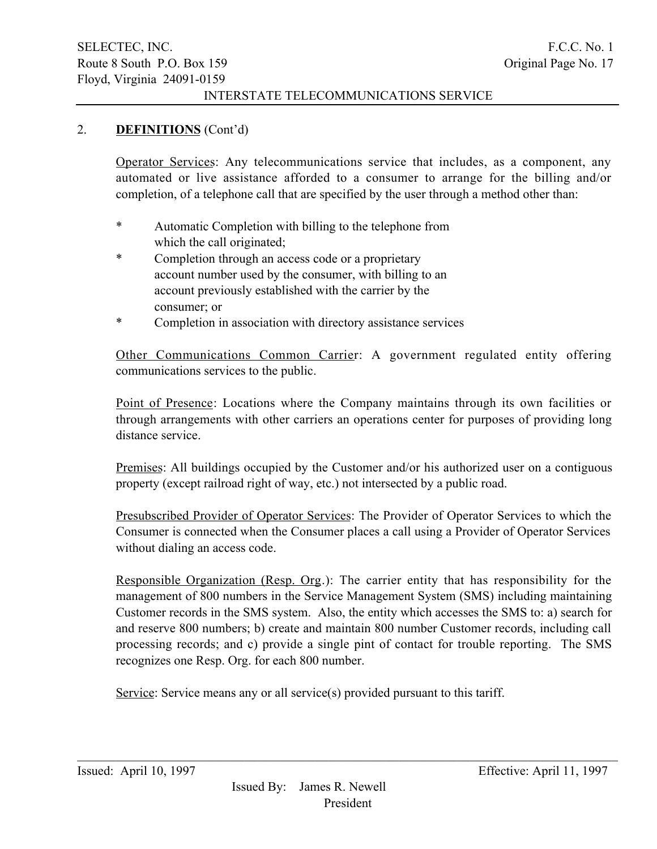### 2. DEFINITIONS (Cont'd)

Operator Services: Any telecommunications service that includes, as a component, any automated or live assistance afforded to a consumer to arrange for the billing and/or completion, of a telephone call that are specified by the user through a method other than:

- \* Automatic Completion with billing to the telephone from which the call originated;
- \* Completion through an access code or a proprietary account number used by the consumer, with billing to an account previously established with the carrier by the consumer; or
- \* Completion in association with directory assistance services

Other Communications Common Carrier: A government regulated entity offering communications services to the public.

Point of Presence: Locations where the Company maintains through its own facilities or through arrangements with other carriers an operations center for purposes of providing long distance service.

Premises: All buildings occupied by the Customer and/or his authorized user on a contiguous property (except railroad right of way, etc.) not intersected by a public road.

Presubscribed Provider of Operator Services: The Provider of Operator Services to which the Consumer is connected when the Consumer places a call using a Provider of Operator Services without dialing an access code.

Responsible Organization (Resp. Org.): The carrier entity that has responsibility for the management of 800 numbers in the Service Management System (SMS) including maintaining Customer records in the SMS system. Also, the entity which accesses the SMS to: a) search for and reserve 800 numbers; b) create and maintain 800 number Customer records, including call processing records; and c) provide a single pint of contact for trouble reporting. The SMS recognizes one Resp. Org. for each 800 number.

 $\mathcal{L}_\mathcal{L} = \{ \mathcal{L}_\mathcal{L} = \{ \mathcal{L}_\mathcal{L} = \{ \mathcal{L}_\mathcal{L} = \{ \mathcal{L}_\mathcal{L} = \{ \mathcal{L}_\mathcal{L} = \{ \mathcal{L}_\mathcal{L} = \{ \mathcal{L}_\mathcal{L} = \{ \mathcal{L}_\mathcal{L} = \{ \mathcal{L}_\mathcal{L} = \{ \mathcal{L}_\mathcal{L} = \{ \mathcal{L}_\mathcal{L} = \{ \mathcal{L}_\mathcal{L} = \{ \mathcal{L}_\mathcal{L} = \{ \mathcal{L}_\mathcal{$ 

Service: Service means any or all service(s) provided pursuant to this tariff.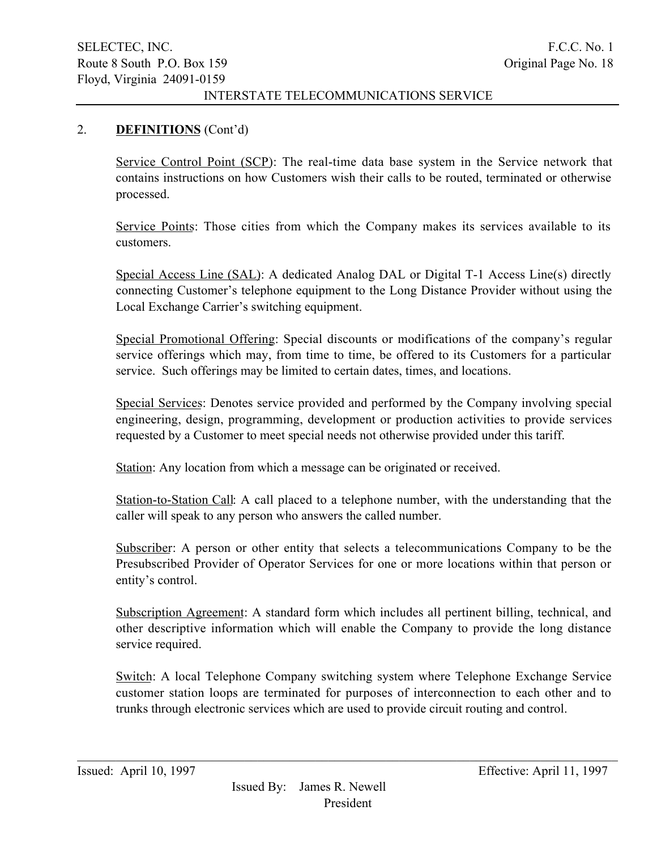### 2. DEFINITIONS (Cont'd)

Service Control Point (SCP): The real-time data base system in the Service network that contains instructions on how Customers wish their calls to be routed, terminated or otherwise processed.

Service Points: Those cities from which the Company makes its services available to its customers.

Special Access Line (SAL): A dedicated Analog DAL or Digital T-1 Access Line(s) directly connecting Customer's telephone equipment to the Long Distance Provider without using the Local Exchange Carrier's switching equipment.

Special Promotional Offering: Special discounts or modifications of the company's regular service offerings which may, from time to time, be offered to its Customers for a particular service. Such offerings may be limited to certain dates, times, and locations.

Special Services: Denotes service provided and performed by the Company involving special engineering, design, programming, development or production activities to provide services requested by a Customer to meet special needs not otherwise provided under this tariff.

Station: Any location from which a message can be originated or received.

Station-to-Station Call: A call placed to a telephone number, with the understanding that the caller will speak to any person who answers the called number.

Subscriber: A person or other entity that selects a telecommunications Company to be the Presubscribed Provider of Operator Services for one or more locations within that person or entity's control.

Subscription Agreement: A standard form which includes all pertinent billing, technical, and other descriptive information which will enable the Company to provide the long distance service required.

Switch: A local Telephone Company switching system where Telephone Exchange Service customer station loops are terminated for purposes of interconnection to each other and to trunks through electronic services which are used to provide circuit routing and control.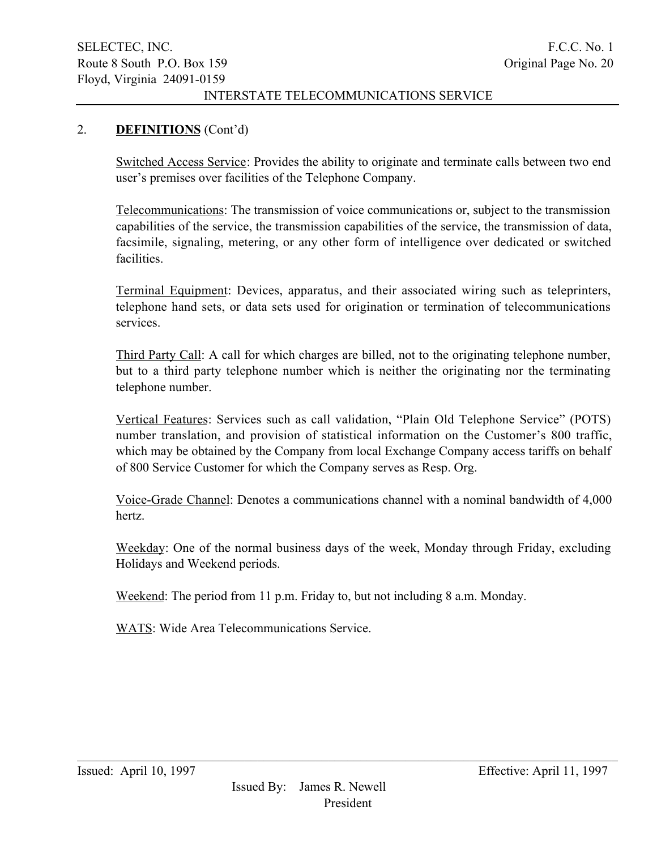### 2. DEFINITIONS (Cont'd)

Switched Access Service: Provides the ability to originate and terminate calls between two end user's premises over facilities of the Telephone Company.

Telecommunications: The transmission of voice communications or, subject to the transmission capabilities of the service, the transmission capabilities of the service, the transmission of data, facsimile, signaling, metering, or any other form of intelligence over dedicated or switched facilities.

Terminal Equipment: Devices, apparatus, and their associated wiring such as teleprinters, telephone hand sets, or data sets used for origination or termination of telecommunications services.

Third Party Call: A call for which charges are billed, not to the originating telephone number, but to a third party telephone number which is neither the originating nor the terminating telephone number.

Vertical Features: Services such as call validation, "Plain Old Telephone Service" (POTS) number translation, and provision of statistical information on the Customer's 800 traffic, which may be obtained by the Company from local Exchange Company access tariffs on behalf of 800 Service Customer for which the Company serves as Resp. Org.

Voice-Grade Channel: Denotes a communications channel with a nominal bandwidth of 4,000 hertz.

Weekday: One of the normal business days of the week, Monday through Friday, excluding Holidays and Weekend periods.

Weekend: The period from 11 p.m. Friday to, but not including 8 a.m. Monday.

WATS: Wide Area Telecommunications Service.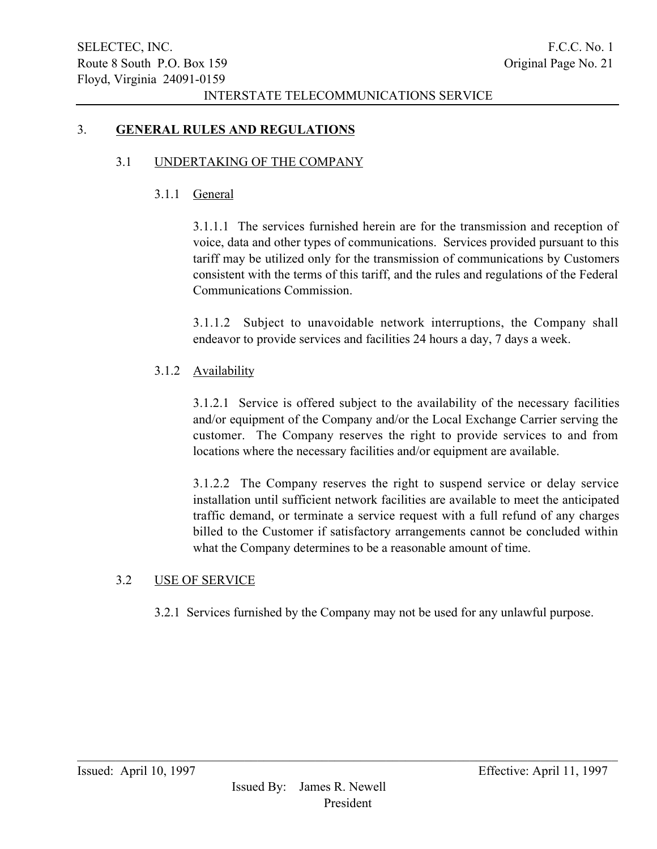### 3. GENERAL RULES AND REGULATIONS

### 3.1 UNDERTAKING OF THE COMPANY

### 3.1.1 General

3.1.1.1 The services furnished herein are for the transmission and reception of voice, data and other types of communications. Services provided pursuant to this tariff may be utilized only for the transmission of communications by Customers consistent with the terms of this tariff, and the rules and regulations of the Federal Communications Commission.

3.1.1.2 Subject to unavoidable network interruptions, the Company shall endeavor to provide services and facilities 24 hours a day, 7 days a week.

# 3.1.2 Availability

3.1.2.1 Service is offered subject to the availability of the necessary facilities and/or equipment of the Company and/or the Local Exchange Carrier serving the customer. The Company reserves the right to provide services to and from locations where the necessary facilities and/or equipment are available.

3.1.2.2 The Company reserves the right to suspend service or delay service installation until sufficient network facilities are available to meet the anticipated traffic demand, or terminate a service request with a full refund of any charges billed to the Customer if satisfactory arrangements cannot be concluded within what the Company determines to be a reasonable amount of time.

### 3.2 USE OF SERVICE

3.2.1 Services furnished by the Company may not be used for any unlawful purpose.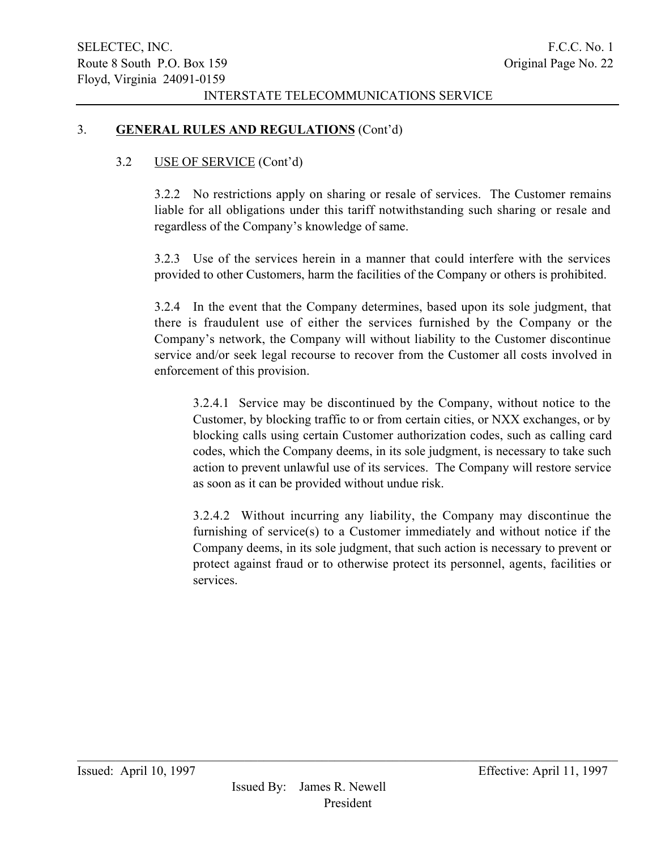### 3. GENERAL RULES AND REGULATIONS (Cont'd)

### 3.2 USE OF SERVICE (Cont'd)

3.2.2 No restrictions apply on sharing or resale of services. The Customer remains liable for all obligations under this tariff notwithstanding such sharing or resale and regardless of the Company's knowledge of same.

3.2.3 Use of the services herein in a manner that could interfere with the services provided to other Customers, harm the facilities of the Company or others is prohibited.

3.2.4 In the event that the Company determines, based upon its sole judgment, that there is fraudulent use of either the services furnished by the Company or the Company's network, the Company will without liability to the Customer discontinue service and/or seek legal recourse to recover from the Customer all costs involved in enforcement of this provision.

3.2.4.1 Service may be discontinued by the Company, without notice to the Customer, by blocking traffic to or from certain cities, or NXX exchanges, or by blocking calls using certain Customer authorization codes, such as calling card codes, which the Company deems, in its sole judgment, is necessary to take such action to prevent unlawful use of its services. The Company will restore service as soon as it can be provided without undue risk.

3.2.4.2 Without incurring any liability, the Company may discontinue the furnishing of service(s) to a Customer immediately and without notice if the Company deems, in its sole judgment, that such action is necessary to prevent or protect against fraud or to otherwise protect its personnel, agents, facilities or services.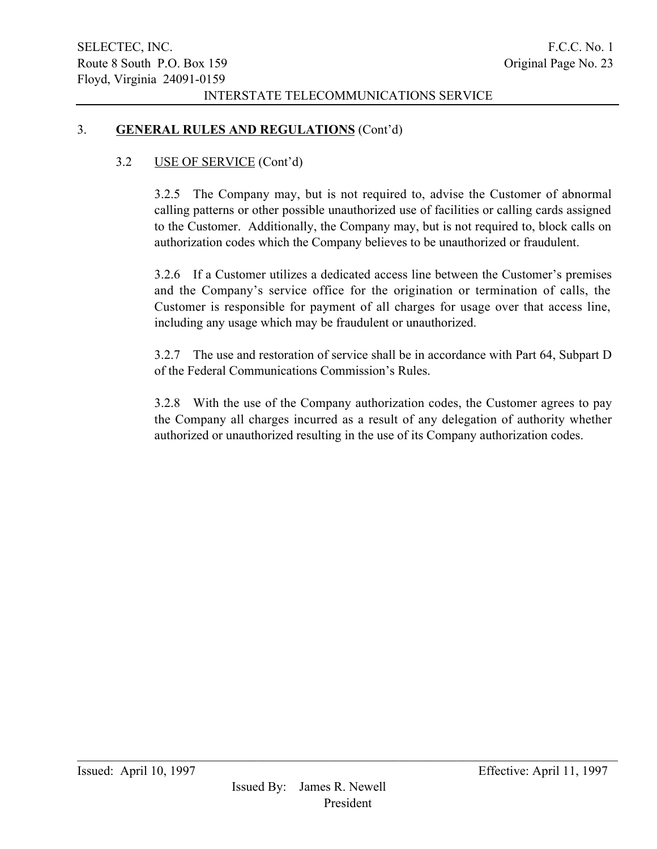### 3. GENERAL RULES AND REGULATIONS (Cont'd)

### 3.2 USE OF SERVICE (Cont'd)

3.2.5 The Company may, but is not required to, advise the Customer of abnormal calling patterns or other possible unauthorized use of facilities or calling cards assigned to the Customer. Additionally, the Company may, but is not required to, block calls on authorization codes which the Company believes to be unauthorized or fraudulent.

3.2.6 If a Customer utilizes a dedicated access line between the Customer's premises and the Company's service office for the origination or termination of calls, the Customer is responsible for payment of all charges for usage over that access line, including any usage which may be fraudulent or unauthorized.

3.2.7 The use and restoration of service shall be in accordance with Part 64, Subpart D of the Federal Communications Commission's Rules.

3.2.8 With the use of the Company authorization codes, the Customer agrees to pay the Company all charges incurred as a result of any delegation of authority whether authorized or unauthorized resulting in the use of its Company authorization codes.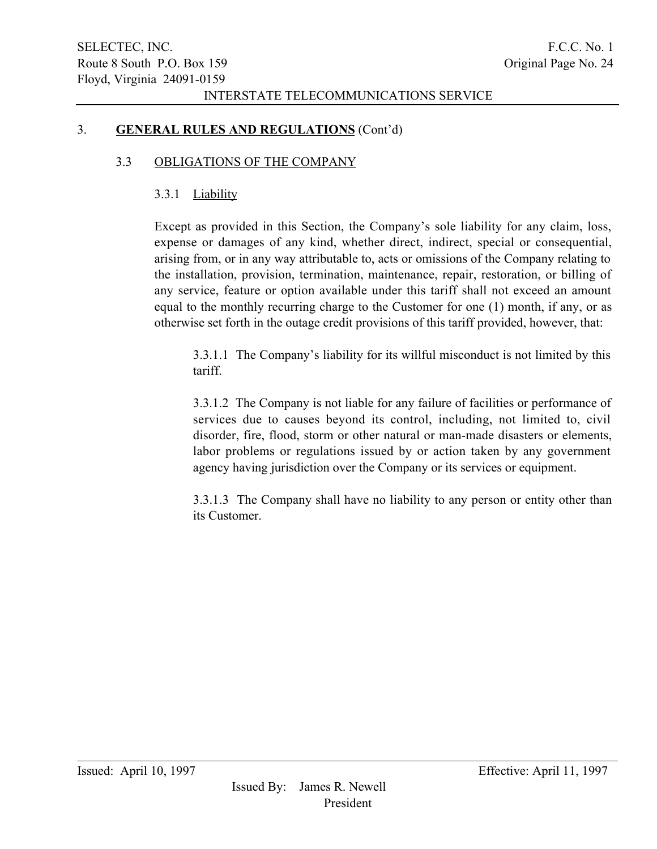### 3. GENERAL RULES AND REGULATIONS (Cont'd)

#### 3.3 OBLIGATIONS OF THE COMPANY

### 3.3.1 Liability

Except as provided in this Section, the Company's sole liability for any claim, loss, expense or damages of any kind, whether direct, indirect, special or consequential, arising from, or in any way attributable to, acts or omissions of the Company relating to the installation, provision, termination, maintenance, repair, restoration, or billing of any service, feature or option available under this tariff shall not exceed an amount equal to the monthly recurring charge to the Customer for one (1) month, if any, or as otherwise set forth in the outage credit provisions of this tariff provided, however, that:

3.3.1.1 The Company's liability for its willful misconduct is not limited by this tariff.

3.3.1.2 The Company is not liable for any failure of facilities or performance of services due to causes beyond its control, including, not limited to, civil disorder, fire, flood, storm or other natural or man-made disasters or elements, labor problems or regulations issued by or action taken by any government agency having jurisdiction over the Company or its services or equipment.

3.3.1.3 The Company shall have no liability to any person or entity other than its Customer.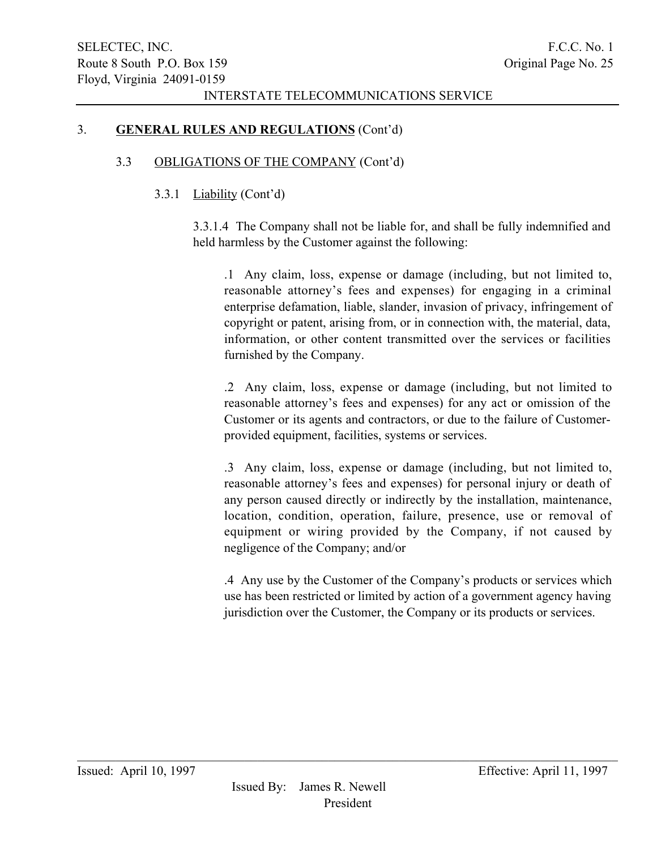### 3. GENERAL RULES AND REGULATIONS (Cont'd)

### 3.3 OBLIGATIONS OF THE COMPANY (Cont'd)

### 3.3.1 Liability (Cont'd)

3.3.1.4 The Company shall not be liable for, and shall be fully indemnified and held harmless by the Customer against the following:

.1 Any claim, loss, expense or damage (including, but not limited to, reasonable attorney's fees and expenses) for engaging in a criminal enterprise defamation, liable, slander, invasion of privacy, infringement of copyright or patent, arising from, or in connection with, the material, data, information, or other content transmitted over the services or facilities furnished by the Company.

.2 Any claim, loss, expense or damage (including, but not limited to reasonable attorney's fees and expenses) for any act or omission of the Customer or its agents and contractors, or due to the failure of Customerprovided equipment, facilities, systems or services.

.3 Any claim, loss, expense or damage (including, but not limited to, reasonable attorney's fees and expenses) for personal injury or death of any person caused directly or indirectly by the installation, maintenance, location, condition, operation, failure, presence, use or removal of equipment or wiring provided by the Company, if not caused by negligence of the Company; and/or

.4 Any use by the Customer of the Company's products or services which use has been restricted or limited by action of a government agency having jurisdiction over the Customer, the Company or its products or services.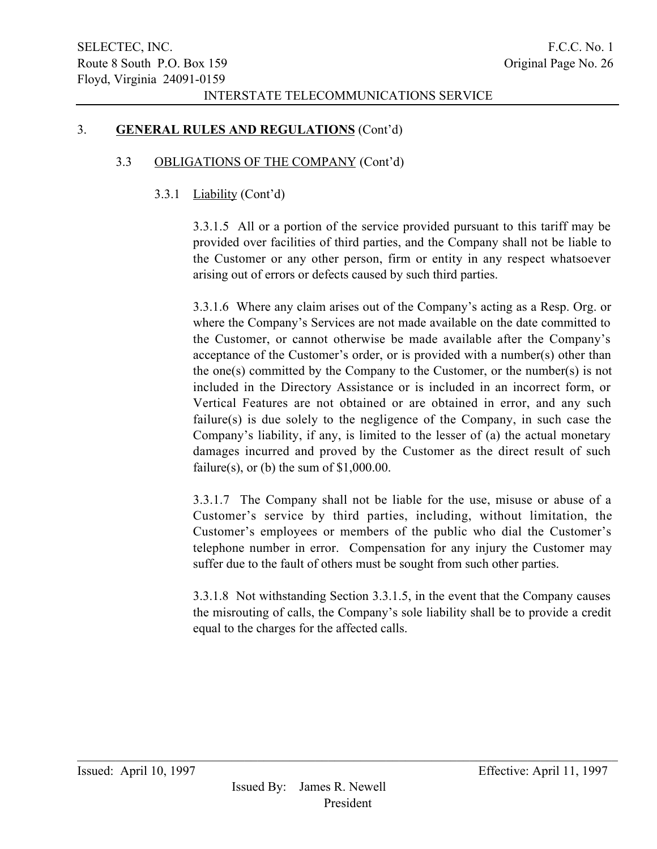### 3. GENERAL RULES AND REGULATIONS (Cont'd)

### 3.3 OBLIGATIONS OF THE COMPANY (Cont'd)

### 3.3.1 Liability (Cont'd)

3.3.1.5 All or a portion of the service provided pursuant to this tariff may be provided over facilities of third parties, and the Company shall not be liable to the Customer or any other person, firm or entity in any respect whatsoever arising out of errors or defects caused by such third parties.

3.3.1.6 Where any claim arises out of the Company's acting as a Resp. Org. or where the Company's Services are not made available on the date committed to the Customer, or cannot otherwise be made available after the Company's acceptance of the Customer's order, or is provided with a number(s) other than the one(s) committed by the Company to the Customer, or the number(s) is not included in the Directory Assistance or is included in an incorrect form, or Vertical Features are not obtained or are obtained in error, and any such failure(s) is due solely to the negligence of the Company, in such case the Company's liability, if any, is limited to the lesser of (a) the actual monetary damages incurred and proved by the Customer as the direct result of such failure(s), or (b) the sum of  $$1,000.00$ .

3.3.1.7 The Company shall not be liable for the use, misuse or abuse of a Customer's service by third parties, including, without limitation, the Customer's employees or members of the public who dial the Customer's telephone number in error. Compensation for any injury the Customer may suffer due to the fault of others must be sought from such other parties.

3.3.1.8 Not withstanding Section 3.3.1.5, in the event that the Company causes the misrouting of calls, the Company's sole liability shall be to provide a credit equal to the charges for the affected calls.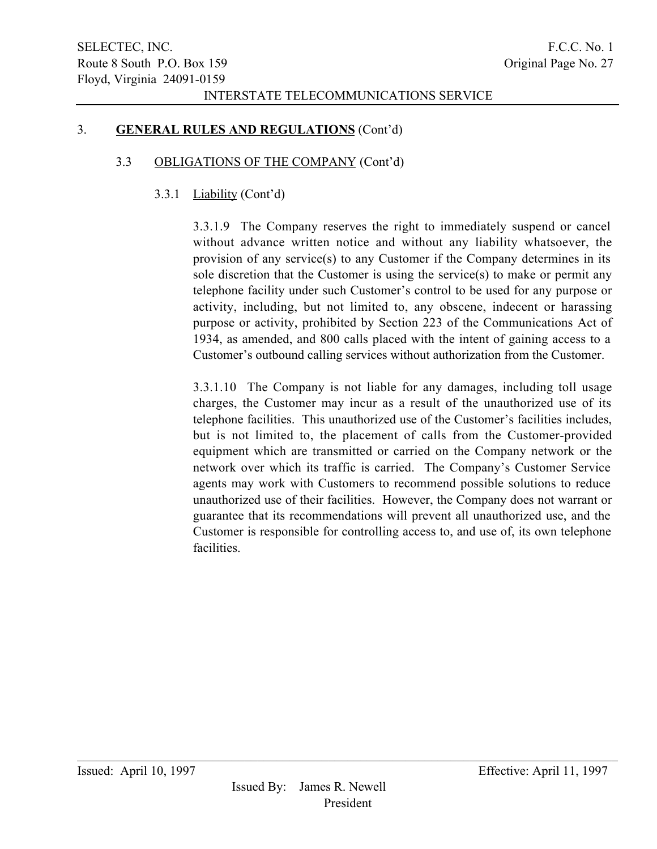### 3. GENERAL RULES AND REGULATIONS (Cont'd)

#### 3.3 OBLIGATIONS OF THE COMPANY (Cont'd)

### 3.3.1 Liability (Cont'd)

3.3.1.9 The Company reserves the right to immediately suspend or cancel without advance written notice and without any liability whatsoever, the provision of any service(s) to any Customer if the Company determines in its sole discretion that the Customer is using the service(s) to make or permit any telephone facility under such Customer's control to be used for any purpose or activity, including, but not limited to, any obscene, indecent or harassing purpose or activity, prohibited by Section 223 of the Communications Act of 1934, as amended, and 800 calls placed with the intent of gaining access to a Customer's outbound calling services without authorization from the Customer.

3.3.1.10 The Company is not liable for any damages, including toll usage charges, the Customer may incur as a result of the unauthorized use of its telephone facilities. This unauthorized use of the Customer's facilities includes, but is not limited to, the placement of calls from the Customer-provided equipment which are transmitted or carried on the Company network or the network over which its traffic is carried. The Company's Customer Service agents may work with Customers to recommend possible solutions to reduce unauthorized use of their facilities. However, the Company does not warrant or guarantee that its recommendations will prevent all unauthorized use, and the Customer is responsible for controlling access to, and use of, its own telephone facilities.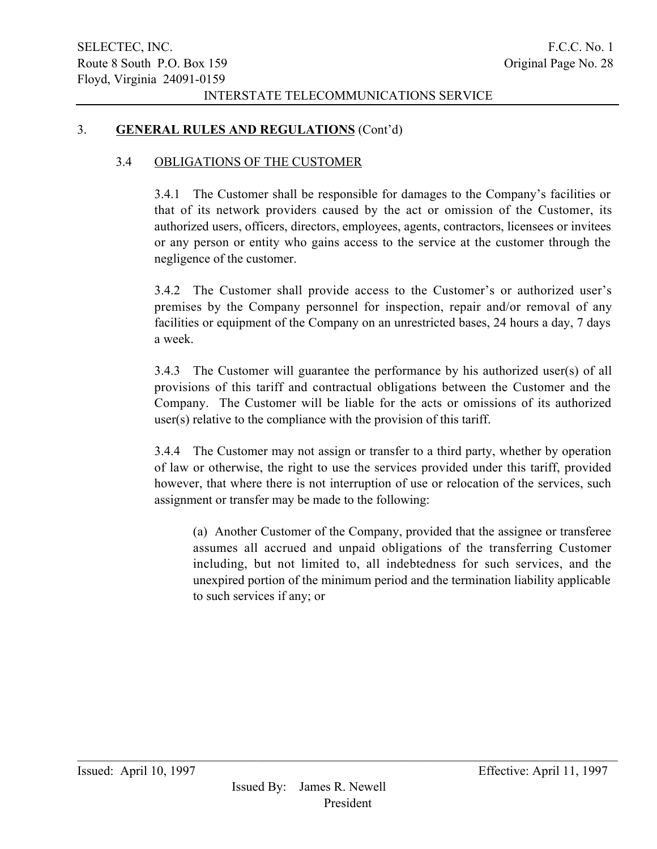### 3. GENERAL RULES AND REGULATIONS (Cont'd)

#### 3.4 OBLIGATIONS OF THE CUSTOMER

3.4.1 The Customer shall be responsible for damages to the Company's facilities or that of its network providers caused by the act or omission of the Customer, its authorized users, officers, directors, employees, agents, contractors, licensees or invitees or any person or entity who gains access to the service at the customer through the negligence of the customer.

3.4.2 The Customer shall provide access to the Customer's or authorized user's premises by the Company personnel for inspection, repair and/or removal of any facilities or equipment of the Company on an unrestricted bases, 24 hours a day, 7 days a week.

3.4.3 The Customer will guarantee the performance by his authorized user(s) of all provisions of this tariff and contractual obligations between the Customer and the Company. The Customer will be liable for the acts or omissions of its authorized user(s) relative to the compliance with the provision of this tariff.

3.4.4 The Customer may not assign or transfer to a third party, whether by operation of law or otherwise, the right to use the services provided under this tariff, provided however, that where there is not interruption of use or relocation of the services, such assignment or transfer may be made to the following:

(a) Another Customer of the Company, provided that the assignee or transferee assumes all accrued and unpaid obligations of the transferring Customer including, but not limited to, all indebtedness for such services, and the unexpired portion of the minimum period and the termination liability applicable to such services if any; or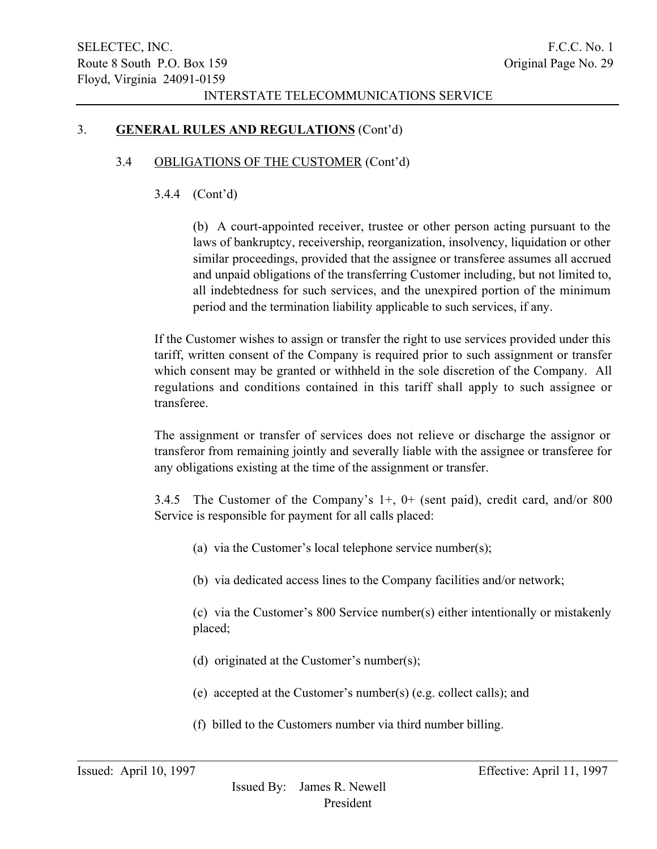### 3. GENERAL RULES AND REGULATIONS (Cont'd)

### 3.4 OBLIGATIONS OF THE CUSTOMER (Cont'd)

### 3.4.4 (Cont'd)

(b) A court-appointed receiver, trustee or other person acting pursuant to the laws of bankruptcy, receivership, reorganization, insolvency, liquidation or other similar proceedings, provided that the assignee or transferee assumes all accrued and unpaid obligations of the transferring Customer including, but not limited to, all indebtedness for such services, and the unexpired portion of the minimum period and the termination liability applicable to such services, if any.

If the Customer wishes to assign or transfer the right to use services provided under this tariff, written consent of the Company is required prior to such assignment or transfer which consent may be granted or withheld in the sole discretion of the Company. All regulations and conditions contained in this tariff shall apply to such assignee or transferee.

The assignment or transfer of services does not relieve or discharge the assignor or transferor from remaining jointly and severally liable with the assignee or transferee for any obligations existing at the time of the assignment or transfer.

3.4.5 The Customer of the Company's 1+, 0+ (sent paid), credit card, and/or 800 Service is responsible for payment for all calls placed:

- (a) via the Customer's local telephone service number(s);
- (b) via dedicated access lines to the Company facilities and/or network;

(c) via the Customer's 800 Service number(s) either intentionally or mistakenly placed;

- (d) originated at the Customer's number(s);
- (e) accepted at the Customer's number(s) (e.g. collect calls); and
- (f) billed to the Customers number via third number billing.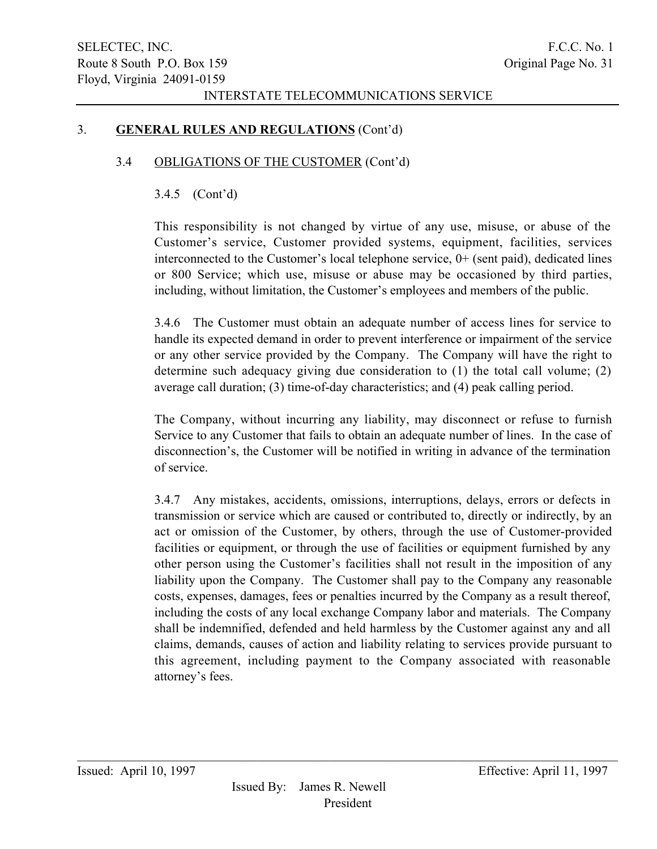### 3. GENERAL RULES AND REGULATIONS (Cont'd)

#### 3.4 OBLIGATIONS OF THE CUSTOMER (Cont'd)

### 3.4.5 (Cont'd)

This responsibility is not changed by virtue of any use, misuse, or abuse of the Customer's service, Customer provided systems, equipment, facilities, services interconnected to the Customer's local telephone service, 0+ (sent paid), dedicated lines or 800 Service; which use, misuse or abuse may be occasioned by third parties, including, without limitation, the Customer's employees and members of the public.

3.4.6 The Customer must obtain an adequate number of access lines for service to handle its expected demand in order to prevent interference or impairment of the service or any other service provided by the Company. The Company will have the right to determine such adequacy giving due consideration to (1) the total call volume; (2) average call duration; (3) time-of-day characteristics; and (4) peak calling period.

The Company, without incurring any liability, may disconnect or refuse to furnish Service to any Customer that fails to obtain an adequate number of lines. In the case of disconnection's, the Customer will be notified in writing in advance of the termination of service.

3.4.7 Any mistakes, accidents, omissions, interruptions, delays, errors or defects in transmission or service which are caused or contributed to, directly or indirectly, by an act or omission of the Customer, by others, through the use of Customer-provided facilities or equipment, or through the use of facilities or equipment furnished by any other person using the Customer's facilities shall not result in the imposition of any liability upon the Company. The Customer shall pay to the Company any reasonable costs, expenses, damages, fees or penalties incurred by the Company as a result thereof, including the costs of any local exchange Company labor and materials. The Company shall be indemnified, defended and held harmless by the Customer against any and all claims, demands, causes of action and liability relating to services provide pursuant to this agreement, including payment to the Company associated with reasonable attorney's fees.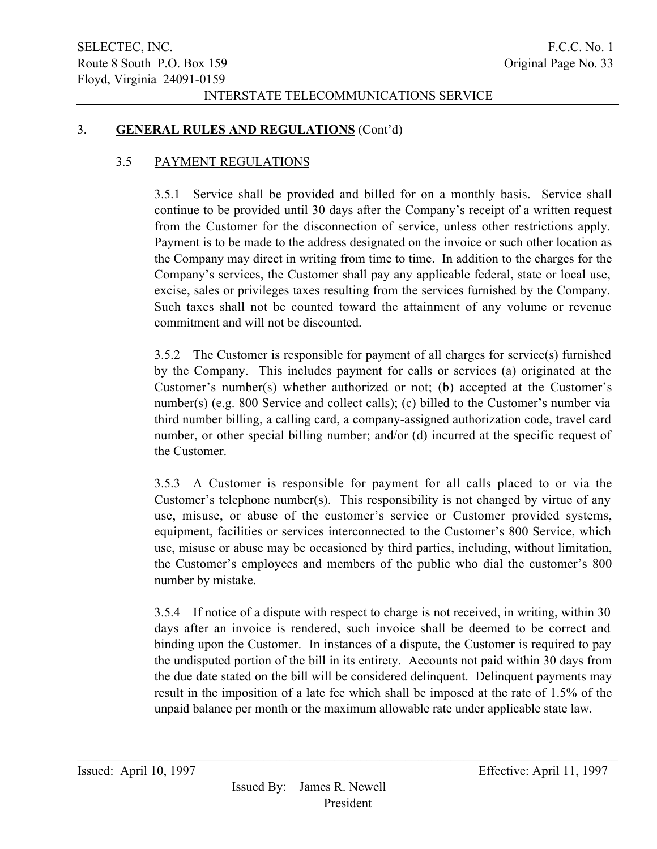### 3. GENERAL RULES AND REGULATIONS (Cont'd)

### 3.5 PAYMENT REGULATIONS

3.5.1 Service shall be provided and billed for on a monthly basis. Service shall continue to be provided until 30 days after the Company's receipt of a written request from the Customer for the disconnection of service, unless other restrictions apply. Payment is to be made to the address designated on the invoice or such other location as the Company may direct in writing from time to time. In addition to the charges for the Company's services, the Customer shall pay any applicable federal, state or local use, excise, sales or privileges taxes resulting from the services furnished by the Company. Such taxes shall not be counted toward the attainment of any volume or revenue commitment and will not be discounted.

3.5.2 The Customer is responsible for payment of all charges for service(s) furnished by the Company. This includes payment for calls or services (a) originated at the Customer's number(s) whether authorized or not; (b) accepted at the Customer's number(s) (e.g. 800 Service and collect calls); (c) billed to the Customer's number via third number billing, a calling card, a company-assigned authorization code, travel card number, or other special billing number; and/or (d) incurred at the specific request of the Customer.

3.5.3 A Customer is responsible for payment for all calls placed to or via the Customer's telephone number(s). This responsibility is not changed by virtue of any use, misuse, or abuse of the customer's service or Customer provided systems, equipment, facilities or services interconnected to the Customer's 800 Service, which use, misuse or abuse may be occasioned by third parties, including, without limitation, the Customer's employees and members of the public who dial the customer's 800 number by mistake.

3.5.4 If notice of a dispute with respect to charge is not received, in writing, within 30 days after an invoice is rendered, such invoice shall be deemed to be correct and binding upon the Customer. In instances of a dispute, the Customer is required to pay the undisputed portion of the bill in its entirety. Accounts not paid within 30 days from the due date stated on the bill will be considered delinquent. Delinquent payments may result in the imposition of a late fee which shall be imposed at the rate of 1.5% of the unpaid balance per month or the maximum allowable rate under applicable state law.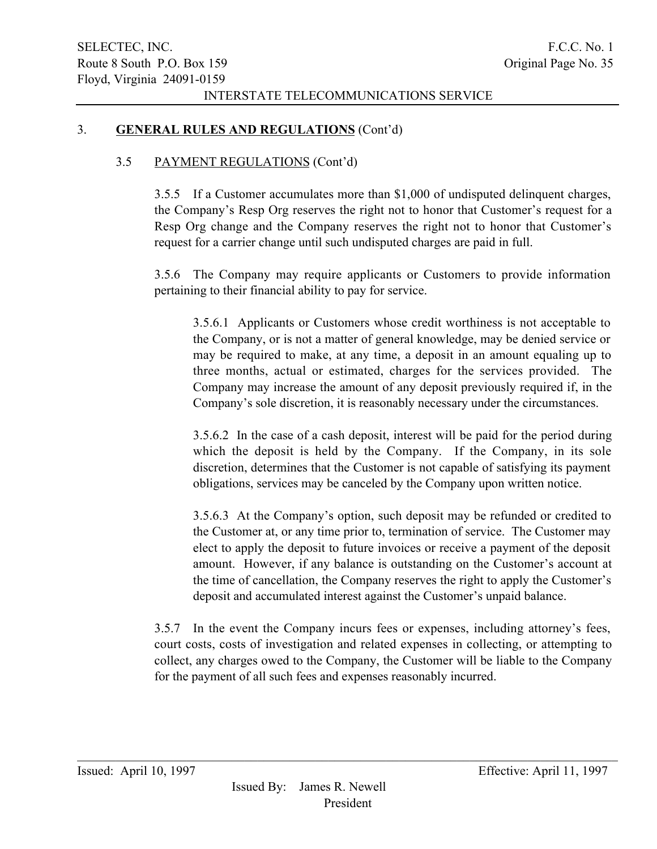### 3. GENERAL RULES AND REGULATIONS (Cont'd)

#### 3.5 PAYMENT REGULATIONS (Cont'd)

3.5.5 If a Customer accumulates more than \$1,000 of undisputed delinquent charges, the Company's Resp Org reserves the right not to honor that Customer's request for a Resp Org change and the Company reserves the right not to honor that Customer's request for a carrier change until such undisputed charges are paid in full.

3.5.6 The Company may require applicants or Customers to provide information pertaining to their financial ability to pay for service.

3.5.6.1 Applicants or Customers whose credit worthiness is not acceptable to the Company, or is not a matter of general knowledge, may be denied service or may be required to make, at any time, a deposit in an amount equaling up to three months, actual or estimated, charges for the services provided. The Company may increase the amount of any deposit previously required if, in the Company's sole discretion, it is reasonably necessary under the circumstances.

3.5.6.2 In the case of a cash deposit, interest will be paid for the period during which the deposit is held by the Company. If the Company, in its sole discretion, determines that the Customer is not capable of satisfying its payment obligations, services may be canceled by the Company upon written notice.

3.5.6.3 At the Company's option, such deposit may be refunded or credited to the Customer at, or any time prior to, termination of service. The Customer may elect to apply the deposit to future invoices or receive a payment of the deposit amount. However, if any balance is outstanding on the Customer's account at the time of cancellation, the Company reserves the right to apply the Customer's deposit and accumulated interest against the Customer's unpaid balance.

3.5.7 In the event the Company incurs fees or expenses, including attorney's fees, court costs, costs of investigation and related expenses in collecting, or attempting to collect, any charges owed to the Company, the Customer will be liable to the Company for the payment of all such fees and expenses reasonably incurred.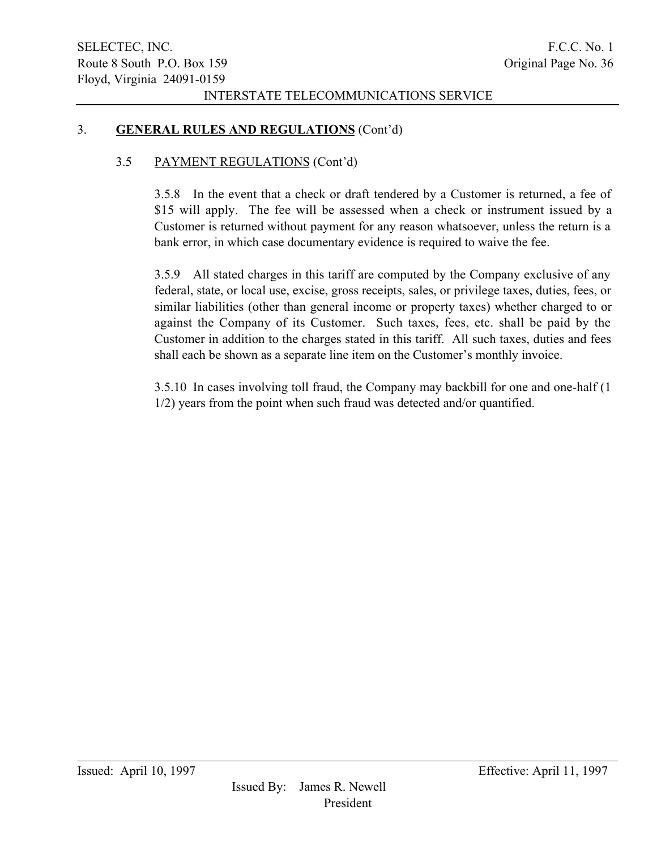## 3. GENERAL RULES AND REGULATIONS (Cont'd)

# 3.5 PAYMENT REGULATIONS (Cont'd)

3.5.8 In the event that a check or draft tendered by a Customer is returned, a fee of \$15 will apply. The fee will be assessed when a check or instrument issued by a Customer is returned without payment for any reason whatsoever, unless the return is a bank error, in which case documentary evidence is required to waive the fee.

3.5.9 All stated charges in this tariff are computed by the Company exclusive of any federal, state, or local use, excise, gross receipts, sales, or privilege taxes, duties, fees, or similar liabilities (other than general income or property taxes) whether charged to or against the Company of its Customer. Such taxes, fees, etc. shall be paid by the Customer in addition to the charges stated in this tariff. All such taxes, duties and fees shall each be shown as a separate line item on the Customer's monthly invoice.

3.5.10 In cases involving toll fraud, the Company may backbill for one and one-half (1 1/2) years from the point when such fraud was detected and/or quantified.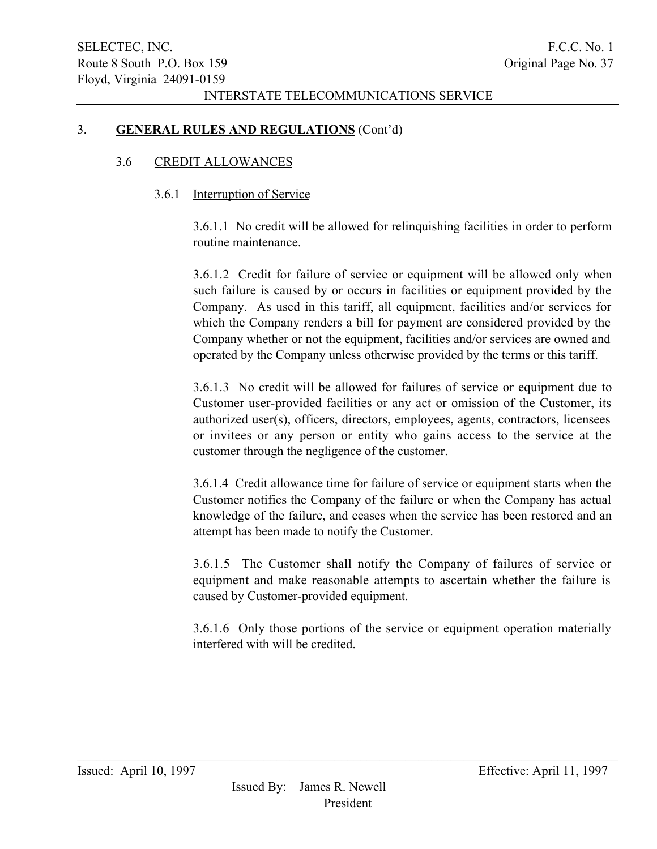## 3. GENERAL RULES AND REGULATIONS (Cont'd)

### 3.6 CREDIT ALLOWANCES

### 3.6.1 Interruption of Service

3.6.1.1 No credit will be allowed for relinquishing facilities in order to perform routine maintenance.

3.6.1.2 Credit for failure of service or equipment will be allowed only when such failure is caused by or occurs in facilities or equipment provided by the Company. As used in this tariff, all equipment, facilities and/or services for which the Company renders a bill for payment are considered provided by the Company whether or not the equipment, facilities and/or services are owned and operated by the Company unless otherwise provided by the terms or this tariff.

3.6.1.3 No credit will be allowed for failures of service or equipment due to Customer user-provided facilities or any act or omission of the Customer, its authorized user(s), officers, directors, employees, agents, contractors, licensees or invitees or any person or entity who gains access to the service at the customer through the negligence of the customer.

3.6.1.4 Credit allowance time for failure of service or equipment starts when the Customer notifies the Company of the failure or when the Company has actual knowledge of the failure, and ceases when the service has been restored and an attempt has been made to notify the Customer.

3.6.1.5 The Customer shall notify the Company of failures of service or equipment and make reasonable attempts to ascertain whether the failure is caused by Customer-provided equipment.

3.6.1.6 Only those portions of the service or equipment operation materially interfered with will be credited.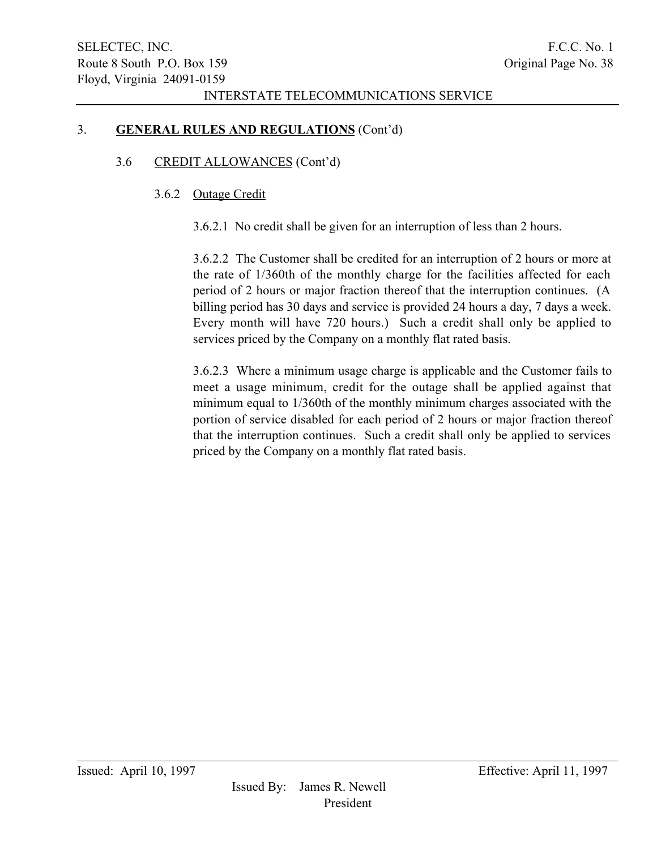## 3. GENERAL RULES AND REGULATIONS (Cont'd)

## 3.6 CREDIT ALLOWANCES (Cont'd)

### 3.6.2 Outage Credit

3.6.2.1 No credit shall be given for an interruption of less than 2 hours.

3.6.2.2 The Customer shall be credited for an interruption of 2 hours or more at the rate of 1/360th of the monthly charge for the facilities affected for each period of 2 hours or major fraction thereof that the interruption continues. (A billing period has 30 days and service is provided 24 hours a day, 7 days a week. Every month will have 720 hours.) Such a credit shall only be applied to services priced by the Company on a monthly flat rated basis.

3.6.2.3 Where a minimum usage charge is applicable and the Customer fails to meet a usage minimum, credit for the outage shall be applied against that minimum equal to 1/360th of the monthly minimum charges associated with the portion of service disabled for each period of 2 hours or major fraction thereof that the interruption continues. Such a credit shall only be applied to services priced by the Company on a monthly flat rated basis.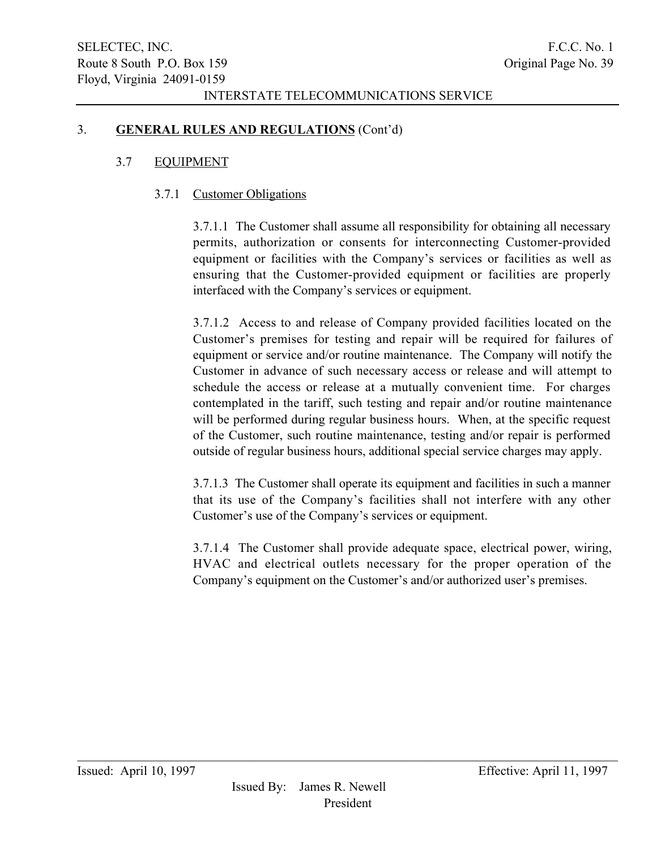## 3. GENERAL RULES AND REGULATIONS (Cont'd)

### 3.7 EQUIPMENT

### 3.7.1 Customer Obligations

3.7.1.1 The Customer shall assume all responsibility for obtaining all necessary permits, authorization or consents for interconnecting Customer-provided equipment or facilities with the Company's services or facilities as well as ensuring that the Customer-provided equipment or facilities are properly interfaced with the Company's services or equipment.

3.7.1.2 Access to and release of Company provided facilities located on the Customer's premises for testing and repair will be required for failures of equipment or service and/or routine maintenance. The Company will notify the Customer in advance of such necessary access or release and will attempt to schedule the access or release at a mutually convenient time. For charges contemplated in the tariff, such testing and repair and/or routine maintenance will be performed during regular business hours. When, at the specific request of the Customer, such routine maintenance, testing and/or repair is performed outside of regular business hours, additional special service charges may apply.

3.7.1.3 The Customer shall operate its equipment and facilities in such a manner that its use of the Company's facilities shall not interfere with any other Customer's use of the Company's services or equipment.

3.7.1.4 The Customer shall provide adequate space, electrical power, wiring, HVAC and electrical outlets necessary for the proper operation of the Company's equipment on the Customer's and/or authorized user's premises.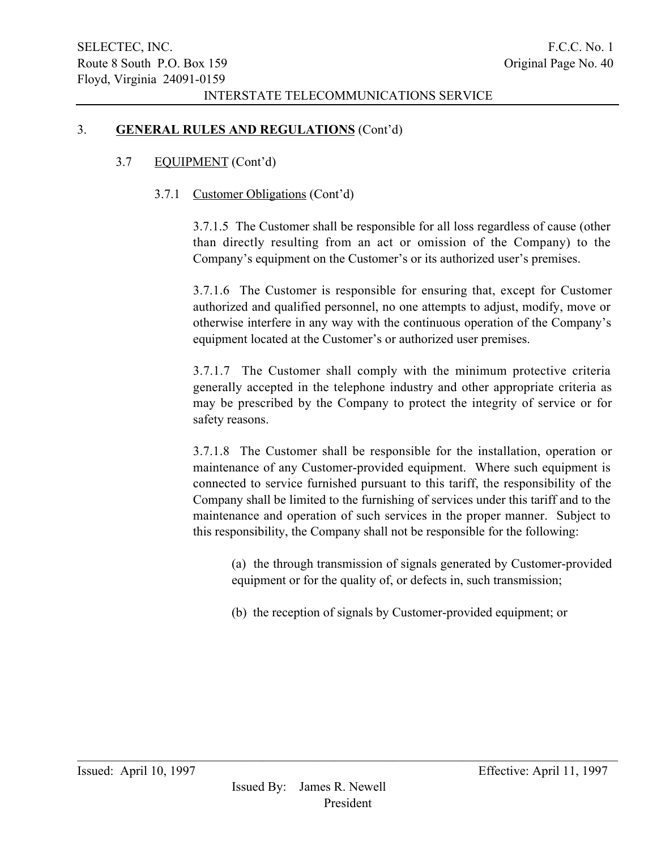## 3. GENERAL RULES AND REGULATIONS (Cont'd)

## 3.7 EQUIPMENT (Cont'd)

## 3.7.1 Customer Obligations (Cont'd)

3.7.1.5 The Customer shall be responsible for all loss regardless of cause (other than directly resulting from an act or omission of the Company) to the Company's equipment on the Customer's or its authorized user's premises.

3.7.1.6 The Customer is responsible for ensuring that, except for Customer authorized and qualified personnel, no one attempts to adjust, modify, move or otherwise interfere in any way with the continuous operation of the Company's equipment located at the Customer's or authorized user premises.

3.7.1.7 The Customer shall comply with the minimum protective criteria generally accepted in the telephone industry and other appropriate criteria as may be prescribed by the Company to protect the integrity of service or for safety reasons.

3.7.1.8 The Customer shall be responsible for the installation, operation or maintenance of any Customer-provided equipment. Where such equipment is connected to service furnished pursuant to this tariff, the responsibility of the Company shall be limited to the furnishing of services under this tariff and to the maintenance and operation of such services in the proper manner. Subject to this responsibility, the Company shall not be responsible for the following:

(a) the through transmission of signals generated by Customer-provided equipment or for the quality of, or defects in, such transmission;

(b) the reception of signals by Customer-provided equipment; or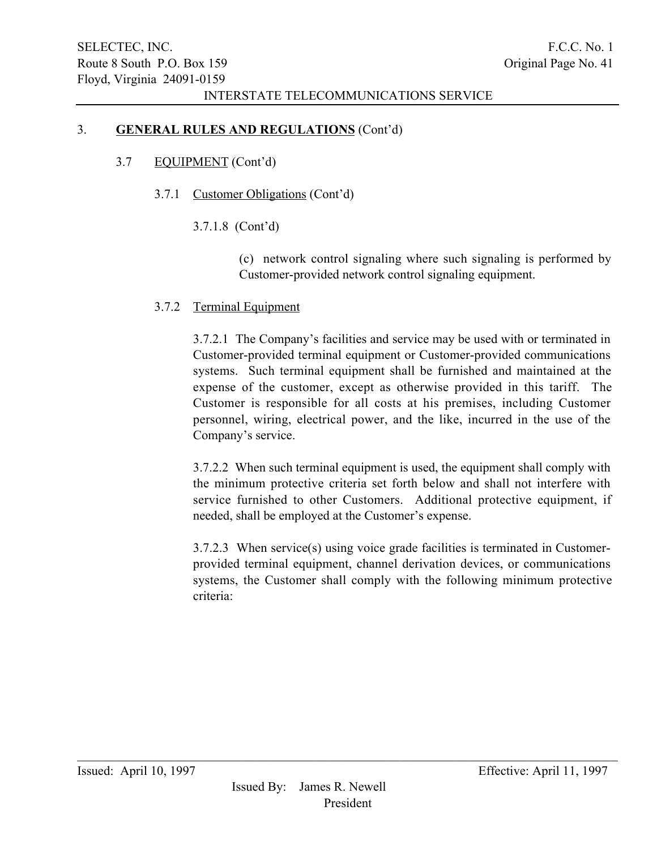## 3. GENERAL RULES AND REGULATIONS (Cont'd)

## 3.7 EQUIPMENT (Cont'd)

- 3.7.1 Customer Obligations (Cont'd)
	- 3.7.1.8 (Cont'd)

(c) network control signaling where such signaling is performed by Customer-provided network control signaling equipment.

### 3.7.2 Terminal Equipment

3.7.2.1 The Company's facilities and service may be used with or terminated in Customer-provided terminal equipment or Customer-provided communications systems. Such terminal equipment shall be furnished and maintained at the expense of the customer, except as otherwise provided in this tariff. The Customer is responsible for all costs at his premises, including Customer personnel, wiring, electrical power, and the like, incurred in the use of the Company's service.

3.7.2.2 When such terminal equipment is used, the equipment shall comply with the minimum protective criteria set forth below and shall not interfere with service furnished to other Customers. Additional protective equipment, if needed, shall be employed at the Customer's expense.

3.7.2.3 When service(s) using voice grade facilities is terminated in Customerprovided terminal equipment, channel derivation devices, or communications systems, the Customer shall comply with the following minimum protective criteria: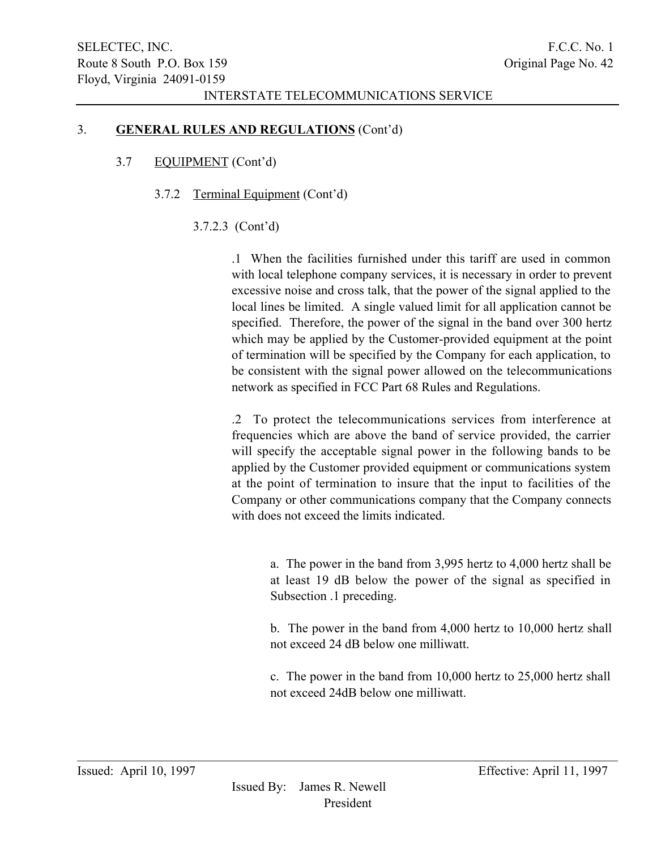### 3. GENERAL RULES AND REGULATIONS (Cont'd)

## 3.7 EQUIPMENT (Cont'd)

## 3.7.2 Terminal Equipment (Cont'd)

## 3.7.2.3 (Cont'd)

.1 When the facilities furnished under this tariff are used in common with local telephone company services, it is necessary in order to prevent excessive noise and cross talk, that the power of the signal applied to the local lines be limited. A single valued limit for all application cannot be specified. Therefore, the power of the signal in the band over 300 hertz which may be applied by the Customer-provided equipment at the point of termination will be specified by the Company for each application, to be consistent with the signal power allowed on the telecommunications network as specified in FCC Part 68 Rules and Regulations.

.2 To protect the telecommunications services from interference at frequencies which are above the band of service provided, the carrier will specify the acceptable signal power in the following bands to be applied by the Customer provided equipment or communications system at the point of termination to insure that the input to facilities of the Company or other communications company that the Company connects with does not exceed the limits indicated.

a. The power in the band from 3,995 hertz to 4,000 hertz shall be at least 19 dB below the power of the signal as specified in Subsection .1 preceding.

b. The power in the band from 4,000 hertz to 10,000 hertz shall not exceed 24 dB below one milliwatt.

c. The power in the band from 10,000 hertz to 25,000 hertz shall not exceed 24dB below one milliwatt.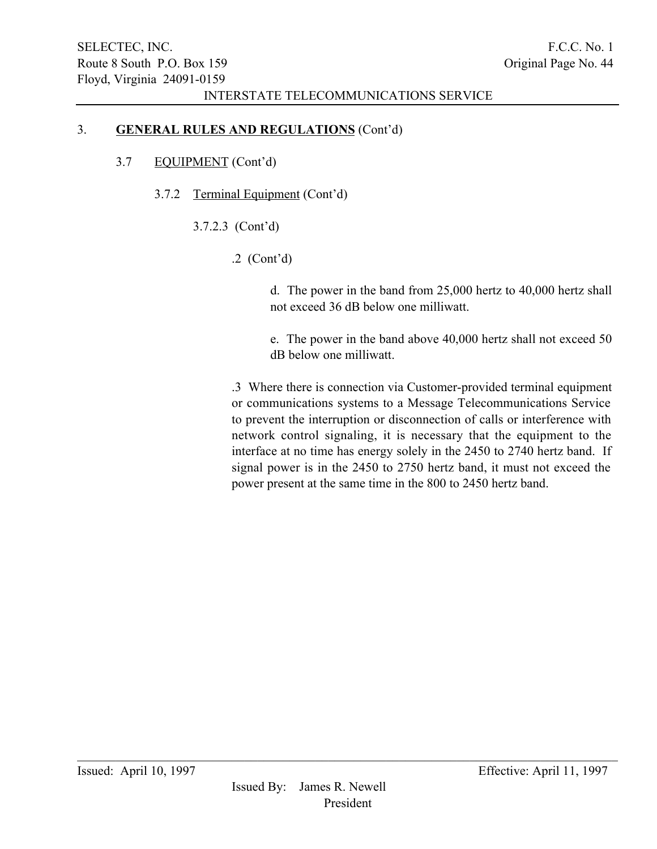## 3. GENERAL RULES AND REGULATIONS (Cont'd)

# 3.7 EQUIPMENT (Cont'd)

- 3.7.2 Terminal Equipment (Cont'd)
	- 3.7.2.3 (Cont'd)
		- .2 (Cont'd)

d. The power in the band from 25,000 hertz to 40,000 hertz shall not exceed 36 dB below one milliwatt.

e. The power in the band above 40,000 hertz shall not exceed 50 dB below one milliwatt.

.3 Where there is connection via Customer-provided terminal equipment or communications systems to a Message Telecommunications Service to prevent the interruption or disconnection of calls or interference with network control signaling, it is necessary that the equipment to the interface at no time has energy solely in the 2450 to 2740 hertz band. If signal power is in the 2450 to 2750 hertz band, it must not exceed the power present at the same time in the 800 to 2450 hertz band.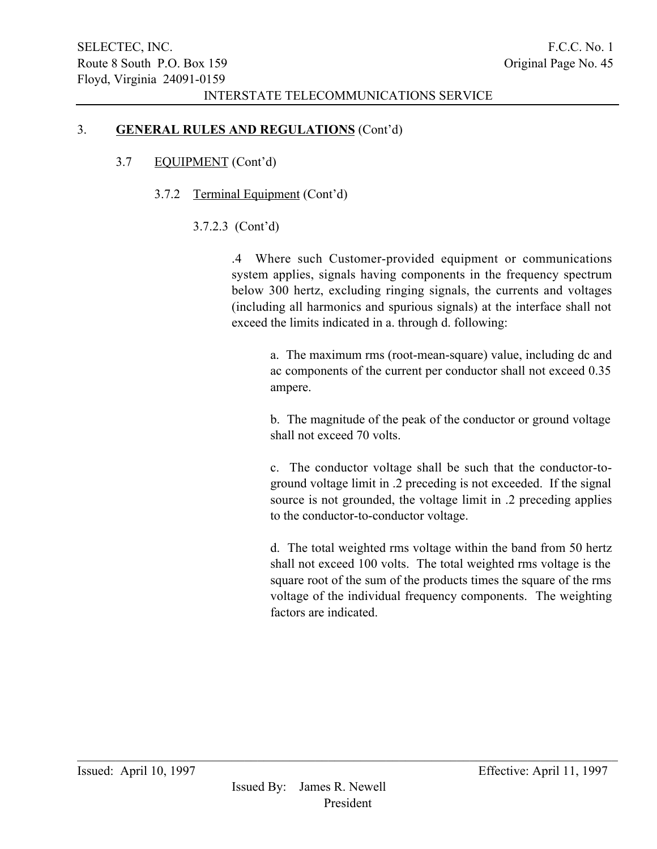## 3. GENERAL RULES AND REGULATIONS (Cont'd)

- 3.7 EQUIPMENT (Cont'd)
	- 3.7.2 Terminal Equipment (Cont'd)
		- 3.7.2.3 (Cont'd)

.4 Where such Customer-provided equipment or communications system applies, signals having components in the frequency spectrum below 300 hertz, excluding ringing signals, the currents and voltages (including all harmonics and spurious signals) at the interface shall not exceed the limits indicated in a. through d. following:

> a. The maximum rms (root-mean-square) value, including dc and ac components of the current per conductor shall not exceed 0.35 ampere.

> b. The magnitude of the peak of the conductor or ground voltage shall not exceed 70 volts.

> c. The conductor voltage shall be such that the conductor-toground voltage limit in .2 preceding is not exceeded. If the signal source is not grounded, the voltage limit in .2 preceding applies to the conductor-to-conductor voltage.

> d. The total weighted rms voltage within the band from 50 hertz shall not exceed 100 volts. The total weighted rms voltage is the square root of the sum of the products times the square of the rms voltage of the individual frequency components. The weighting factors are indicated.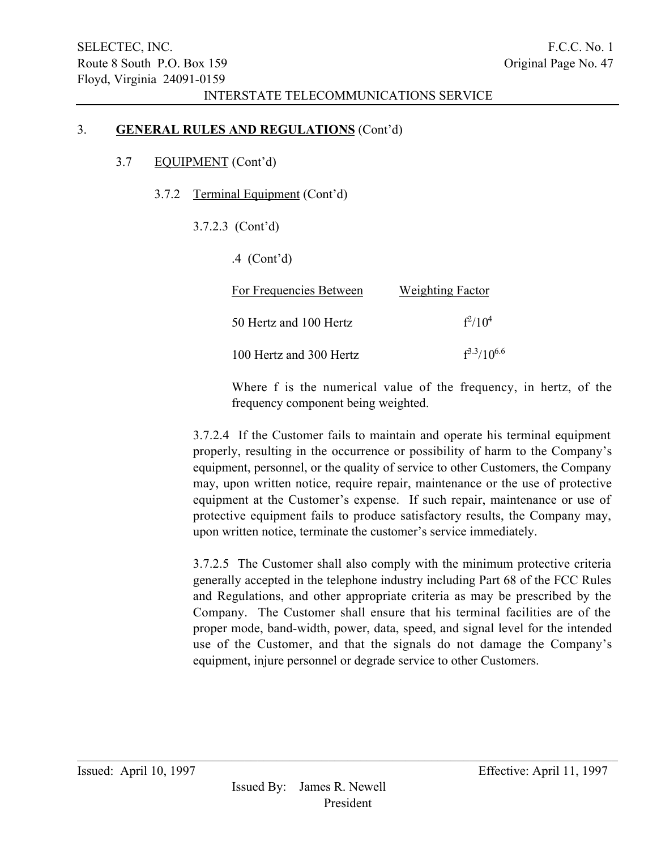## 3. GENERAL RULES AND REGULATIONS (Cont'd)

## 3.7 EQUIPMENT (Cont'd)

- 3.7.2 Terminal Equipment (Cont'd)
	- 3.7.2.3 (Cont'd)
		- .4 (Cont'd)

| For Frequencies Between | <b>Weighting Factor</b> |
|-------------------------|-------------------------|
| 50 Hertz and 100 Hertz  | $f^2/10^4$              |
| 100 Hertz and 300 Hertz | $f^{3.3}/10^{6.6}$      |

Where f is the numerical value of the frequency, in hertz, of the frequency component being weighted.

3.7.2.4 If the Customer fails to maintain and operate his terminal equipment properly, resulting in the occurrence or possibility of harm to the Company's equipment, personnel, or the quality of service to other Customers, the Company may, upon written notice, require repair, maintenance or the use of protective equipment at the Customer's expense. If such repair, maintenance or use of protective equipment fails to produce satisfactory results, the Company may, upon written notice, terminate the customer's service immediately.

3.7.2.5 The Customer shall also comply with the minimum protective criteria generally accepted in the telephone industry including Part 68 of the FCC Rules and Regulations, and other appropriate criteria as may be prescribed by the Company. The Customer shall ensure that his terminal facilities are of the proper mode, band-width, power, data, speed, and signal level for the intended use of the Customer, and that the signals do not damage the Company's equipment, injure personnel or degrade service to other Customers.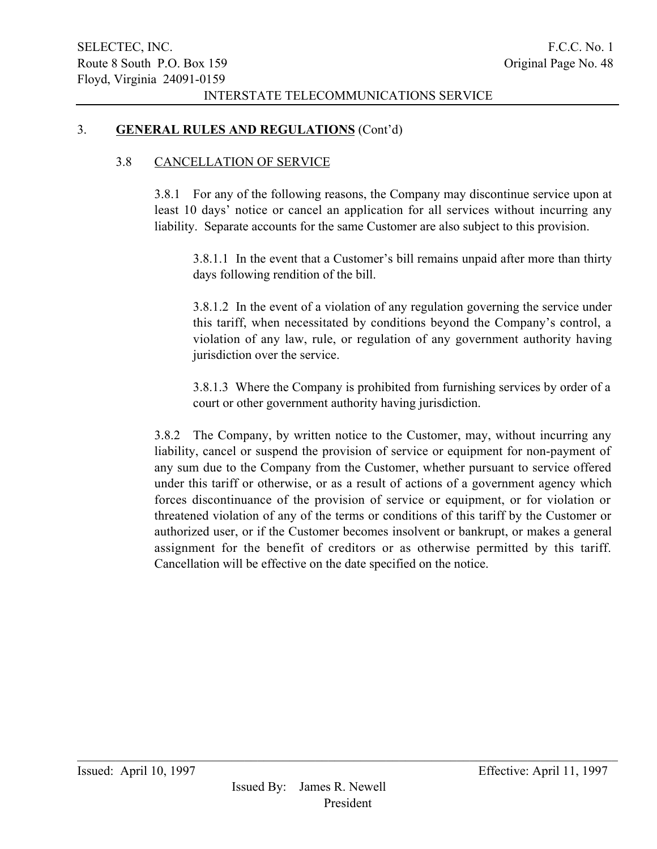## 3. GENERAL RULES AND REGULATIONS (Cont'd)

### 3.8 CANCELLATION OF SERVICE

3.8.1 For any of the following reasons, the Company may discontinue service upon at least 10 days' notice or cancel an application for all services without incurring any liability. Separate accounts for the same Customer are also subject to this provision.

3.8.1.1 In the event that a Customer's bill remains unpaid after more than thirty days following rendition of the bill.

3.8.1.2 In the event of a violation of any regulation governing the service under this tariff, when necessitated by conditions beyond the Company's control, a violation of any law, rule, or regulation of any government authority having jurisdiction over the service.

3.8.1.3 Where the Company is prohibited from furnishing services by order of a court or other government authority having jurisdiction.

3.8.2 The Company, by written notice to the Customer, may, without incurring any liability, cancel or suspend the provision of service or equipment for non-payment of any sum due to the Company from the Customer, whether pursuant to service offered under this tariff or otherwise, or as a result of actions of a government agency which forces discontinuance of the provision of service or equipment, or for violation or threatened violation of any of the terms or conditions of this tariff by the Customer or authorized user, or if the Customer becomes insolvent or bankrupt, or makes a general assignment for the benefit of creditors or as otherwise permitted by this tariff. Cancellation will be effective on the date specified on the notice.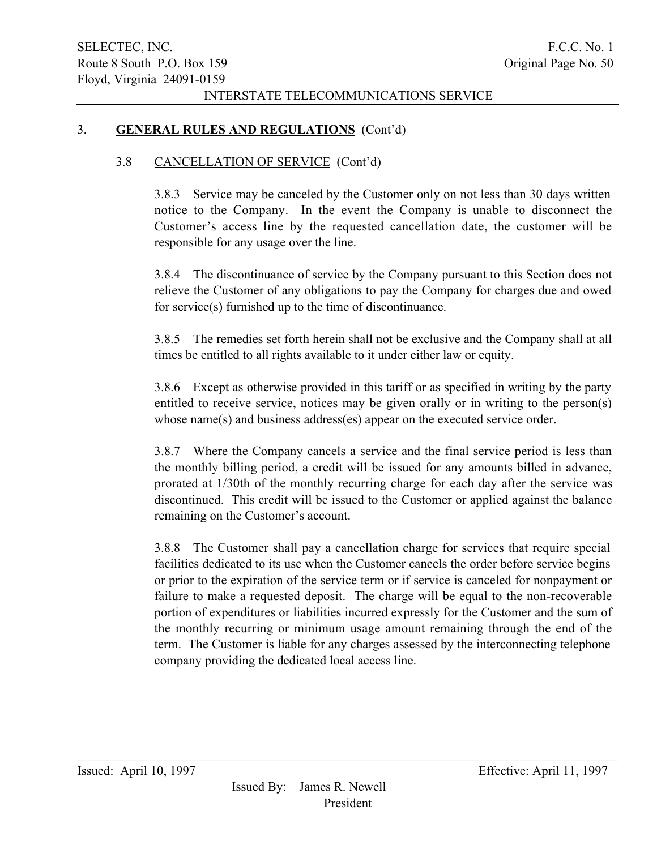## 3. GENERAL RULES AND REGULATIONS (Cont'd)

## 3.8 CANCELLATION OF SERVICE (Cont'd)

3.8.3 Service may be canceled by the Customer only on not less than 30 days written notice to the Company. In the event the Company is unable to disconnect the Customer's access line by the requested cancellation date, the customer will be responsible for any usage over the line.

3.8.4 The discontinuance of service by the Company pursuant to this Section does not relieve the Customer of any obligations to pay the Company for charges due and owed for service(s) furnished up to the time of discontinuance.

3.8.5 The remedies set forth herein shall not be exclusive and the Company shall at all times be entitled to all rights available to it under either law or equity.

3.8.6 Except as otherwise provided in this tariff or as specified in writing by the party entitled to receive service, notices may be given orally or in writing to the person(s) whose name(s) and business address(es) appear on the executed service order.

3.8.7 Where the Company cancels a service and the final service period is less than the monthly billing period, a credit will be issued for any amounts billed in advance, prorated at 1/30th of the monthly recurring charge for each day after the service was discontinued. This credit will be issued to the Customer or applied against the balance remaining on the Customer's account.

3.8.8 The Customer shall pay a cancellation charge for services that require special facilities dedicated to its use when the Customer cancels the order before service begins or prior to the expiration of the service term or if service is canceled for nonpayment or failure to make a requested deposit. The charge will be equal to the non-recoverable portion of expenditures or liabilities incurred expressly for the Customer and the sum of the monthly recurring or minimum usage amount remaining through the end of the term. The Customer is liable for any charges assessed by the interconnecting telephone company providing the dedicated local access line.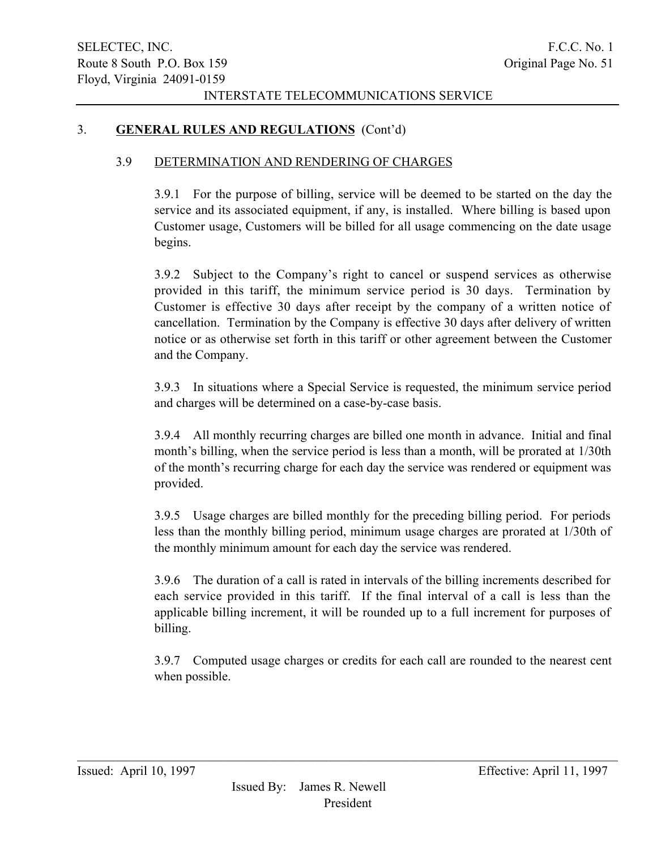## 3. GENERAL RULES AND REGULATIONS (Cont'd)

### 3.9 DETERMINATION AND RENDERING OF CHARGES

3.9.1 For the purpose of billing, service will be deemed to be started on the day the service and its associated equipment, if any, is installed. Where billing is based upon Customer usage, Customers will be billed for all usage commencing on the date usage begins.

3.9.2 Subject to the Company's right to cancel or suspend services as otherwise provided in this tariff, the minimum service period is 30 days. Termination by Customer is effective 30 days after receipt by the company of a written notice of cancellation. Termination by the Company is effective 30 days after delivery of written notice or as otherwise set forth in this tariff or other agreement between the Customer and the Company.

3.9.3 In situations where a Special Service is requested, the minimum service period and charges will be determined on a case-by-case basis.

3.9.4 All monthly recurring charges are billed one month in advance. Initial and final month's billing, when the service period is less than a month, will be prorated at 1/30th of the month's recurring charge for each day the service was rendered or equipment was provided.

3.9.5 Usage charges are billed monthly for the preceding billing period. For periods less than the monthly billing period, minimum usage charges are prorated at 1/30th of the monthly minimum amount for each day the service was rendered.

3.9.6 The duration of a call is rated in intervals of the billing increments described for each service provided in this tariff. If the final interval of a call is less than the applicable billing increment, it will be rounded up to a full increment for purposes of billing.

3.9.7 Computed usage charges or credits for each call are rounded to the nearest cent when possible.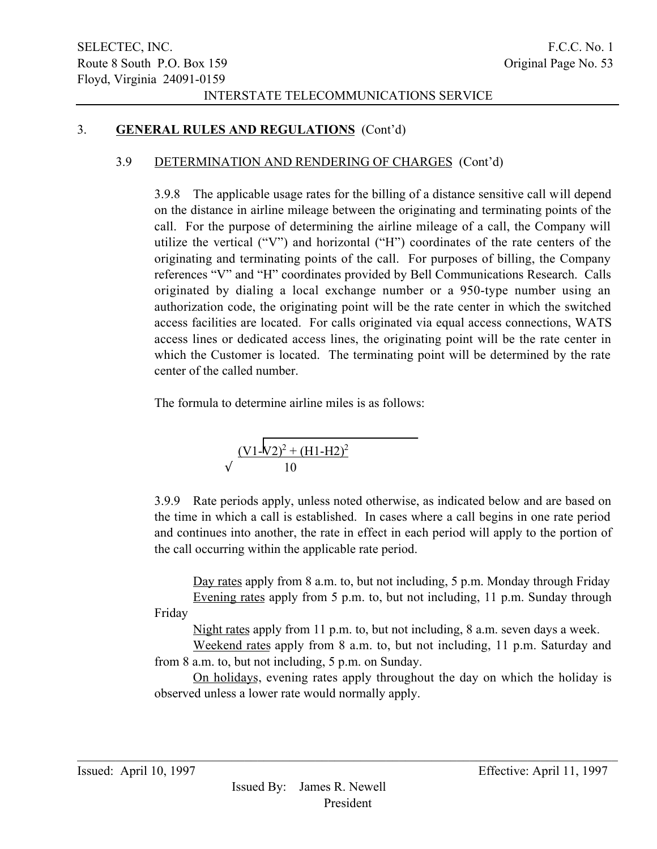# 3. GENERAL RULES AND REGULATIONS (Cont'd)

## 3.9 DETERMINATION AND RENDERING OF CHARGES (Cont'd)

3.9.8 The applicable usage rates for the billing of a distance sensitive call will depend on the distance in airline mileage between the originating and terminating points of the call. For the purpose of determining the airline mileage of a call, the Company will utilize the vertical ("V") and horizontal ("H") coordinates of the rate centers of the originating and terminating points of the call. For purposes of billing, the Company references "V" and "H" coordinates provided by Bell Communications Research. Calls originated by dialing a local exchange number or a 950-type number using an authorization code, the originating point will be the rate center in which the switched access facilities are located. For calls originated via equal access connections, WATS access lines or dedicated access lines, the originating point will be the rate center in which the Customer is located. The terminating point will be determined by the rate center of the called number.

The formula to determine airline miles is as follows:

$$
\sqrt{\frac{(V1 - V2)^2 + (H1 - H2)^2}{10}}
$$

3.9.9 Rate periods apply, unless noted otherwise, as indicated below and are based on the time in which a call is established. In cases where a call begins in one rate period and continues into another, the rate in effect in each period will apply to the portion of the call occurring within the applicable rate period.

Day rates apply from 8 a.m. to, but not including, 5 p.m. Monday through Friday Evening rates apply from 5 p.m. to, but not including, 11 p.m. Sunday through Friday

Night rates apply from 11 p.m. to, but not including, 8 a.m. seven days a week.

Weekend rates apply from 8 a.m. to, but not including, 11 p.m. Saturday and from 8 a.m. to, but not including, 5 p.m. on Sunday.

On holidays, evening rates apply throughout the day on which the holiday is observed unless a lower rate would normally apply.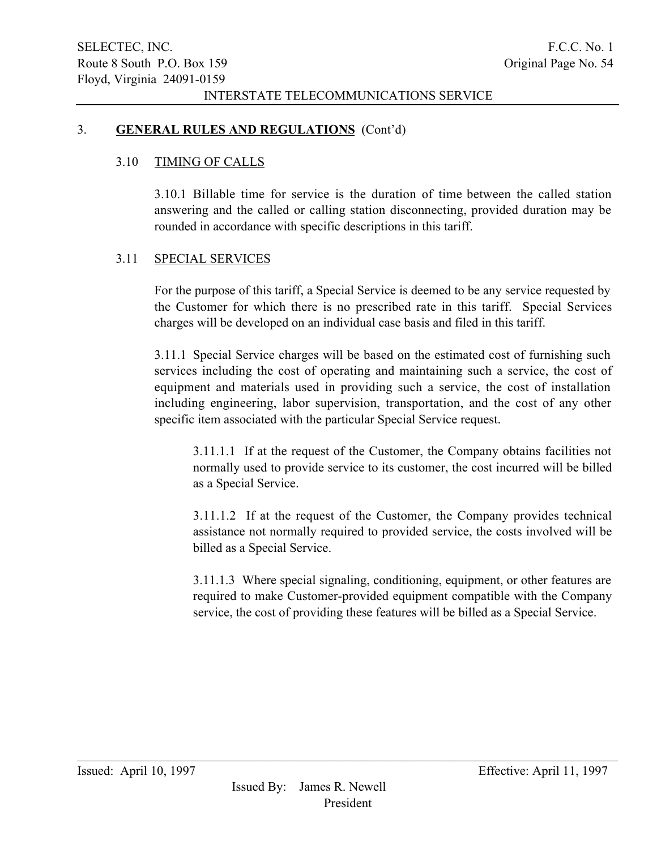## 3. GENERAL RULES AND REGULATIONS (Cont'd)

## 3.10 TIMING OF CALLS

3.10.1 Billable time for service is the duration of time between the called station answering and the called or calling station disconnecting, provided duration may be rounded in accordance with specific descriptions in this tariff.

### 3.11 SPECIAL SERVICES

For the purpose of this tariff, a Special Service is deemed to be any service requested by the Customer for which there is no prescribed rate in this tariff. Special Services charges will be developed on an individual case basis and filed in this tariff.

3.11.1 Special Service charges will be based on the estimated cost of furnishing such services including the cost of operating and maintaining such a service, the cost of equipment and materials used in providing such a service, the cost of installation including engineering, labor supervision, transportation, and the cost of any other specific item associated with the particular Special Service request.

3.11.1.1 If at the request of the Customer, the Company obtains facilities not normally used to provide service to its customer, the cost incurred will be billed as a Special Service.

3.11.1.2 If at the request of the Customer, the Company provides technical assistance not normally required to provided service, the costs involved will be billed as a Special Service.

3.11.1.3 Where special signaling, conditioning, equipment, or other features are required to make Customer-provided equipment compatible with the Company service, the cost of providing these features will be billed as a Special Service.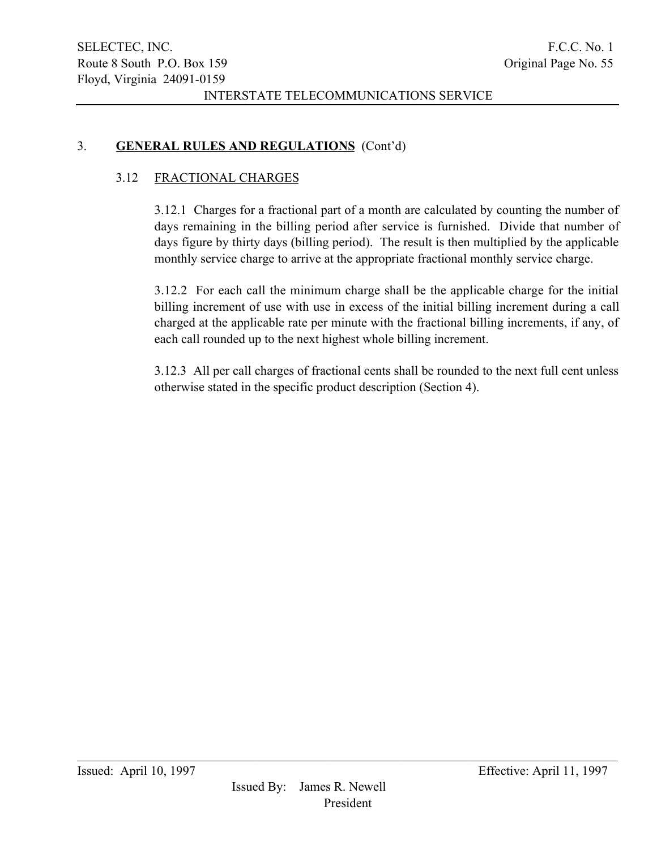# 3. GENERAL RULES AND REGULATIONS (Cont'd)

## 3.12 FRACTIONAL CHARGES

3.12.1 Charges for a fractional part of a month are calculated by counting the number of days remaining in the billing period after service is furnished. Divide that number of days figure by thirty days (billing period). The result is then multiplied by the applicable monthly service charge to arrive at the appropriate fractional monthly service charge.

3.12.2 For each call the minimum charge shall be the applicable charge for the initial billing increment of use with use in excess of the initial billing increment during a call charged at the applicable rate per minute with the fractional billing increments, if any, of each call rounded up to the next highest whole billing increment.

3.12.3 All per call charges of fractional cents shall be rounded to the next full cent unless otherwise stated in the specific product description (Section 4).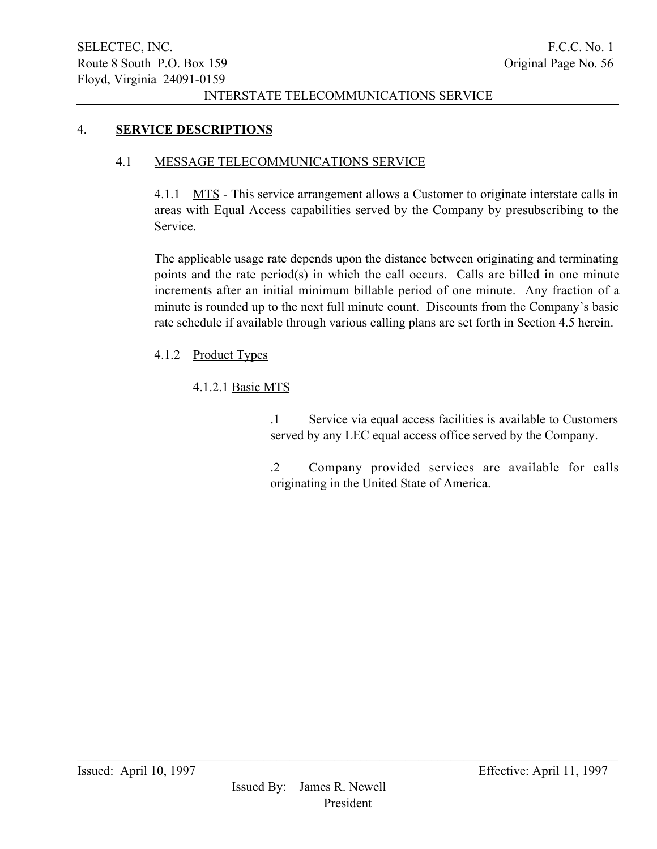# 4. SERVICE DESCRIPTIONS

# 4.1 MESSAGE TELECOMMUNICATIONS SERVICE

4.1.1 MTS - This service arrangement allows a Customer to originate interstate calls in areas with Equal Access capabilities served by the Company by presubscribing to the Service.

The applicable usage rate depends upon the distance between originating and terminating points and the rate period(s) in which the call occurs. Calls are billed in one minute increments after an initial minimum billable period of one minute. Any fraction of a minute is rounded up to the next full minute count. Discounts from the Company's basic rate schedule if available through various calling plans are set forth in Section 4.5 herein.

4.1.2 Product Types

# 4.1.2.1 Basic MTS

.1 Service via equal access facilities is available to Customers served by any LEC equal access office served by the Company.

.2 Company provided services are available for calls originating in the United State of America.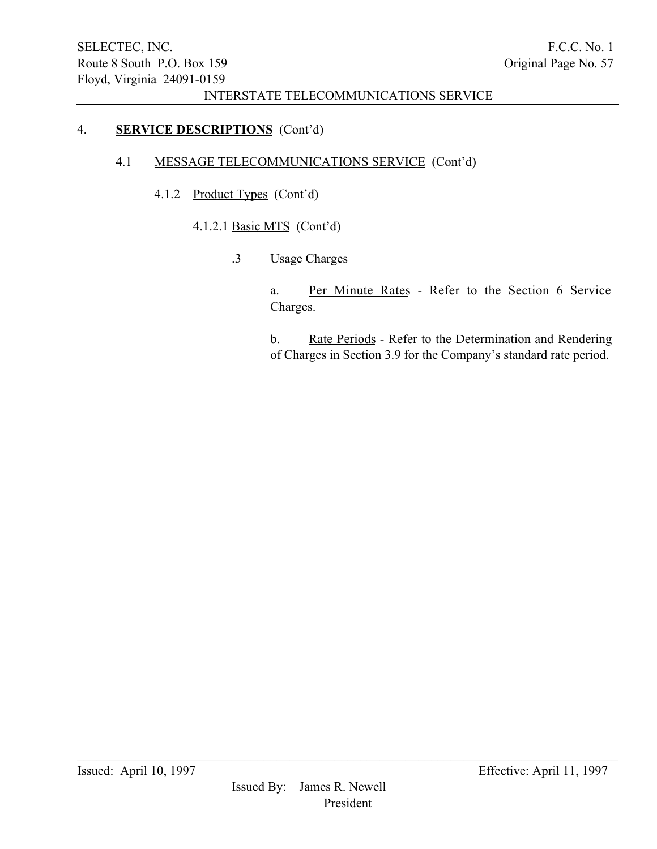# 4. SERVICE DESCRIPTIONS (Cont'd)

# 4.1 MESSAGE TELECOMMUNICATIONS SERVICE (Cont'd)

- 4.1.2 Product Types (Cont'd)
	- 4.1.2.1 Basic MTS (Cont'd)
		- .3 Usage Charges

a. Per Minute Rates - Refer to the Section 6 Service Charges.

b. Rate Periods - Refer to the Determination and Rendering of Charges in Section 3.9 for the Company's standard rate period.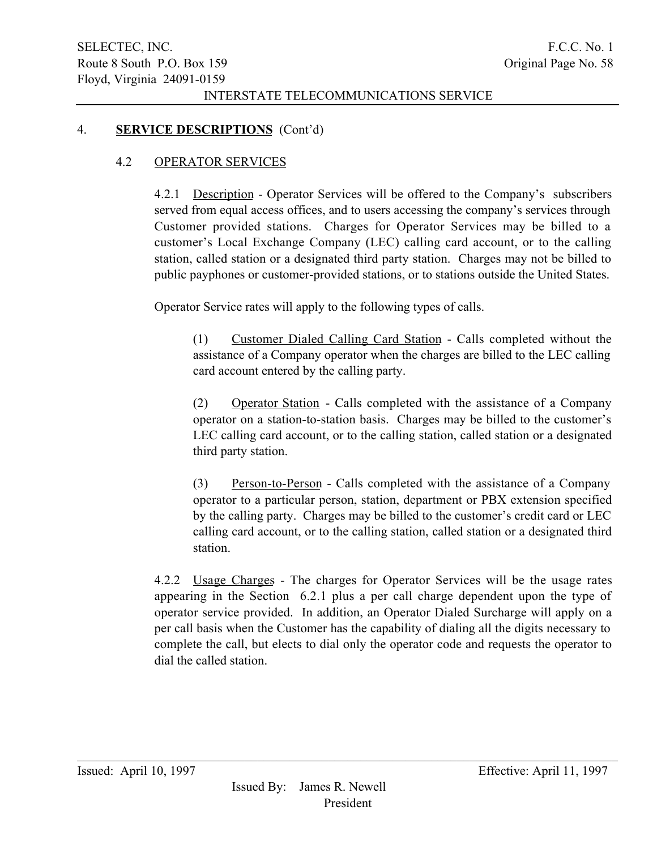## 4. SERVICE DESCRIPTIONS (Cont'd)

## 4.2 OPERATOR SERVICES

4.2.1 Description - Operator Services will be offered to the Company's subscribers served from equal access offices, and to users accessing the company's services through Customer provided stations. Charges for Operator Services may be billed to a customer's Local Exchange Company (LEC) calling card account, or to the calling station, called station or a designated third party station. Charges may not be billed to public payphones or customer-provided stations, or to stations outside the United States.

Operator Service rates will apply to the following types of calls.

(1) Customer Dialed Calling Card Station - Calls completed without the assistance of a Company operator when the charges are billed to the LEC calling card account entered by the calling party.

(2) Operator Station - Calls completed with the assistance of a Company operator on a station-to-station basis. Charges may be billed to the customer's LEC calling card account, or to the calling station, called station or a designated third party station.

(3) Person-to-Person - Calls completed with the assistance of a Company operator to a particular person, station, department or PBX extension specified by the calling party. Charges may be billed to the customer's credit card or LEC calling card account, or to the calling station, called station or a designated third station.

4.2.2 Usage Charges - The charges for Operator Services will be the usage rates appearing in the Section 6.2.1 plus a per call charge dependent upon the type of operator service provided. In addition, an Operator Dialed Surcharge will apply on a per call basis when the Customer has the capability of dialing all the digits necessary to complete the call, but elects to dial only the operator code and requests the operator to dial the called station.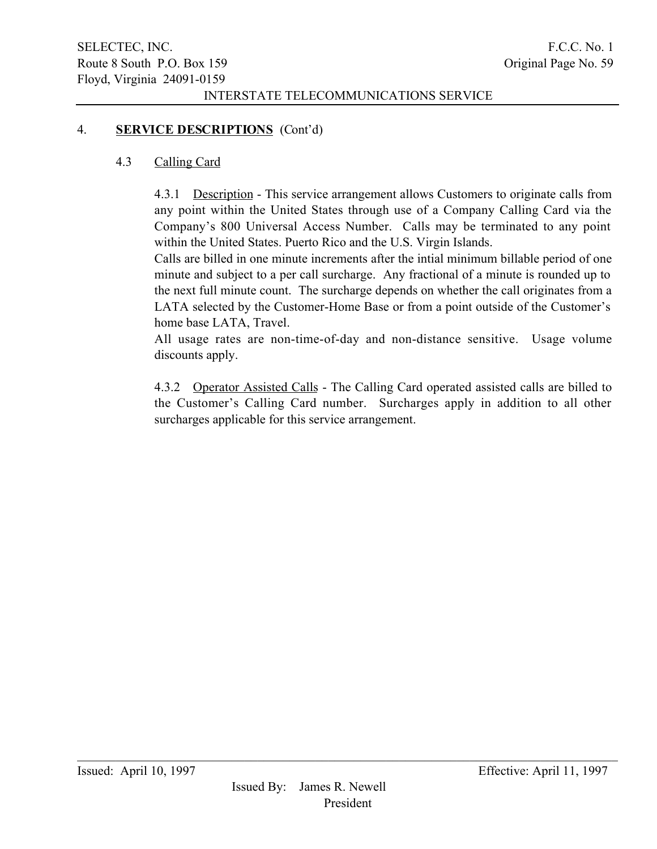# 4. SERVICE DESCRIPTIONS (Cont'd)

## 4.3 Calling Card

4.3.1 Description - This service arrangement allows Customers to originate calls from any point within the United States through use of a Company Calling Card via the Company's 800 Universal Access Number. Calls may be terminated to any point within the United States. Puerto Rico and the U.S. Virgin Islands.

Calls are billed in one minute increments after the intial minimum billable period of one minute and subject to a per call surcharge. Any fractional of a minute is rounded up to the next full minute count. The surcharge depends on whether the call originates from a LATA selected by the Customer-Home Base or from a point outside of the Customer's home base LATA, Travel.

All usage rates are non-time-of-day and non-distance sensitive. Usage volume discounts apply.

4.3.2 Operator Assisted Calls - The Calling Card operated assisted calls are billed to the Customer's Calling Card number. Surcharges apply in addition to all other surcharges applicable for this service arrangement.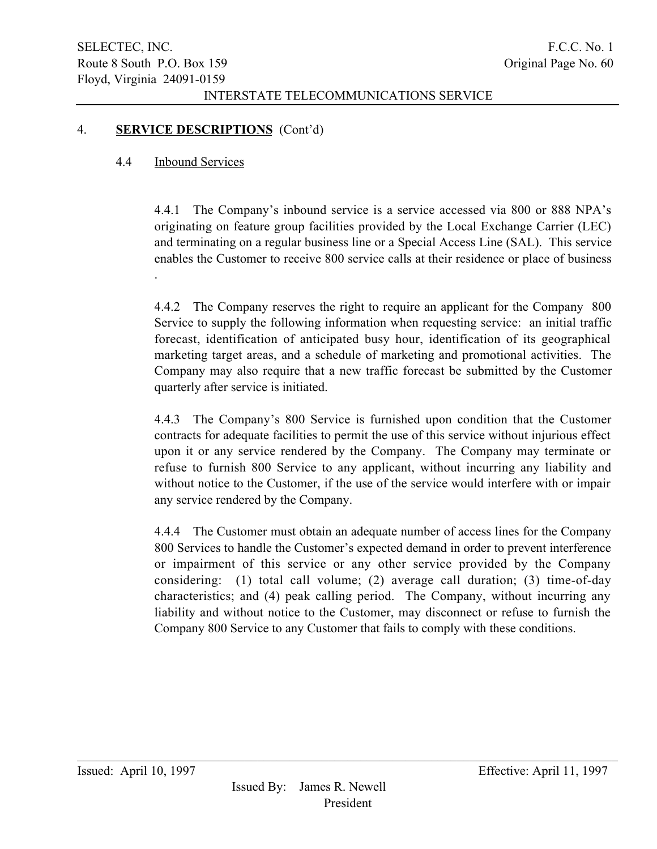## 4. SERVICE DESCRIPTIONS (Cont'd)

### 4.4 Inbound Services

4.4.1 The Company's inbound service is a service accessed via 800 or 888 NPA's originating on feature group facilities provided by the Local Exchange Carrier (LEC) and terminating on a regular business line or a Special Access Line (SAL). This service enables the Customer to receive 800 service calls at their residence or place of business .

4.4.2 The Company reserves the right to require an applicant for the Company 800 Service to supply the following information when requesting service: an initial traffic forecast, identification of anticipated busy hour, identification of its geographical marketing target areas, and a schedule of marketing and promotional activities. The Company may also require that a new traffic forecast be submitted by the Customer quarterly after service is initiated.

4.4.3 The Company's 800 Service is furnished upon condition that the Customer contracts for adequate facilities to permit the use of this service without injurious effect upon it or any service rendered by the Company. The Company may terminate or refuse to furnish 800 Service to any applicant, without incurring any liability and without notice to the Customer, if the use of the service would interfere with or impair any service rendered by the Company.

4.4.4 The Customer must obtain an adequate number of access lines for the Company 800 Services to handle the Customer's expected demand in order to prevent interference or impairment of this service or any other service provided by the Company considering: (1) total call volume; (2) average call duration; (3) time-of-day characteristics; and (4) peak calling period. The Company, without incurring any liability and without notice to the Customer, may disconnect or refuse to furnish the Company 800 Service to any Customer that fails to comply with these conditions.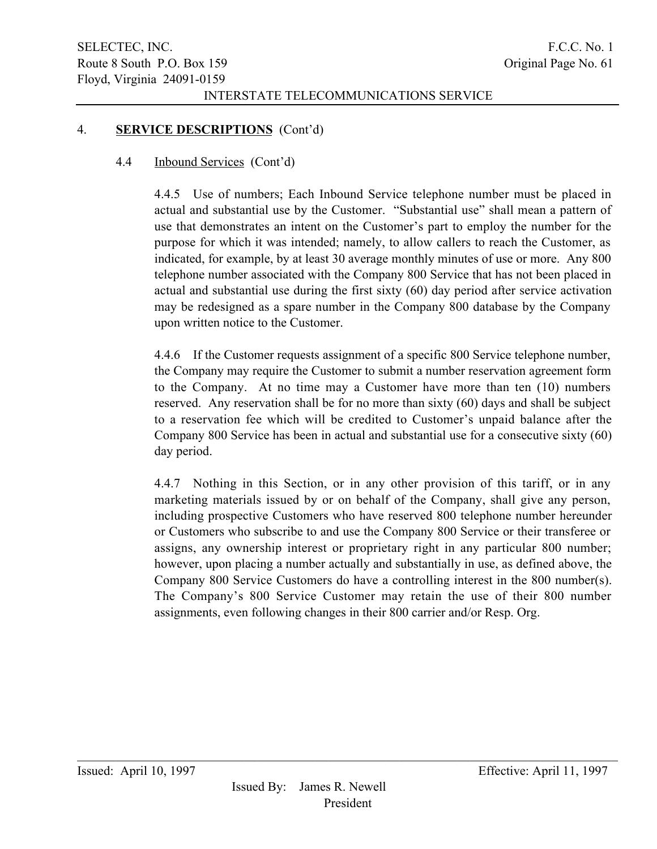### 4. SERVICE DESCRIPTIONS (Cont'd)

### 4.4 Inbound Services (Cont'd)

4.4.5 Use of numbers; Each Inbound Service telephone number must be placed in actual and substantial use by the Customer. "Substantial use" shall mean a pattern of use that demonstrates an intent on the Customer's part to employ the number for the purpose for which it was intended; namely, to allow callers to reach the Customer, as indicated, for example, by at least 30 average monthly minutes of use or more. Any 800 telephone number associated with the Company 800 Service that has not been placed in actual and substantial use during the first sixty (60) day period after service activation may be redesigned as a spare number in the Company 800 database by the Company upon written notice to the Customer.

4.4.6 If the Customer requests assignment of a specific 800 Service telephone number, the Company may require the Customer to submit a number reservation agreement form to the Company. At no time may a Customer have more than ten (10) numbers reserved. Any reservation shall be for no more than sixty (60) days and shall be subject to a reservation fee which will be credited to Customer's unpaid balance after the Company 800 Service has been in actual and substantial use for a consecutive sixty (60) day period.

4.4.7 Nothing in this Section, or in any other provision of this tariff, or in any marketing materials issued by or on behalf of the Company, shall give any person, including prospective Customers who have reserved 800 telephone number hereunder or Customers who subscribe to and use the Company 800 Service or their transferee or assigns, any ownership interest or proprietary right in any particular 800 number; however, upon placing a number actually and substantially in use, as defined above, the Company 800 Service Customers do have a controlling interest in the 800 number(s). The Company's 800 Service Customer may retain the use of their 800 number assignments, even following changes in their 800 carrier and/or Resp. Org.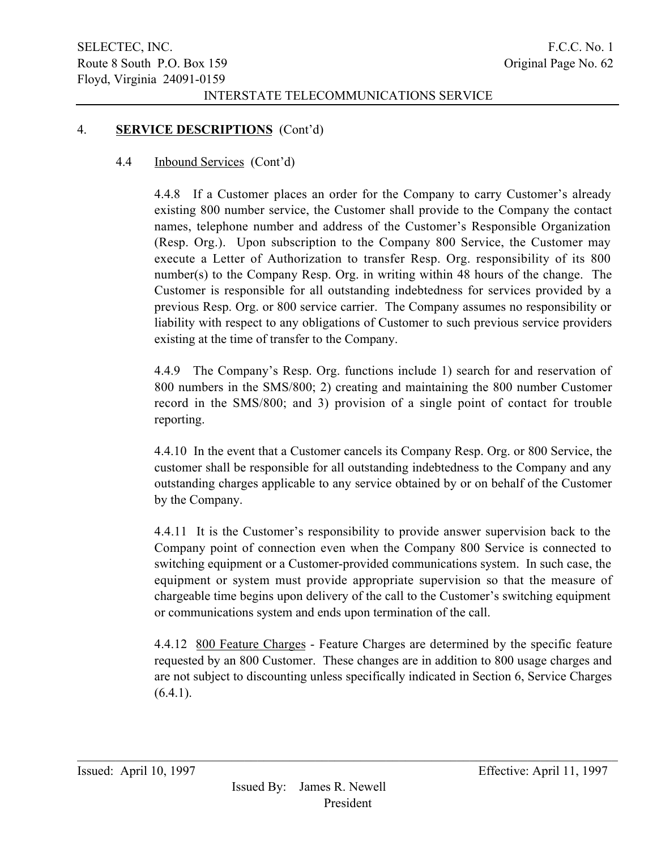## 4. SERVICE DESCRIPTIONS (Cont'd)

### 4.4 Inbound Services (Cont'd)

4.4.8 If a Customer places an order for the Company to carry Customer's already existing 800 number service, the Customer shall provide to the Company the contact names, telephone number and address of the Customer's Responsible Organization (Resp. Org.). Upon subscription to the Company 800 Service, the Customer may execute a Letter of Authorization to transfer Resp. Org. responsibility of its 800 number(s) to the Company Resp. Org. in writing within 48 hours of the change. The Customer is responsible for all outstanding indebtedness for services provided by a previous Resp. Org. or 800 service carrier. The Company assumes no responsibility or liability with respect to any obligations of Customer to such previous service providers existing at the time of transfer to the Company.

4.4.9 The Company's Resp. Org. functions include 1) search for and reservation of 800 numbers in the SMS/800; 2) creating and maintaining the 800 number Customer record in the SMS/800; and 3) provision of a single point of contact for trouble reporting.

4.4.10 In the event that a Customer cancels its Company Resp. Org. or 800 Service, the customer shall be responsible for all outstanding indebtedness to the Company and any outstanding charges applicable to any service obtained by or on behalf of the Customer by the Company.

4.4.11 It is the Customer's responsibility to provide answer supervision back to the Company point of connection even when the Company 800 Service is connected to switching equipment or a Customer-provided communications system. In such case, the equipment or system must provide appropriate supervision so that the measure of chargeable time begins upon delivery of the call to the Customer's switching equipment or communications system and ends upon termination of the call.

4.4.12 800 Feature Charges - Feature Charges are determined by the specific feature requested by an 800 Customer. These changes are in addition to 800 usage charges and are not subject to discounting unless specifically indicated in Section 6, Service Charges  $(6.4.1)$ .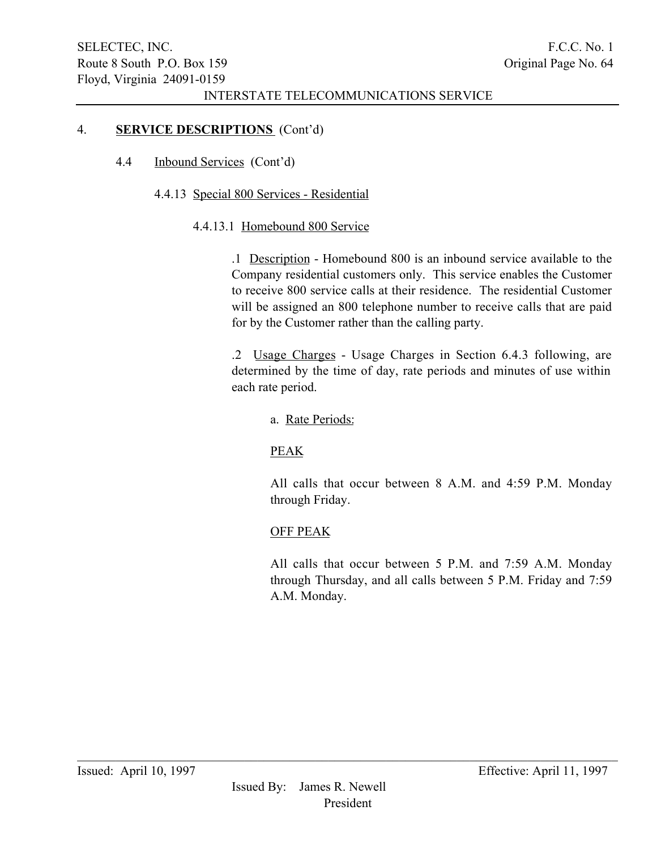## 4. SERVICE DESCRIPTIONS (Cont'd)

4.4 Inbound Services (Cont'd)

# 4.4.13 Special 800 Services - Residential

## 4.4.13.1 Homebound 800 Service

.1 Description - Homebound 800 is an inbound service available to the Company residential customers only. This service enables the Customer to receive 800 service calls at their residence. The residential Customer will be assigned an 800 telephone number to receive calls that are paid for by the Customer rather than the calling party.

.2 Usage Charges - Usage Charges in Section 6.4.3 following, are determined by the time of day, rate periods and minutes of use within each rate period.

# a. Rate Periods:

# PEAK

All calls that occur between 8 A.M. and 4:59 P.M. Monday through Friday.

# OFF PEAK

All calls that occur between 5 P.M. and 7:59 A.M. Monday through Thursday, and all calls between 5 P.M. Friday and 7:59 A.M. Monday.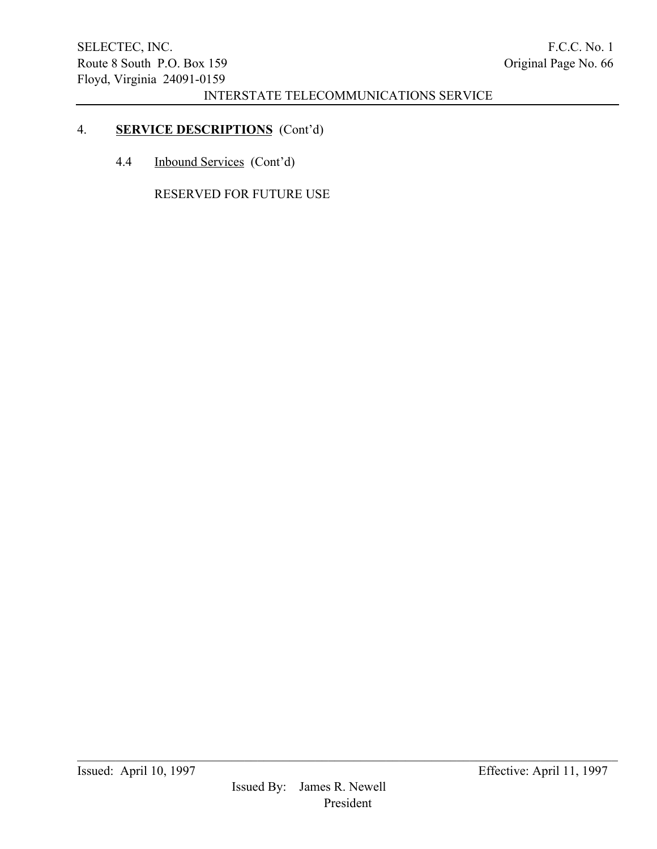# 4. SERVICE DESCRIPTIONS (Cont'd)

4.4 Inbound Services (Cont'd)

RESERVED FOR FUTURE USE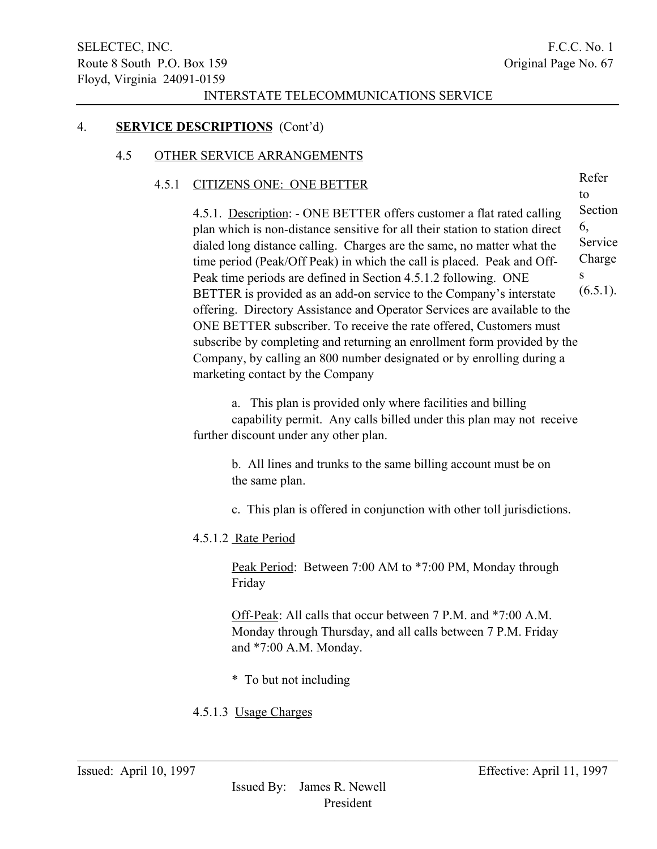Refer to

### INTERSTATE TELECOMMUNICATIONS SERVICE

## 4. SERVICE DESCRIPTIONS (Cont'd)

### 4.5 OTHER SERVICE ARRANGEMENTS

### 4.5.1 CITIZENS ONE: ONE BETTER

4.5.1. Description: - ONE BETTER offers customer a flat rated calling plan which is non-distance sensitive for all their station to station direct dialed long distance calling. Charges are the same, no matter what the time period (Peak/Off Peak) in which the call is placed. Peak and Off-Peak time periods are defined in Section 4.5.1.2 following. ONE BETTER is provided as an add-on service to the Company's interstate offering. Directory Assistance and Operator Services are available to the ONE BETTER subscriber. To receive the rate offered, Customers must subscribe by completing and returning an enrollment form provided by the Company, by calling an 800 number designated or by enrolling during a marketing contact by the Company Section 6, Service Charge s  $(6.5.1)$ .

a. This plan is provided only where facilities and billing capability permit. Any calls billed under this plan may not receive further discount under any other plan.

> b. All lines and trunks to the same billing account must be on the same plan.

c. This plan is offered in conjunction with other toll jurisdictions.

## 4.5.1.2 Rate Period

Peak Period: Between 7:00 AM to \*7:00 PM, Monday through Friday

Off-Peak: All calls that occur between 7 P.M. and \*7:00 A.M. Monday through Thursday, and all calls between 7 P.M. Friday and \*7:00 A.M. Monday.

\* To but not including

## 4.5.1.3 Usage Charges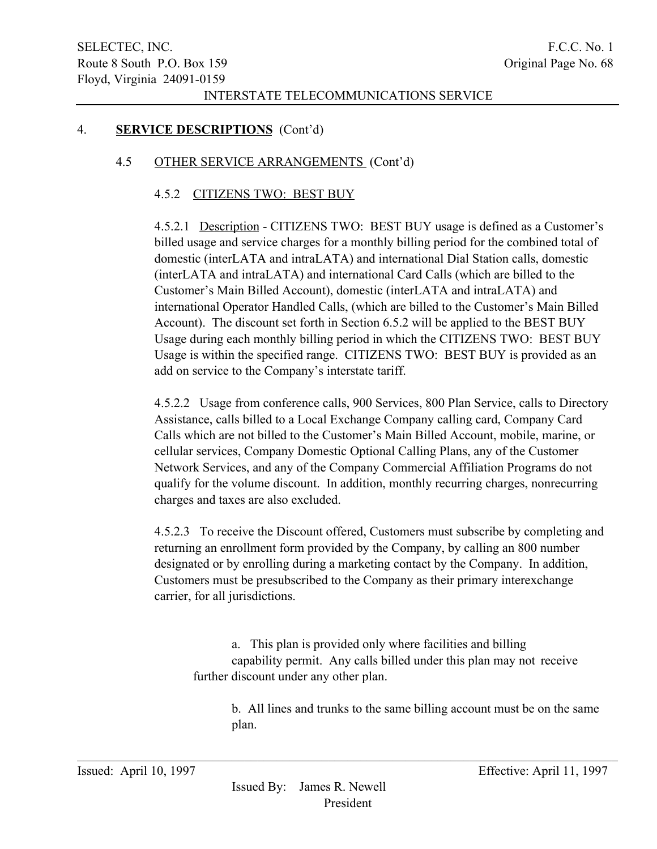## 4. SERVICE DESCRIPTIONS (Cont'd)

# 4.5 OTHER SERVICE ARRANGEMENTS (Cont'd)

## 4.5.2 CITIZENS TWO: BEST BUY

4.5.2.1 Description - CITIZENS TWO: BEST BUY usage is defined as a Customer's billed usage and service charges for a monthly billing period for the combined total of domestic (interLATA and intraLATA) and international Dial Station calls, domestic (interLATA and intraLATA) and international Card Calls (which are billed to the Customer's Main Billed Account), domestic (interLATA and intraLATA) and international Operator Handled Calls, (which are billed to the Customer's Main Billed Account). The discount set forth in Section 6.5.2 will be applied to the BEST BUY Usage during each monthly billing period in which the CITIZENS TWO: BEST BUY Usage is within the specified range. CITIZENS TWO: BEST BUY is provided as an add on service to the Company's interstate tariff.

4.5.2.2 Usage from conference calls, 900 Services, 800 Plan Service, calls to Directory Assistance, calls billed to a Local Exchange Company calling card, Company Card Calls which are not billed to the Customer's Main Billed Account, mobile, marine, or cellular services, Company Domestic Optional Calling Plans, any of the Customer Network Services, and any of the Company Commercial Affiliation Programs do not qualify for the volume discount. In addition, monthly recurring charges, nonrecurring charges and taxes are also excluded.

4.5.2.3 To receive the Discount offered, Customers must subscribe by completing and returning an enrollment form provided by the Company, by calling an 800 number designated or by enrolling during a marketing contact by the Company. In addition, Customers must be presubscribed to the Company as their primary interexchange carrier, for all jurisdictions.

a. This plan is provided only where facilities and billing capability permit. Any calls billed under this plan may not receive further discount under any other plan.

b. All lines and trunks to the same billing account must be on the same plan.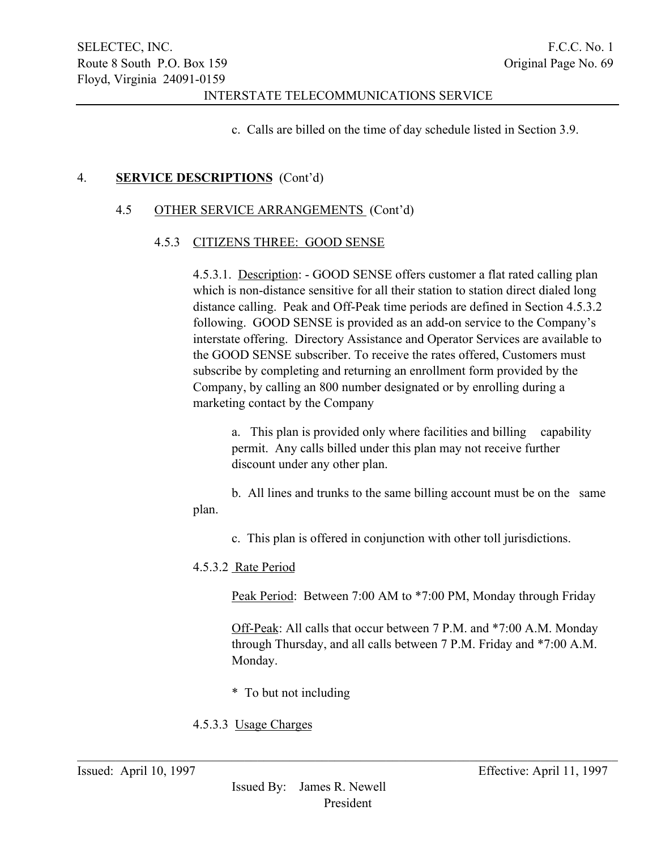c. Calls are billed on the time of day schedule listed in Section 3.9.

# 4. SERVICE DESCRIPTIONS (Cont'd)

# 4.5 OTHER SERVICE ARRANGEMENTS (Cont'd)

## 4.5.3 CITIZENS THREE: GOOD SENSE

4.5.3.1. Description: - GOOD SENSE offers customer a flat rated calling plan which is non-distance sensitive for all their station to station direct dialed long distance calling. Peak and Off-Peak time periods are defined in Section 4.5.3.2 following. GOOD SENSE is provided as an add-on service to the Company's interstate offering. Directory Assistance and Operator Services are available to the GOOD SENSE subscriber. To receive the rates offered, Customers must subscribe by completing and returning an enrollment form provided by the Company, by calling an 800 number designated or by enrolling during a marketing contact by the Company

a. This plan is provided only where facilities and billing capability permit. Any calls billed under this plan may not receive further discount under any other plan.

b. All lines and trunks to the same billing account must be on the same plan.

c. This plan is offered in conjunction with other toll jurisdictions.

## 4.5.3.2 Rate Period

Peak Period: Between 7:00 AM to \*7:00 PM, Monday through Friday

Off-Peak: All calls that occur between 7 P.M. and \*7:00 A.M. Monday through Thursday, and all calls between 7 P.M. Friday and \*7:00 A.M. Monday.

\* To but not including

# 4.5.3.3 Usage Charges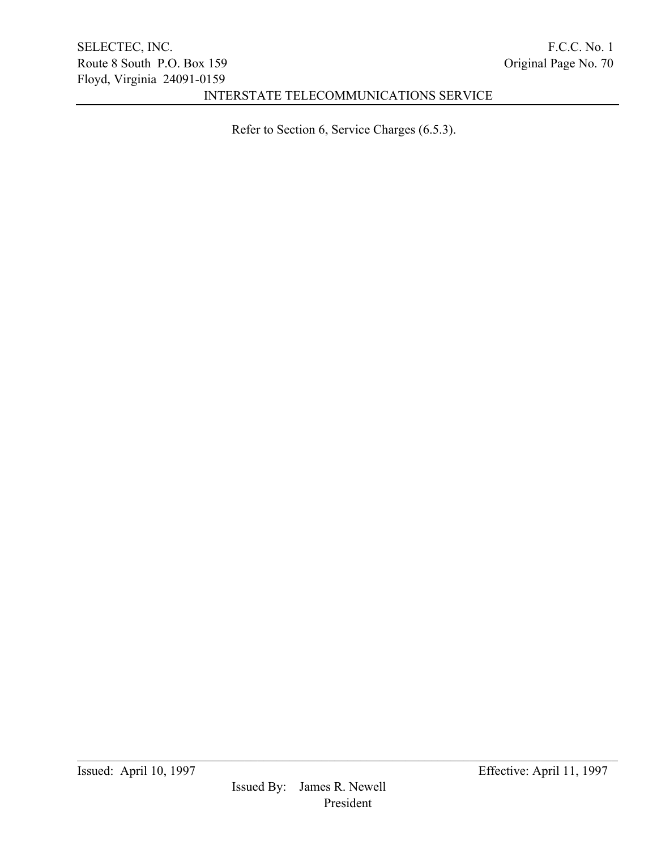Refer to Section 6, Service Charges (6.5.3).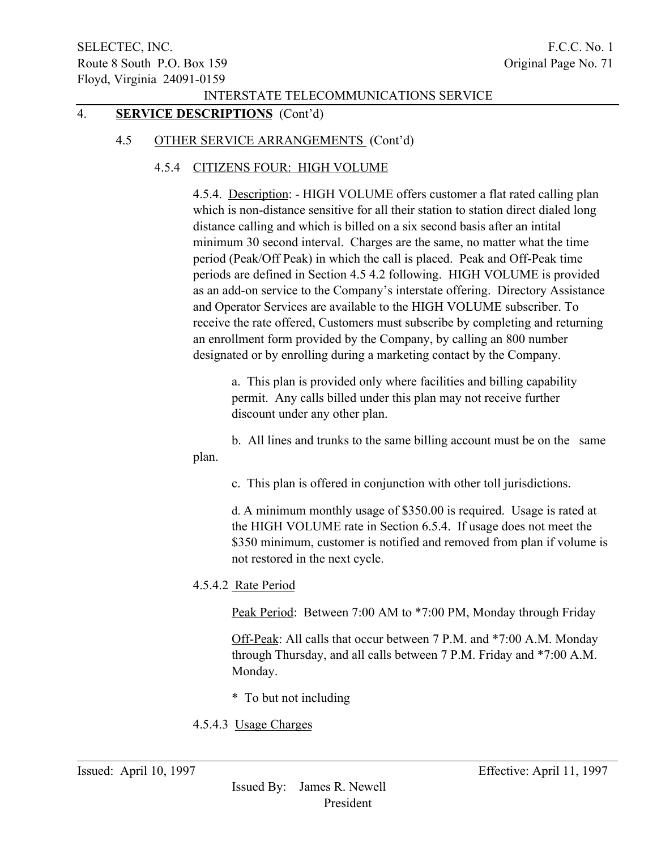# 4. SERVICE DESCRIPTIONS (Cont'd)

### 4.5 OTHER SERVICE ARRANGEMENTS (Cont'd)

### 4.5.4 CITIZENS FOUR: HIGH VOLUME

4.5.4. Description: - HIGH VOLUME offers customer a flat rated calling plan which is non-distance sensitive for all their station to station direct dialed long distance calling and which is billed on a six second basis after an intital minimum 30 second interval. Charges are the same, no matter what the time period (Peak/Off Peak) in which the call is placed. Peak and Off-Peak time periods are defined in Section 4.5 4.2 following. HIGH VOLUME is provided as an add-on service to the Company's interstate offering. Directory Assistance and Operator Services are available to the HIGH VOLUME subscriber. To receive the rate offered, Customers must subscribe by completing and returning an enrollment form provided by the Company, by calling an 800 number designated or by enrolling during a marketing contact by the Company.

a. This plan is provided only where facilities and billing capability permit. Any calls billed under this plan may not receive further discount under any other plan.

b. All lines and trunks to the same billing account must be on the same plan.

c. This plan is offered in conjunction with other toll jurisdictions.

d. A minimum monthly usage of \$350.00 is required. Usage is rated at the HIGH VOLUME rate in Section 6.5.4. If usage does not meet the \$350 minimum, customer is notified and removed from plan if volume is not restored in the next cycle.

4.5.4.2 Rate Period

Peak Period: Between 7:00 AM to \*7:00 PM, Monday through Friday

Off-Peak: All calls that occur between 7 P.M. and \*7:00 A.M. Monday through Thursday, and all calls between 7 P.M. Friday and \*7:00 A.M. Monday.

- \* To but not including
- 4.5.4.3 Usage Charges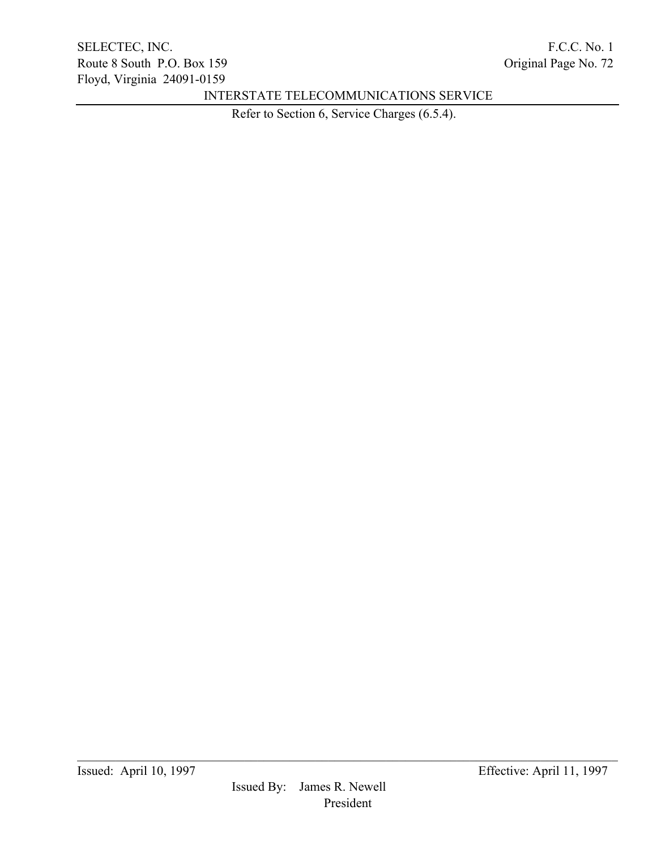Refer to Section 6, Service Charges (6.5.4).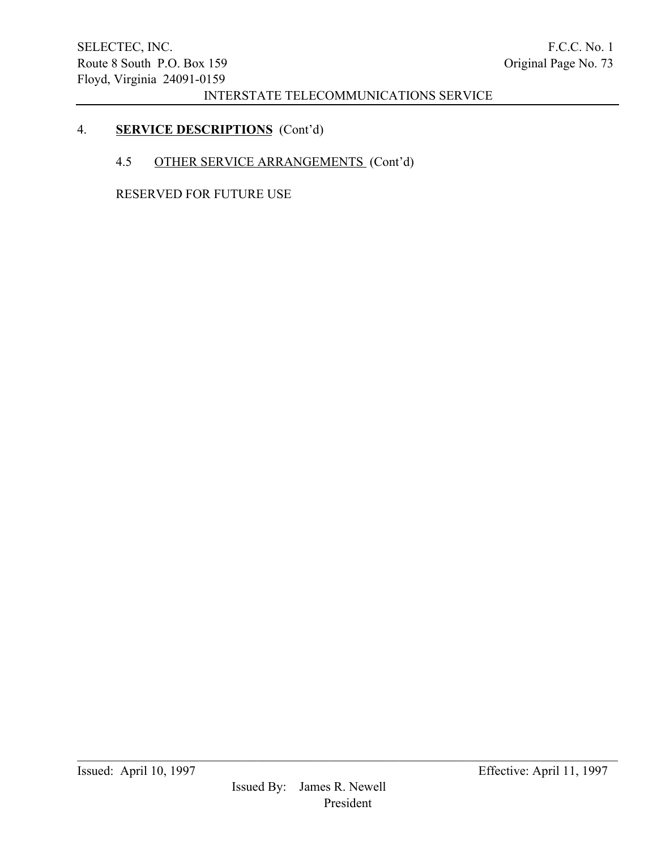# 4. SERVICE DESCRIPTIONS (Cont'd)

# 4.5 OTHER SERVICE ARRANGEMENTS (Cont'd)

RESERVED FOR FUTURE USE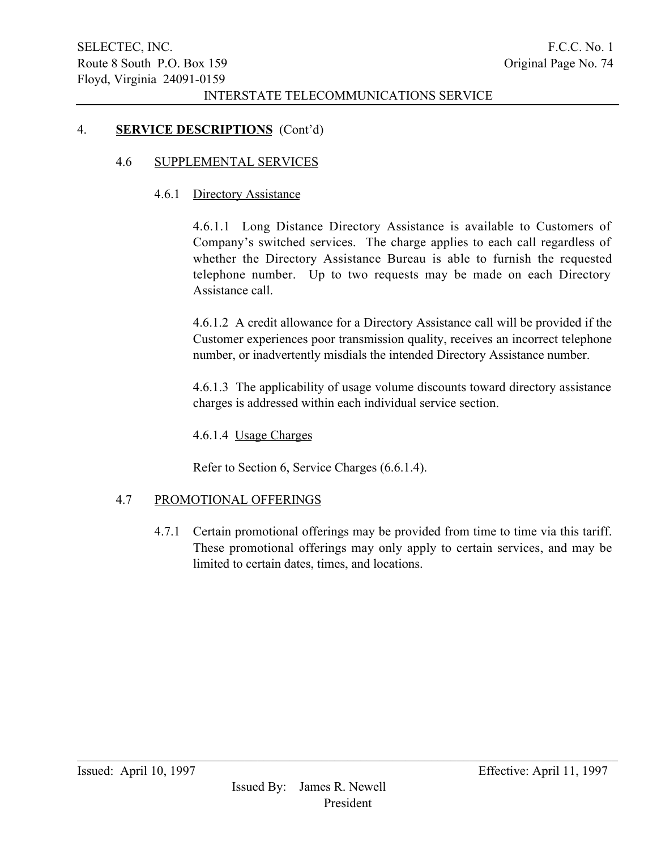#### 4. SERVICE DESCRIPTIONS (Cont'd)

#### 4.6 SUPPLEMENTAL SERVICES

#### 4.6.1 Directory Assistance

4.6.1.1 Long Distance Directory Assistance is available to Customers of Company's switched services. The charge applies to each call regardless of whether the Directory Assistance Bureau is able to furnish the requested telephone number. Up to two requests may be made on each Directory Assistance call.

4.6.1.2 A credit allowance for a Directory Assistance call will be provided if the Customer experiences poor transmission quality, receives an incorrect telephone number, or inadvertently misdials the intended Directory Assistance number.

4.6.1.3 The applicability of usage volume discounts toward directory assistance charges is addressed within each individual service section.

4.6.1.4 Usage Charges

Refer to Section 6, Service Charges (6.6.1.4).

### 4.7 PROMOTIONAL OFFERINGS

4.7.1 Certain promotional offerings may be provided from time to time via this tariff. These promotional offerings may only apply to certain services, and may be limited to certain dates, times, and locations.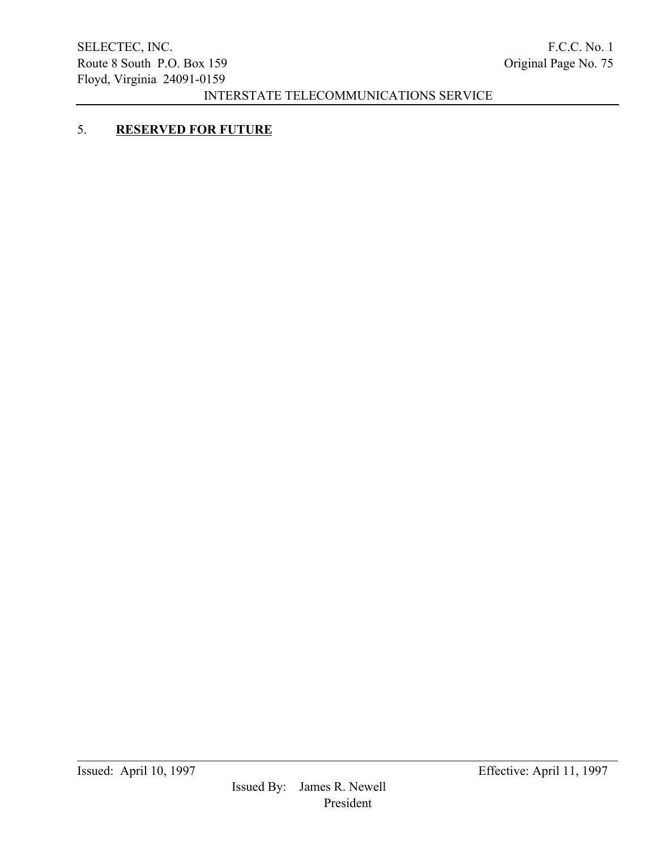# 5. RESERVED FOR FUTURE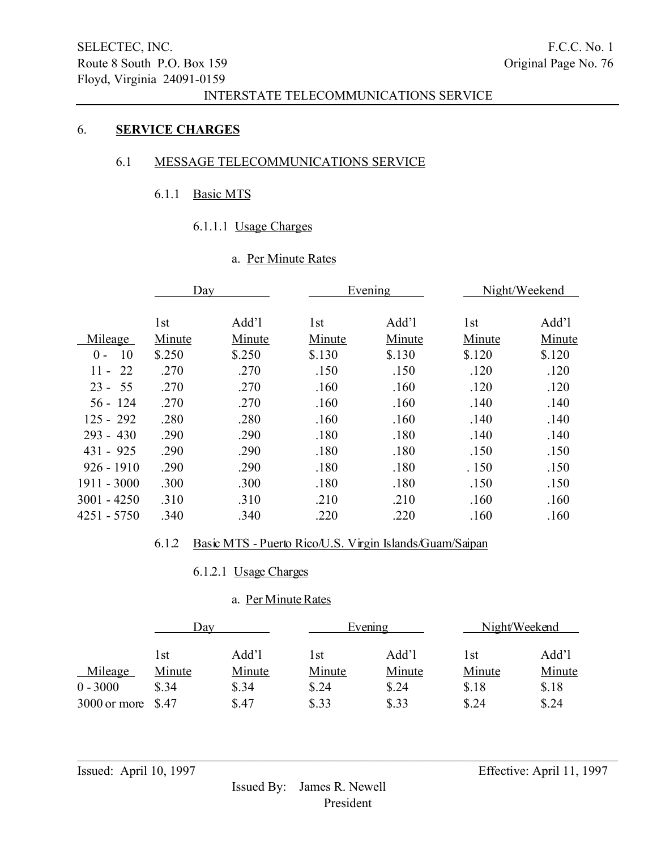#### 6. SERVICE CHARGES

### 6.1 MESSAGE TELECOMMUNICATIONS SERVICE

#### 6.1.1 Basic MTS

# 6.1.1.1 Usage Charges

### a. Per Minute Rates

|                | Day    |        |        | Evening |        | Night/Weekend |
|----------------|--------|--------|--------|---------|--------|---------------|
|                |        |        |        |         |        |               |
|                | 1st    | Add'l  | 1st    | Add'l   | 1st    | Add'l         |
| Mileage        | Minute | Minute | Minute | Minute  | Minute | Minute        |
| 10<br>$0 -$    | \$.250 | \$.250 | \$.130 | \$.130  | \$.120 | \$.120        |
| $11 -$<br>- 22 | .270   | .270   | .150   | .150    | .120   | .120          |
| $23 - 55$      | .270   | .270   | .160   | .160    | .120   | .120          |
| $56 - 124$     | .270   | .270   | .160   | .160    | .140   | .140          |
| $125 - 292$    | .280   | .280   | .160   | .160    | .140   | .140          |
| $293 - 430$    | .290   | .290   | .180   | .180    | .140   | .140          |
| $431 - 925$    | .290   | .290   | .180   | .180    | .150   | .150          |
| $926 - 1910$   | .290   | .290   | .180   | .180    | .150   | .150          |
| 1911 - 3000    | .300   | .300   | .180   | .180    | .150   | .150          |
| 3001 - 4250    | .310   | .310   | .210   | .210    | .160   | .160          |
| 4251 - 5750    | .340   | .340   | .220   | .220    | .160   | .160          |
|                |        |        |        |         |        |               |

### 6.1.2 Basic MTS - Puerto Rico/U.S. Virgin Islands/Guam/Saipan

# 6.1.2.1 Usage Charges

### a. Per Minute Rates

|              | Day    |        | Evening |        | Night/Weekend |        |
|--------------|--------|--------|---------|--------|---------------|--------|
|              | l st   | Add'l  | l st    | Add'l  | l st          | Add'l  |
| Mileage      | Minute | Minute | Minute  | Minute | Minute        | Minute |
| $0 - 3000$   | \$.34  | \$.34  | \$.24   | \$.24  | \$.18         | \$.18  |
| 3000 or more | - S.47 | \$.47  | \$.33   | \$.33  | \$.24         | \$.24  |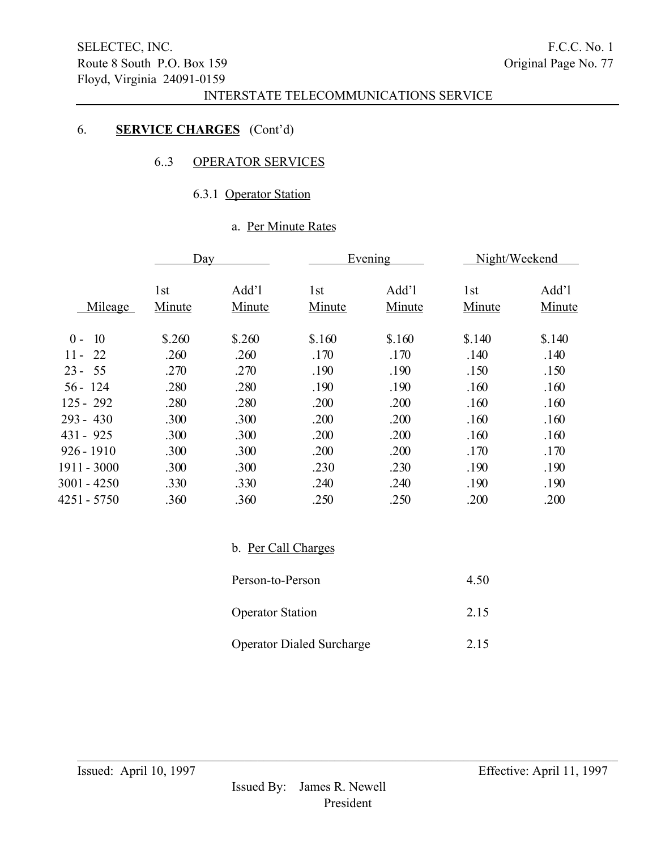# 6. SERVICE CHARGES (Cont'd)

### 6..3 OPERATOR SERVICES

## 6.3.1 Operator Station

# a. Per Minute Rates

| Day                       |                 |               | Evening         |                           | Night/Weekend   |  |
|---------------------------|-----------------|---------------|-----------------|---------------------------|-----------------|--|
| 1 <sub>st</sub><br>Minute | Add'l<br>Minute | 1st<br>Minute | Add'l<br>Minute | 1 <sub>st</sub><br>Minute | Add'l<br>Minute |  |
| \$.260                    | \$.260          | \$.160        | \$.160          | \$.140                    | \$.140          |  |
| .260                      | .260            | .170          | .170            | .140                      | .140            |  |
| .270                      | .270            | .190          | .190            | .150                      | .150            |  |
| .280                      | .280            | .190          | .190            | .160                      | .160            |  |
| .280                      | .280            | .200          | .200            | .160                      | .160            |  |
| .300                      | .300            | .200          | .200            | .160                      | .160            |  |
| .300                      | .300            | .200          | .200            | .160                      | .160            |  |
| .300                      | .300            | .200          | .200            | .170                      | .170            |  |
| .300                      | .300            | .230          | .230            | .190                      | .190            |  |
| .330                      | .330            | .240          | .240            | .190                      | .190            |  |
| .360                      | .360            | .250          | .250            | .200                      | .200            |  |
|                           |                 |               |                 |                           |                 |  |

b. Per Call Charges

| Person-to-Person                 | 4.50 |
|----------------------------------|------|
| <b>Operator Station</b>          | 2.15 |
| <b>Operator Dialed Surcharge</b> | 2.15 |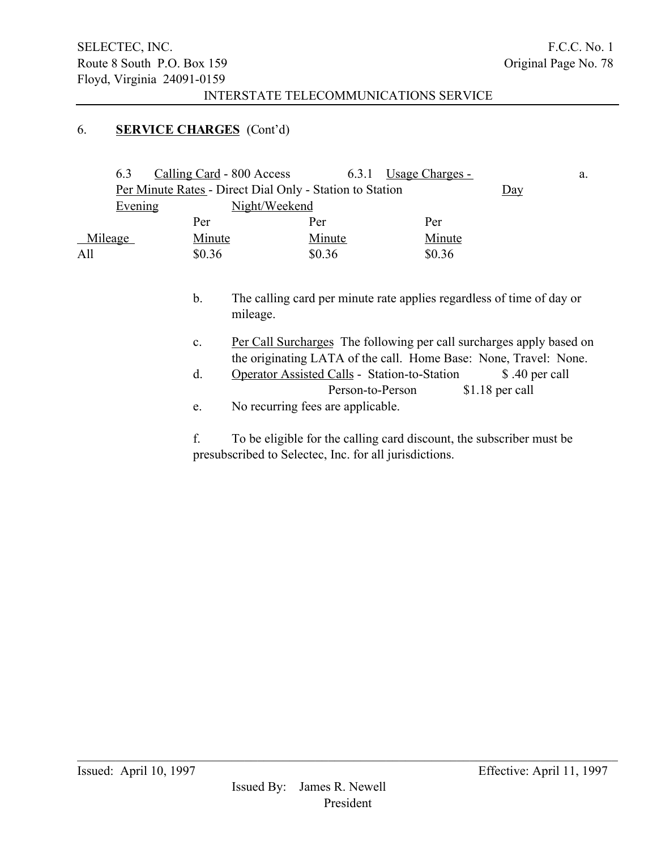### 6. SERVICE CHARGES (Cont'd)

| 6.3                                                      | Calling Card - 800 Access |        | 6.3.1 Usage Charges - |  | a. |
|----------------------------------------------------------|---------------------------|--------|-----------------------|--|----|
| Per Minute Rates - Direct Dial Only - Station to Station | $\overline{Day}$          |        |                       |  |    |
| Evening                                                  | Night/Weekend             |        |                       |  |    |
|                                                          | Per                       | Per    | Per                   |  |    |
| Mileage                                                  | Minute                    | Minute | Minute                |  |    |
| All                                                      | \$0.36                    | \$0.36 | \$0.36                |  |    |
|                                                          |                           |        |                       |  |    |

- b. The calling card per minute rate applies regardless of time of day or mileage.
- c. Per Call Surcharges The following per call surcharges apply based on the originating LATA of the call. Home Base: None, Travel: None.
- d. Operator Assisted Calls Station-to-Station \$ .40 per call Person-to-Person \$1.18 per call
- e. No recurring fees are applicable.

f. To be eligible for the calling card discount, the subscriber must be presubscribed to Selectec, Inc. for all jurisdictions.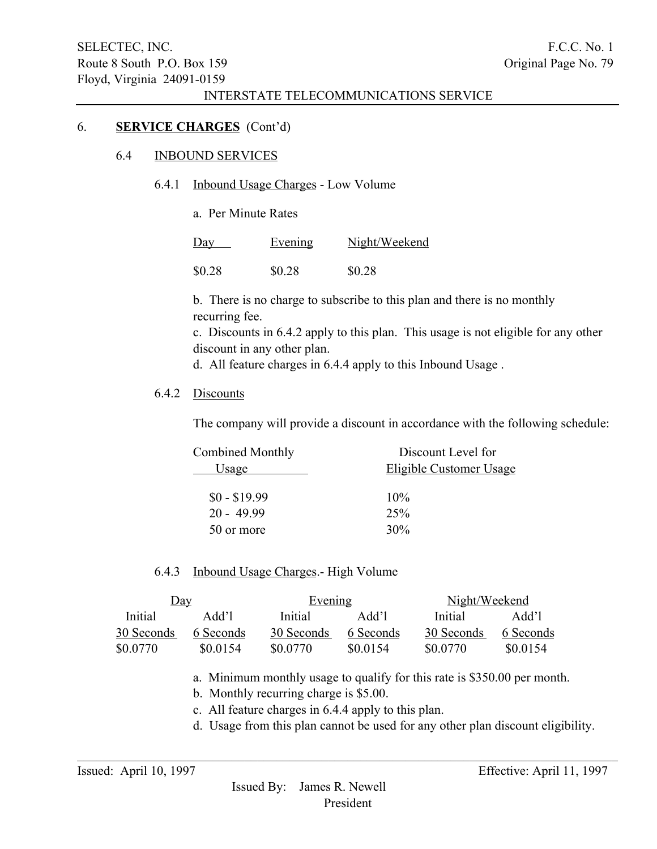#### 6. SERVICE CHARGES (Cont'd)

#### 6.4 INBOUND SERVICES

### 6.4.1 Inbound Usage Charges - Low Volume

a. Per Minute Rates

| $\underline{Day}$ | Evening | Night/Weekend |
|-------------------|---------|---------------|
| \$0.28            | \$0.28  | \$0.28        |

b. There is no charge to subscribe to this plan and there is no monthly recurring fee.

c. Discounts in 6.4.2 apply to this plan. This usage is not eligible for any other discount in any other plan.

d. All feature charges in 6.4.4 apply to this Inbound Usage .

#### 6.4.2 Discounts

The company will provide a discount in accordance with the following schedule:

| Combined Monthly | Discount Level for      |
|------------------|-------------------------|
| Usage            | Eligible Customer Usage |
| $$0 - $19.99$    | $10\%$                  |
| $20 - 49.99$     | 25%                     |
| 50 or more       | 30%                     |

#### 6.4.3 Inbound Usage Charges.- High Volume

| <u>Day</u> |           | Evening    |           | Night/Weekend |           |
|------------|-----------|------------|-----------|---------------|-----------|
| Initial    | Add'l     | Initial    | Add'l     | Initial       | Add'l     |
| 30 Seconds | 6 Seconds | 30 Seconds | 6 Seconds | 30 Seconds    | 6 Seconds |
| \$0.0770   | \$0.0154  | \$0.0770   | \$0.0154  | \$0.0770      | \$0.0154  |

 $\mathcal{L}_\mathcal{L} = \{ \mathcal{L}_\mathcal{L} = \{ \mathcal{L}_\mathcal{L} = \{ \mathcal{L}_\mathcal{L} = \{ \mathcal{L}_\mathcal{L} = \{ \mathcal{L}_\mathcal{L} = \{ \mathcal{L}_\mathcal{L} = \{ \mathcal{L}_\mathcal{L} = \{ \mathcal{L}_\mathcal{L} = \{ \mathcal{L}_\mathcal{L} = \{ \mathcal{L}_\mathcal{L} = \{ \mathcal{L}_\mathcal{L} = \{ \mathcal{L}_\mathcal{L} = \{ \mathcal{L}_\mathcal{L} = \{ \mathcal{L}_\mathcal{$ 

a. Minimum monthly usage to qualify for this rate is \$350.00 per month.

b. Monthly recurring charge is \$5.00.

c. All feature charges in 6.4.4 apply to this plan.

d. Usage from this plan cannot be used for any other plan discount eligibility.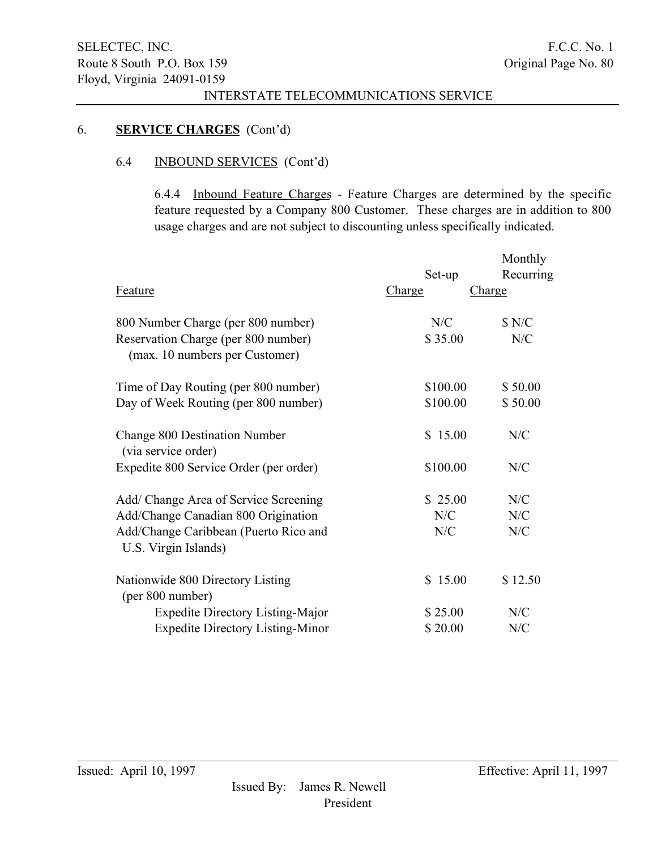### 6. SERVICE CHARGES (Cont'd)

# 6.4 INBOUND SERVICES (Cont'd)

6.4.4 Inbound Feature Charges - Feature Charges are determined by the specific feature requested by a Company 800 Customer. These charges are in addition to 800 usage charges and are not subject to discounting unless specifically indicated.

|                                                                       |          | Monthly       |
|-----------------------------------------------------------------------|----------|---------------|
|                                                                       | Set-up   | Recurring     |
| <b>Feature</b>                                                        | Charge   | <b>Charge</b> |
| 800 Number Charge (per 800 number)                                    | N/C      | \$ N/C        |
| Reservation Charge (per 800 number)<br>(max. 10 numbers per Customer) | \$35.00  | N/C           |
| Time of Day Routing (per 800 number)                                  | \$100.00 | \$50.00       |
| Day of Week Routing (per 800 number)                                  | \$100.00 | \$50.00       |
| Change 800 Destination Number<br>(via service order)                  | \$15.00  | N/C           |
| Expedite 800 Service Order (per order)                                | \$100.00 | N/C           |
| Add/ Change Area of Service Screening                                 | \$25.00  | N/C           |
| Add/Change Canadian 800 Origination                                   | N/C      | N/C           |
| Add/Change Caribbean (Puerto Rico and<br>U.S. Virgin Islands)         | N/C      | N/C           |
| Nationwide 800 Directory Listing<br>(per 800 number)                  | \$15.00  | \$12.50       |
| <b>Expedite Directory Listing-Major</b>                               | \$25.00  | N/C           |
| <b>Expedite Directory Listing-Minor</b>                               | \$20.00  | N/C           |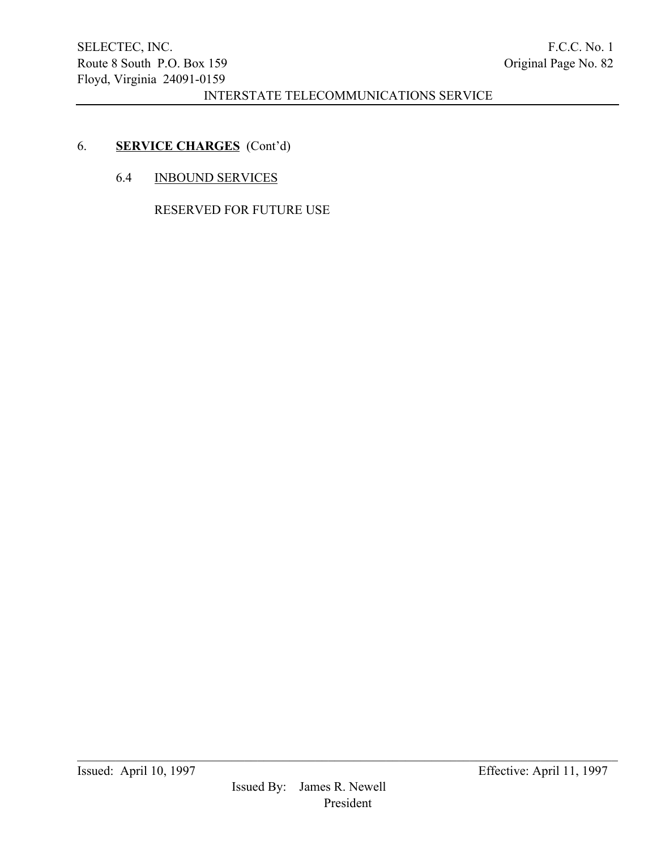# 6. SERVICE CHARGES (Cont'd)

6.4 INBOUND SERVICES

RESERVED FOR FUTURE USE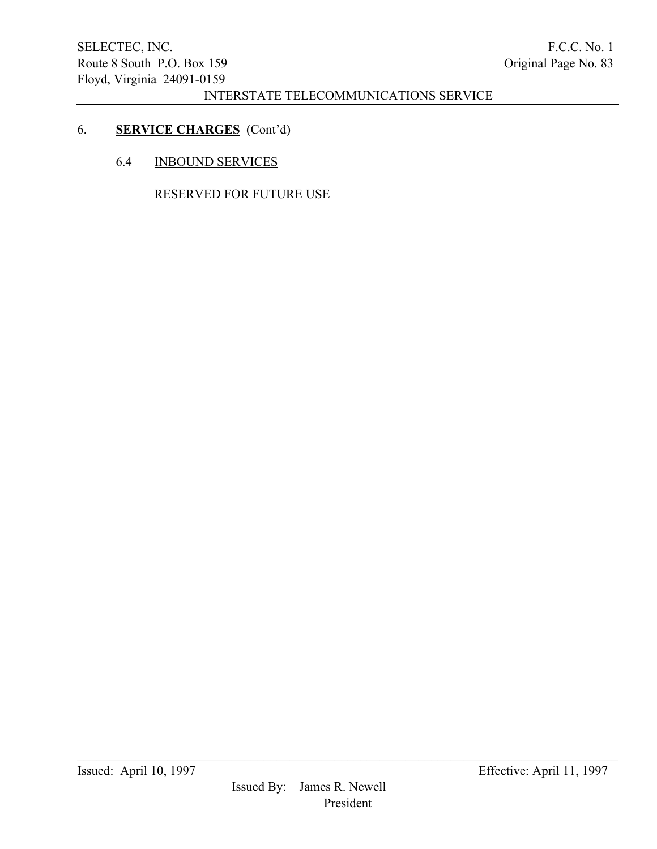# 6. SERVICE CHARGES (Cont'd)

6.4 INBOUND SERVICES

RESERVED FOR FUTURE USE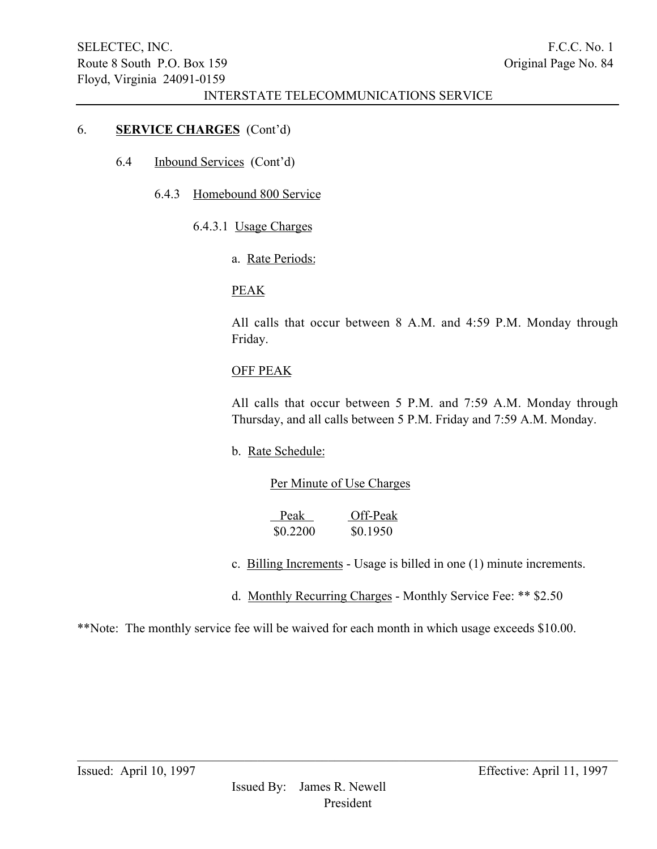### 6. SERVICE CHARGES (Cont'd)

- 6.4 Inbound Services (Cont'd)
	- 6.4.3 Homebound 800 Service
		- 6.4.3.1 Usage Charges
			- a. Rate Periods:

#### PEAK

All calls that occur between 8 A.M. and 4:59 P.M. Monday through Friday.

#### OFF PEAK

All calls that occur between 5 P.M. and 7:59 A.M. Monday through Thursday, and all calls between 5 P.M. Friday and 7:59 A.M. Monday.

b. Rate Schedule:

### Per Minute of Use Charges

| Peak     | Off-Peak |
|----------|----------|
| \$0.2200 | \$0.1950 |

- c. Billing Increments Usage is billed in one (1) minute increments.
- d. Monthly Recurring Charges Monthly Service Fee: \*\* \$2.50

\*\*Note: The monthly service fee will be waived for each month in which usage exceeds \$10.00.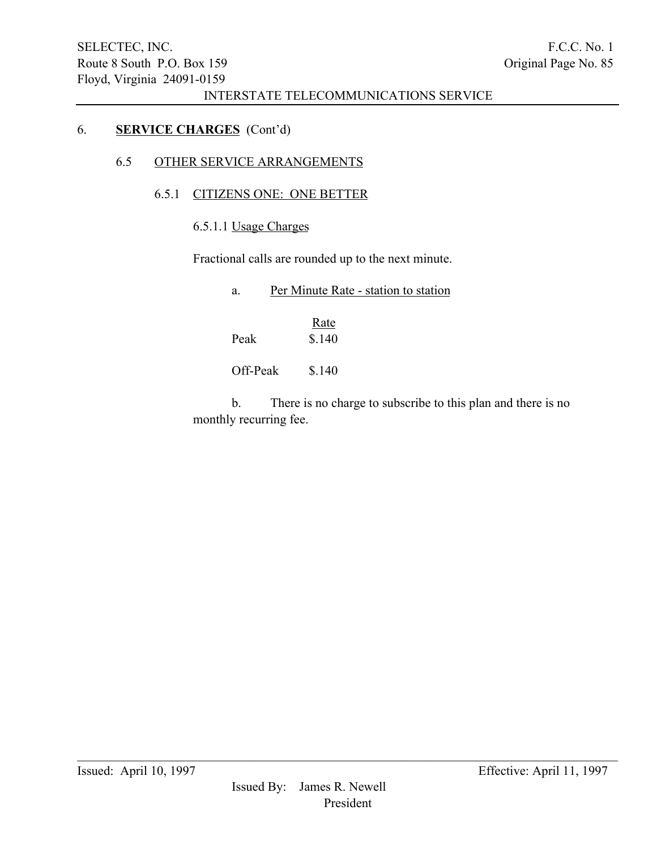### 6. SERVICE CHARGES (Cont'd)

# 6.5 OTHER SERVICE ARRANGEMENTS

# 6.5.1 CITIZENS ONE: ONE BETTER

6.5.1.1 Usage Charges

Fractional calls are rounded up to the next minute.

| a.       | Per Minute Rate - station to station |
|----------|--------------------------------------|
| Peak     | Rate<br>\$.140                       |
| Off-Peak | \$.140                               |

b. There is no charge to subscribe to this plan and there is no monthly recurring fee.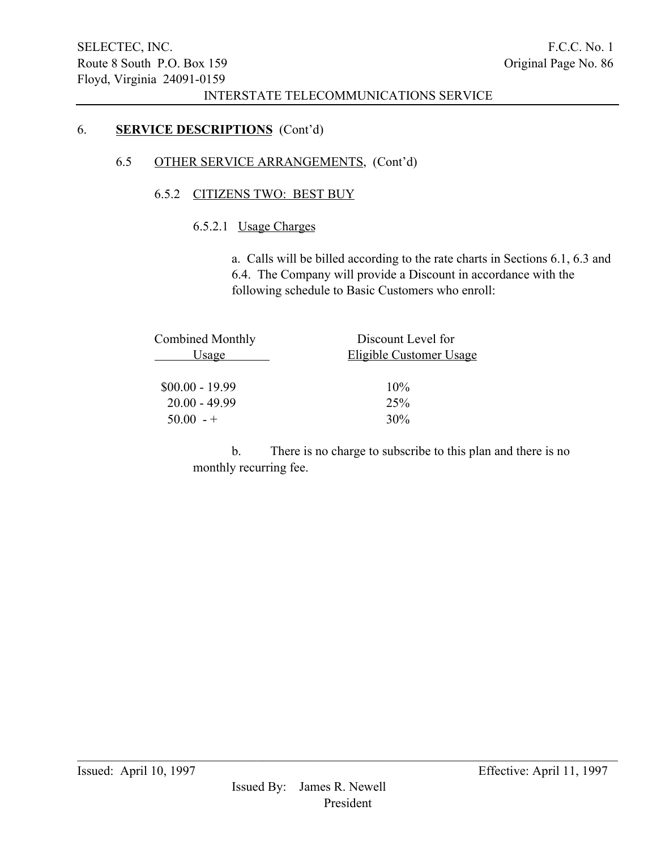### 6. SERVICE DESCRIPTIONS (Cont'd)

### 6.5 OTHER SERVICE ARRANGEMENTS, (Cont'd)

### 6.5.2 CITIZENS TWO: BEST BUY

# 6.5.2.1 Usage Charges

a. Calls will be billed according to the rate charts in Sections 6.1, 6.3 and 6.4. The Company will provide a Discount in accordance with the following schedule to Basic Customers who enroll:

| Combined Monthly | Discount Level for      |
|------------------|-------------------------|
| Usage            | Eligible Customer Usage |
| $$00.00 - 19.99$ | $10\%$                  |
| $20.00 - 49.99$  | 25%                     |
| $50.00 - +$      | 30%                     |
|                  |                         |

b. There is no charge to subscribe to this plan and there is no monthly recurring fee.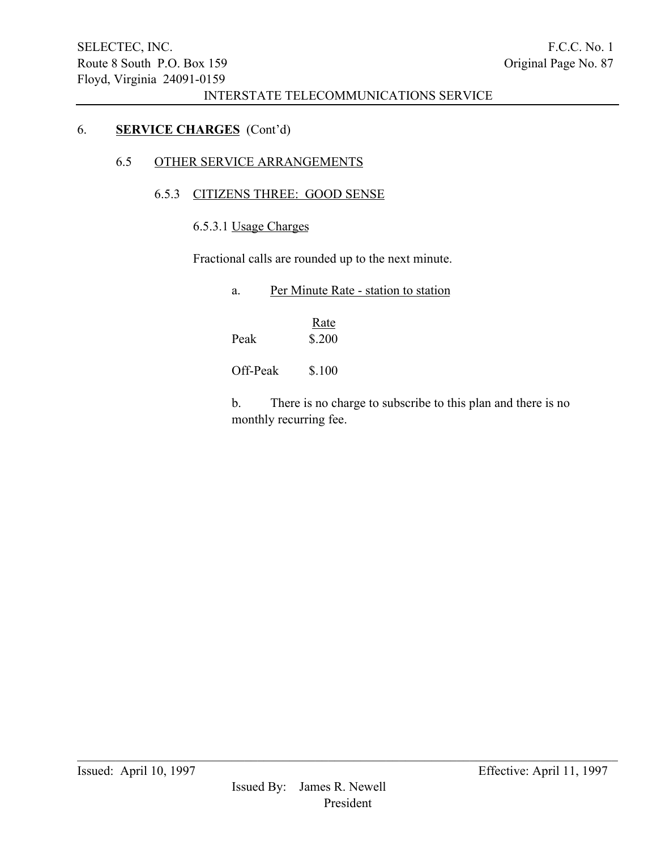### 6. SERVICE CHARGES (Cont'd)

# 6.5 OTHER SERVICE ARRANGEMENTS

## 6.5.3 CITIZENS THREE: GOOD SENSE

6.5.3.1 Usage Charges

Fractional calls are rounded up to the next minute.

| Per Minute Rate - station to station |
|--------------------------------------|
|                                      |
|                                      |

**Rate** Peak \$.200

Off-Peak  $$.100$ 

b. There is no charge to subscribe to this plan and there is no monthly recurring fee.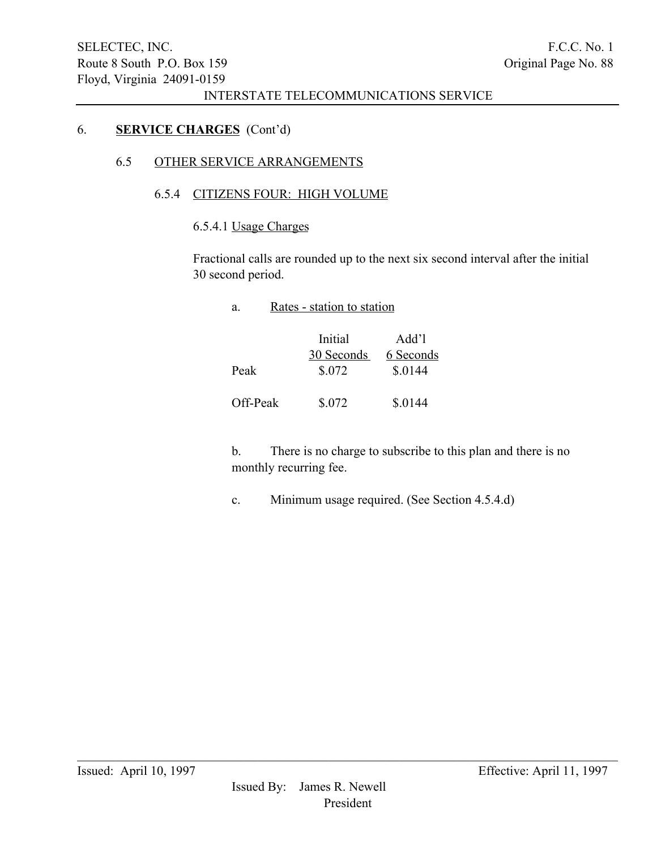# 6. SERVICE CHARGES (Cont'd)

## 6.5 OTHER SERVICE ARRANGEMENTS

### 6.5.4 CITIZENS FOUR: HIGH VOLUME

6.5.4.1 Usage Charges

Fractional calls are rounded up to the next six second interval after the initial 30 second period.

a. Rates - station to station

|          | Initial    | Add'l     |
|----------|------------|-----------|
|          | 30 Seconds | 6 Seconds |
| Peak     | \$.072     | \$.0144   |
| Off-Peak | \$.072     | \$.0144   |

b. There is no charge to subscribe to this plan and there is no monthly recurring fee.

c. Minimum usage required. (See Section 4.5.4.d)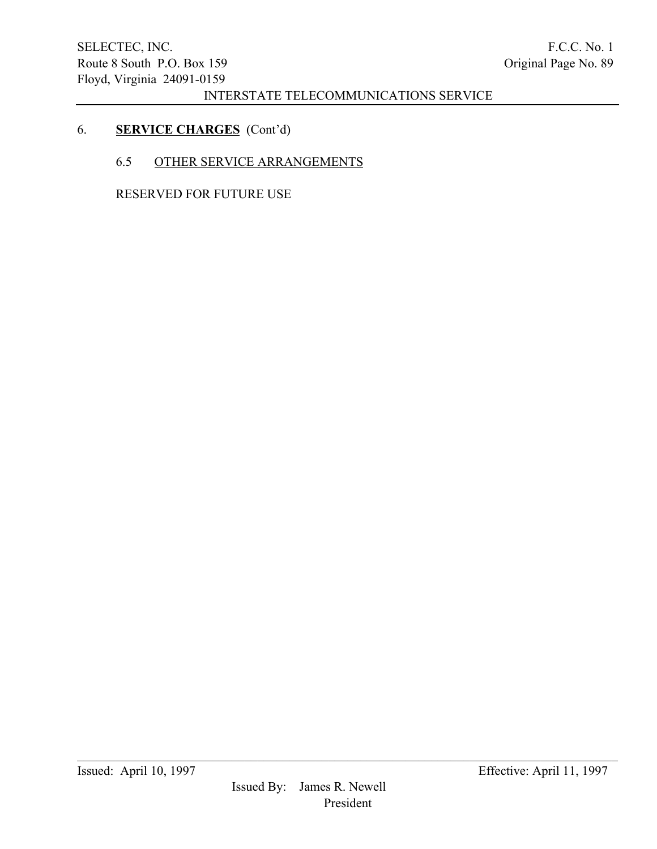# 6. SERVICE CHARGES (Cont'd)

### 6.5 OTHER SERVICE ARRANGEMENTS

RESERVED FOR FUTURE USE